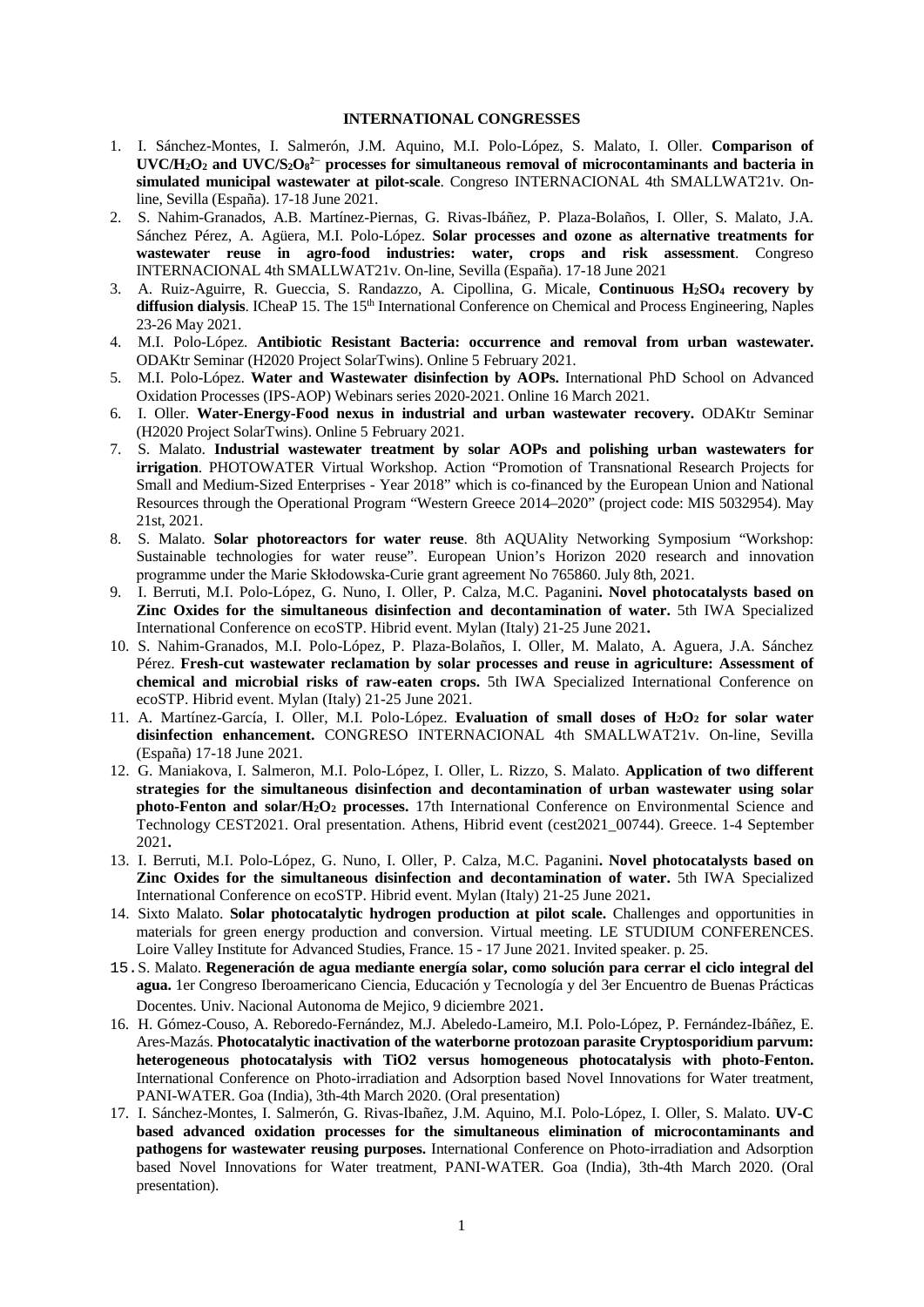## **INTERNATIONAL CONGRESSES**

- 1. I. Sánchez-Montes, I. Salmerón, J.M. Aquino, M.I. Polo-López, S. Malato, I. Oller. **Comparison of UVC/H2O2 and UVC/S2O8 2− processes for simultaneous removal of microcontaminants and bacteria in simulated municipal wastewater at pilot-scale**. Congreso INTERNACIONAL 4th SMALLWAT21v. Online, Sevilla (España). 17-18 June 2021.
- 2. S. Nahim-Granados, A.B. Martínez-Piernas, G. Rivas-Ibáñez, P. Plaza-Bolaños, I. Oller, S. Malato, J.A. Sánchez Pérez, A. Agüera, M.I. Polo-López. **Solar processes and ozone as alternative treatments for wastewater reuse in agro-food industries: water, crops and risk assessment**. Congreso INTERNACIONAL 4th SMALLWAT21v. On-line, Sevilla (España). 17-18 June 2021
- 3. A. Ruiz-Aguirre, R. Gueccia, S. Randazzo, A. Cipollina, G. Micale, **Continuous H2SO4 recovery by**  diffusion dialysis. ICheaP 15. The 15<sup>th</sup> International Conference on Chemical and Process Engineering, Naples 23-26 May 2021.
- 4. M.I. Polo-López. **Antibiotic Resistant Bacteria: occurrence and removal from urban wastewater.** ODAKtr Seminar (H2020 Project SolarTwins). Online 5 February 2021.
- 5. M.I. Polo-López. **Water and Wastewater disinfection by AOPs.** International PhD School on Advanced Oxidation Processes (IPS-AOP) Webinars series 2020-2021. Online 16 March 2021.
- 6. I. Oller. **Water-Energy-Food nexus in industrial and urban wastewater recovery.** ODAKtr Seminar (H2020 Project SolarTwins). Online 5 February 2021.
- 7. S. Malato. **Industrial wastewater treatment by solar AOPs and polishing urban wastewaters for irrigation**. PHOTOWATER Virtual Workshop. Action "Promotion of Transnational Research Projects for Small and Medium-Sized Enterprises - Year 2018" which is co-financed by the European Union and National Resources through the Operational Program "Western Greece 2014–2020" (project code: MIS 5032954). May 21st, 2021.
- 8. S. Malato. **Solar photoreactors for water reuse**. 8th AQUAlity Networking Symposium "Workshop: Sustainable technologies for water reuse". European Union's Horizon 2020 research and innovation programme under the Marie Skłodowska-Curie grant agreement No 765860. July 8th, 2021.
- 9. I. Berruti, M.I. Polo-López, G. Nuno, I. Oller, P. Calza, M.C. Paganini**. Novel photocatalysts based on Zinc Oxides for the simultaneous disinfection and decontamination of water.** 5th IWA Specialized International Conference on ecoSTP. Hibrid event. Mylan (Italy) 21-25 June 2021**.**
- 10. S. Nahim-Granados, M.I. Polo-López, P. Plaza-Bolaños, I. Oller, M. Malato, A. Aguera, J.A. Sánchez Pérez. **Fresh-cut wastewater reclamation by solar processes and reuse in agriculture: Assessment of chemical and microbial risks of raw-eaten crops.** 5th IWA Specialized International Conference on ecoSTP. Hibrid event. Mylan (Italy) 21-25 June 2021.
- 11. A. Martínez-García, I. Oller, M.I. Polo-López. **Evaluation of small doses of H<sub>2</sub>O<sub>2</sub> for solar water disinfection enhancement.** CONGRESO INTERNACIONAL 4th SMALLWAT21v. On-line, Sevilla (España) 17-18 June 2021.
- 12. G. Maniakova, I. Salmeron, M.I. Polo-López, I. Oller, L. Rizzo, S. Malato. **Application of two different strategies for the simultaneous disinfection and decontamination of urban wastewater using solar photo-Fenton and solar/H2O2 processes.** 17th International Conference on Environmental Science and Technology CEST2021. Oral presentation. Athens, Hibrid event (cest2021\_00744). Greece. 1-4 September 2021**.**
- 13. I. Berruti, M.I. Polo-López, G. Nuno, I. Oller, P. Calza, M.C. Paganini**. Novel photocatalysts based on Zinc Oxides for the simultaneous disinfection and decontamination of water.** 5th IWA Specialized International Conference on ecoSTP. Hibrid event. Mylan (Italy) 21-25 June 2021**.**
- 14. Sixto Malato. **Solar photocatalytic hydrogen production at pilot scale.** Challenges and opportunities in materials for green energy production and conversion. Virtual meeting. LE STUDIUM CONFERENCES. Loire Valley Institute for Advanced Studies, France. 15 - 17 June 2021. Invited speaker. p. 25.
- 15.S. Malato. **Regeneración de agua mediante energía solar, como solución para cerrar el ciclo integral del agua.** 1er Congreso Iberoamericano Ciencia, Educación y Tecnología y del 3er Encuentro de Buenas Prácticas Docentes. Univ. Nacional Autonoma de Mejico, 9 diciembre 2021.
- 16. H. Gómez-Couso, A. Reboredo-Fernández, M.J. Abeledo-Lameiro, M.I. Polo-López, P. Fernández-Ibáñez, E. Ares-Mazás. **Photocatalytic inactivation of the waterborne protozoan parasite Cryptosporidium parvum: heterogeneous photocatalysis with TiO2 versus homogeneous photocatalysis with photo-Fenton.** International Conference on Photo-irradiation and Adsorption based Novel Innovations for Water treatment, PANI-WATER. Goa (India), 3th-4th March 2020. (Oral presentation)
- 17. I. Sánchez-Montes, I. Salmerón, G. Rivas-Ibañez, J.M. Aquino, M.I. Polo-López, I. Oller, S. Malato. **UV-C based advanced oxidation processes for the simultaneous elimination of microcontaminants and pathogens for wastewater reusing purposes.** International Conference on Photo-irradiation and Adsorption based Novel Innovations for Water treatment, PANI-WATER. Goa (India), 3th-4th March 2020. (Oral presentation).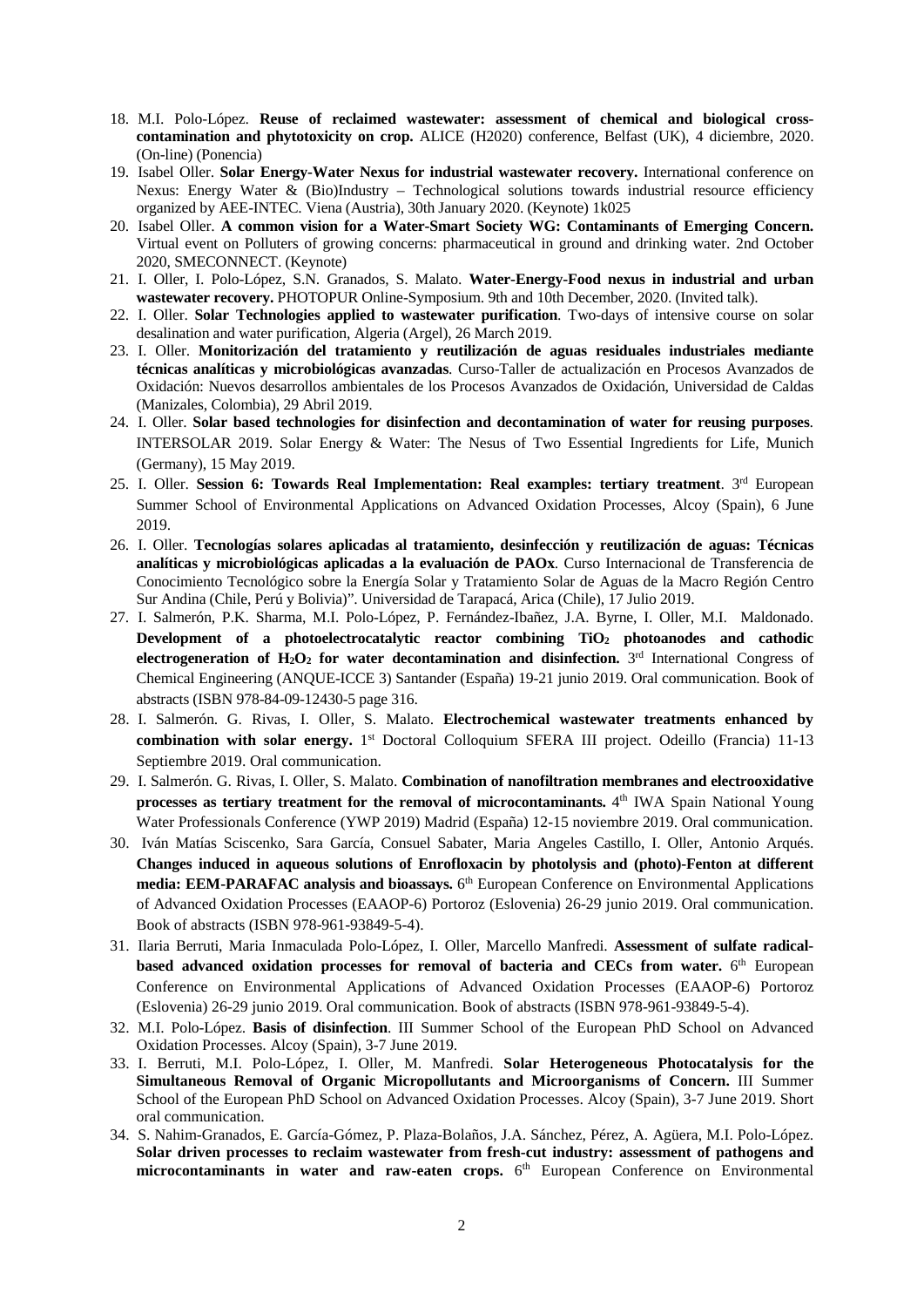- 18. M.I. Polo-López. **Reuse of reclaimed wastewater: assessment of chemical and biological crosscontamination and phytotoxicity on crop.** ALICE (H2020) conference, Belfast (UK), 4 diciembre, 2020. (On-line) (Ponencia)
- 19. Isabel Oller. **Solar Energy-Water Nexus for industrial wastewater recovery.** International conference on Nexus: Energy Water & (Bio)Industry – Technological solutions towards industrial resource efficiency organized by AEE-INTEC. Viena (Austria), 30th January 2020. (Keynote) 1k025
- 20. Isabel Oller. **A common vision for a Water-Smart Society WG: Contaminants of Emerging Concern.**  Virtual event on Polluters of growing concerns: pharmaceutical in ground and drinking water. 2nd October 2020, SMECONNECT. (Keynote)
- 21. I. Oller, I. Polo-López, S.N. Granados, S. Malato. **Water-Energy-Food nexus in industrial and urban wastewater recovery.** PHOTOPUR Online-Symposium. 9th and 10th December, 2020. (Invited talk).
- 22. I. Oller. **Solar Technologies applied to wastewater purification**. Two-days of intensive course on solar desalination and water purification, Algeria (Argel), 26 March 2019.
- 23. I. Oller. **Monitorización del tratamiento y reutilización de aguas residuales industriales mediante técnicas analíticas y microbiológicas avanzadas**. Curso-Taller de actualización en Procesos Avanzados de Oxidación: Nuevos desarrollos ambientales de los Procesos Avanzados de Oxidación, Universidad de Caldas (Manizales, Colombia), 29 Abril 2019.
- 24. I. Oller. **Solar based technologies for disinfection and decontamination of water for reusing purposes**. INTERSOLAR 2019. Solar Energy & Water: The Nesus of Two Essential Ingredients for Life, Munich (Germany), 15 May 2019.
- 25. I. Oller. **Session 6: Towards Real Implementation: Real examples: tertiary treatment**. 3rd European Summer School of Environmental Applications on Advanced Oxidation Processes, Alcoy (Spain), 6 June 2019.
- 26. I. Oller. **Tecnologías solares aplicadas al tratamiento, desinfección y reutilización de aguas: Técnicas analíticas y microbiológicas aplicadas a la evaluación de PAOx**. Curso Internacional de Transferencia de Conocimiento Tecnológico sobre la Energía Solar y Tratamiento Solar de Aguas de la Macro Región Centro Sur Andina (Chile, Perú y Bolivia)". Universidad de Tarapacá, Arica (Chile), 17 Julio 2019.
- 27. I. Salmerón, P.K. Sharma, M.I. Polo-López, P. Fernández-Ibañez, J.A. Byrne, I. Oller, M.I. Maldonado. **Development of a photoelectrocatalytic reactor combining TiO2 photoanodes and cathodic electrogeneration of H<sub>2</sub>O<sub>2</sub> for water decontamination and disinfection.** 3<sup>rd</sup> International Congress of Chemical Engineering (ANQUE-ICCE 3) Santander (España) 19-21 junio 2019. Oral communication. Book of abstracts (ISBN 978-84-09-12430-5 page 316.
- 28. I. Salmerón. G. Rivas, I. Oller, S. Malato. **Electrochemical wastewater treatments enhanced by combination with solar energy.** 1<sup>st</sup> Doctoral Colloquium SFERA III project. Odeillo (Francia) 11-13 Septiembre 2019. Oral communication.
- 29. I. Salmerón. G. Rivas, I. Oller, S. Malato. **Combination of nanofiltration membranes and electrooxidative processes as tertiary treatment for the removal of microcontaminants.** 4<sup>th</sup> IWA Spain National Young Water Professionals Conference (YWP 2019) Madrid (España) 12-15 noviembre 2019. Oral communication.
- 30. Iván Matías Sciscenko, Sara García, Consuel Sabater, Maria Angeles Castillo, I. Oller, Antonio Arqués. **Changes induced in aqueous solutions of Enrofloxacin by photolysis and (photo)-Fenton at different media: EEM-PARAFAC analysis and bioassays.** 6th European Conference on Environmental Applications of Advanced Oxidation Processes (EAAOP-6) Portoroz (Eslovenia) 26-29 junio 2019. Oral communication. Book of abstracts (ISBN 978-961-93849-5-4).
- 31. Ilaria Berruti, Maria Inmaculada Polo-López, I. Oller, Marcello Manfredi. **Assessment of sulfate radicalbased advanced oxidation processes for removal of bacteria and CECs from water.**  $6<sup>th</sup>$  European Conference on Environmental Applications of Advanced Oxidation Processes (EAAOP-6) Portoroz (Eslovenia) 26-29 junio 2019. Oral communication. Book of abstracts (ISBN 978-961-93849-5-4).
- 32. M.I. Polo-López. **Basis of disinfection**. III Summer School of the European PhD School on Advanced Oxidation Processes. Alcoy (Spain), 3-7 June 2019.
- 33. I. Berruti, M.I. Polo-López, I. Oller, M. Manfredi. **Solar Heterogeneous Photocatalysis for the Simultaneous Removal of Organic Micropollutants and Microorganisms of Concern.** III Summer School of the European PhD School on Advanced Oxidation Processes. Alcoy (Spain), 3-7 June 2019. Short oral communication.
- 34. S. Nahim-Granados, E. García-Gómez, P. Plaza-Bolaños, J.A. Sánchez, Pérez, A. Agüera, M.I. Polo-López. **Solar driven processes to reclaim wastewater from fresh-cut industry: assessment of pathogens and**  microcontaminants in water and raw-eaten crops. 6<sup>th</sup> European Conference on Environmental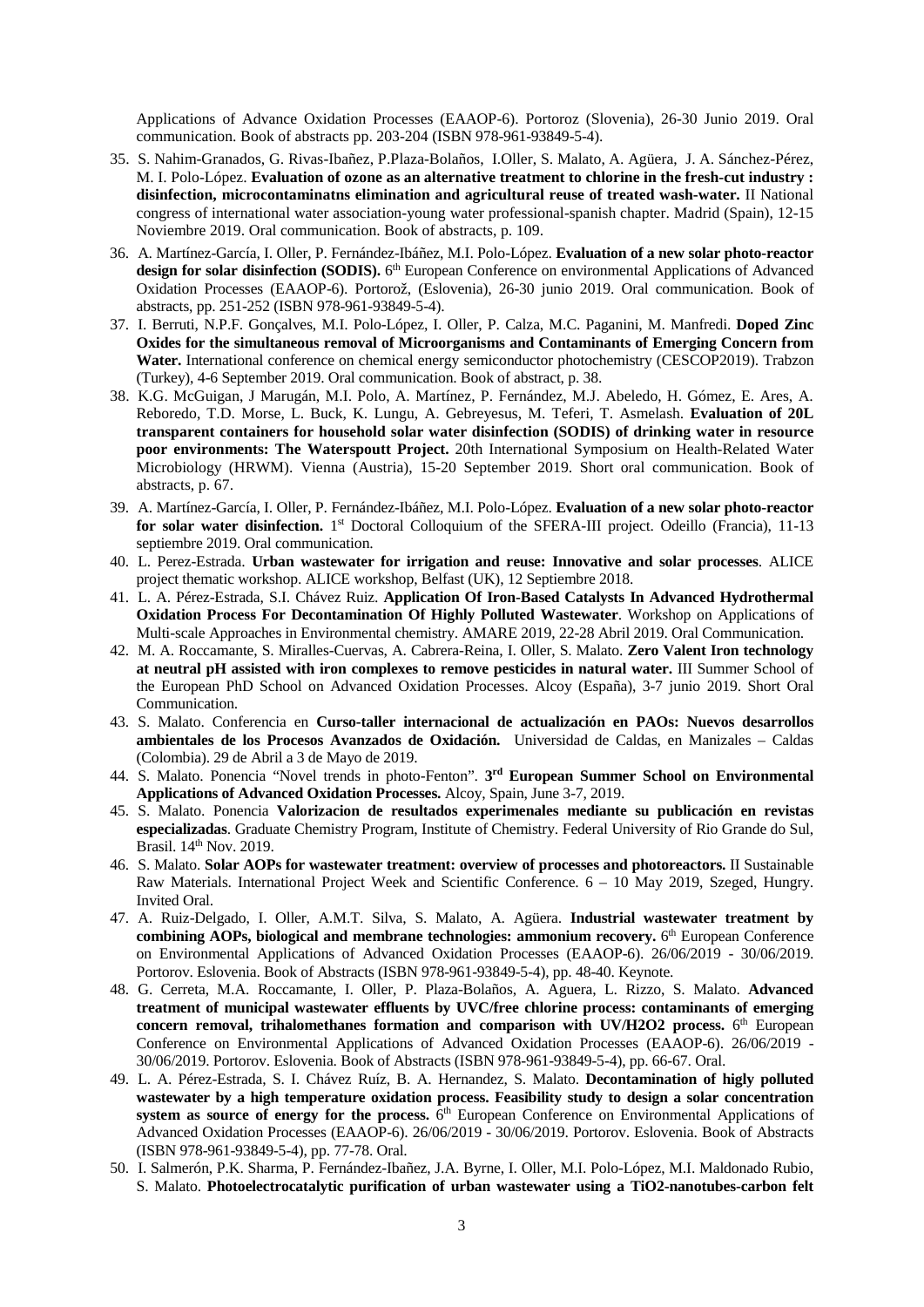Applications of Advance Oxidation Processes (EAAOP-6). Portoroz (Slovenia), 26-30 Junio 2019. Oral communication. Book of abstracts pp. 203-204 (ISBN 978-961-93849-5-4).

- 35. S. Nahim-Granados, G. Rivas-Ibañez, P.Plaza-Bolaños, I.Oller, S. Malato, A. Agüera, J. A. Sánchez-Pérez, M. I. Polo-López. **Evaluation of ozone as an alternative treatment to chlorine in the fresh-cut industry : disinfection, microcontaminatns elimination and agricultural reuse of treated wash-water.** II National congress of international water association-young water professional-spanish chapter. Madrid (Spain), 12-15 Noviembre 2019. Oral communication. Book of abstracts, p. 109.
- 36. A. Martínez-García, I. Oller, P. Fernández-Ibáñez, M.I. Polo-López. **Evaluation of a new solar photo-reactor**  design for solar disinfection (SODIS).  $6<sup>th</sup>$  European Conference on environmental Applications of Advanced Oxidation Processes (EAAOP-6). Portorož, (Eslovenia), 26-30 junio 2019. Oral communication. Book of abstracts, pp. 251-252 (ISBN 978-961-93849-5-4).
- 37. I. Berruti, N.P.F. Gonçalves, M.I. Polo-López, I. Oller, P. Calza, M.C. Paganini, M. Manfredi. **Doped Zinc Oxides for the simultaneous removal of Microorganisms and Contaminants of Emerging Concern from Water.** International conference on chemical energy semiconductor photochemistry (CESCOP2019). Trabzon (Turkey), 4-6 September 2019. Oral communication. Book of abstract, p. 38.
- 38. K.G. McGuigan, J Marugán, M.I. Polo, A. Martínez, P. Fernández, M.J. Abeledo, H. Gómez, E. Ares, A. Reboredo, T.D. Morse, L. Buck, K. Lungu, A. Gebreyesus, M. Teferi, T. Asmelash. **Evaluation of 20L transparent containers for household solar water disinfection (SODIS) of drinking water in resource poor environments: The Waterspoutt Project.** 20th International Symposium on Health-Related Water Microbiology (HRWM). Vienna (Austria), 15-20 September 2019. Short oral communication. Book of abstracts, p. 67.
- 39. A. Martínez-García, I. Oller, P. Fernández-Ibáñez, M.I. Polo-López. **Evaluation of a new solar photo-reactor for solar water disinfection.** 1st Doctoral Colloquium of the SFERA-III project. Odeillo (Francia), 11-13 septiembre 2019. Oral communication.
- 40. L. Perez-Estrada. **Urban wastewater for irrigation and reuse: Innovative and solar processes**. ALICE project thematic workshop. ALICE workshop, Belfast (UK), 12 Septiembre 2018.
- 41. L. A. Pérez-Estrada, S.I. Chávez Ruiz. **Application Of Iron-Based Catalysts In Advanced Hydrothermal Oxidation Process For Decontamination Of Highly Polluted Wastewater**. Workshop on Applications of Multi-scale Approaches in Environmental chemistry. AMARE 2019, 22-28 Abril 2019. Oral Communication.
- 42. M. A. Roccamante, S. Miralles-Cuervas, A. Cabrera-Reina, I. Oller, S. Malato. **Zero Valent Iron technology at neutral pH assisted with iron complexes to remove pesticides in natural water.** III Summer School of the European PhD School on Advanced Oxidation Processes. Alcoy (España), 3-7 junio 2019. Short Oral Communication.
- 43. S. Malato. Conferencia en **Curso-taller internacional de actualización en PAOs: Nuevos desarrollos ambientales de los Procesos Avanzados de Oxidación.** Universidad de Caldas, en Manizales – Caldas (Colombia). 29 de Abril a 3 de Mayo de 2019.
- 44. S. Malato. Ponencia "Novel trends in photo-Fenton". **3rd European Summer School on Environmental Applications of Advanced Oxidation Processes.** Alcoy, Spain, June 3-7, 2019.
- 45. S. Malato. Ponencia **Valorizacion de resultados experimenales mediante su publicación en revistas especializadas**. Graduate Chemistry Program, Institute of Chemistry. Federal University of Rio Grande do Sul, Brasil. 14<sup>th</sup> Nov. 2019.
- 46. S. Malato. **Solar AOPs for wastewater treatment: overview of processes and photoreactors.** II Sustainable Raw Materials. International Project Week and Scientific Conference. 6 – 10 May 2019, Szeged, Hungry. Invited Oral.
- 47. A. Ruiz-Delgado, I. Oller, A.M.T. Silva, S. Malato, A. Agüera. **Industrial wastewater treatment by combining AOPs, biological and membrane technologies: ammonium recovery.** 6<sup>th</sup> European Conference on Environmental Applications of Advanced Oxidation Processes (EAAOP-6). 26/06/2019 - 30/06/2019. Portorov. Eslovenia. Book of Abstracts (ISBN 978-961-93849-5-4), pp. 48-40. Keynote.
- 48. G. Cerreta, M.A. Roccamante, I. Oller, P. Plaza-Bolaños, A. Aguera, L. Rizzo, S. Malato. **Advanced treatment of municipal wastewater effluents by UVC/free chlorine process: contaminants of emerging**  concern removal, trihalomethanes formation and comparison with UV/H2O2 process. 6<sup>th</sup> European Conference on Environmental Applications of Advanced Oxidation Processes (EAAOP-6). 26/06/2019 - 30/06/2019. Portorov. Eslovenia. Book of Abstracts (ISBN 978-961-93849-5-4), pp. 66-67. Oral.
- 49. L. A. Pérez-Estrada, S. I. Chávez Ruíz, B. A. Hernandez, S. Malato. **Decontamination of higly polluted wastewater by a high temperature oxidation process. Feasibility study to design a solar concentration**  system as source of energy for the process.  $6<sup>th</sup>$  European Conference on Environmental Applications of Advanced Oxidation Processes (EAAOP-6). 26/06/2019 - 30/06/2019. Portorov. Eslovenia. Book of Abstracts (ISBN 978-961-93849-5-4), pp. 77-78. Oral.
- 50. I. Salmerón, P.K. Sharma, P. Fernández-Ibañez, J.A. Byrne, I. Oller, M.I. Polo-López, M.I. Maldonado Rubio, S. Malato. **Photoelectrocatalytic purification of urban wastewater using a TiO2-nanotubes-carbon felt**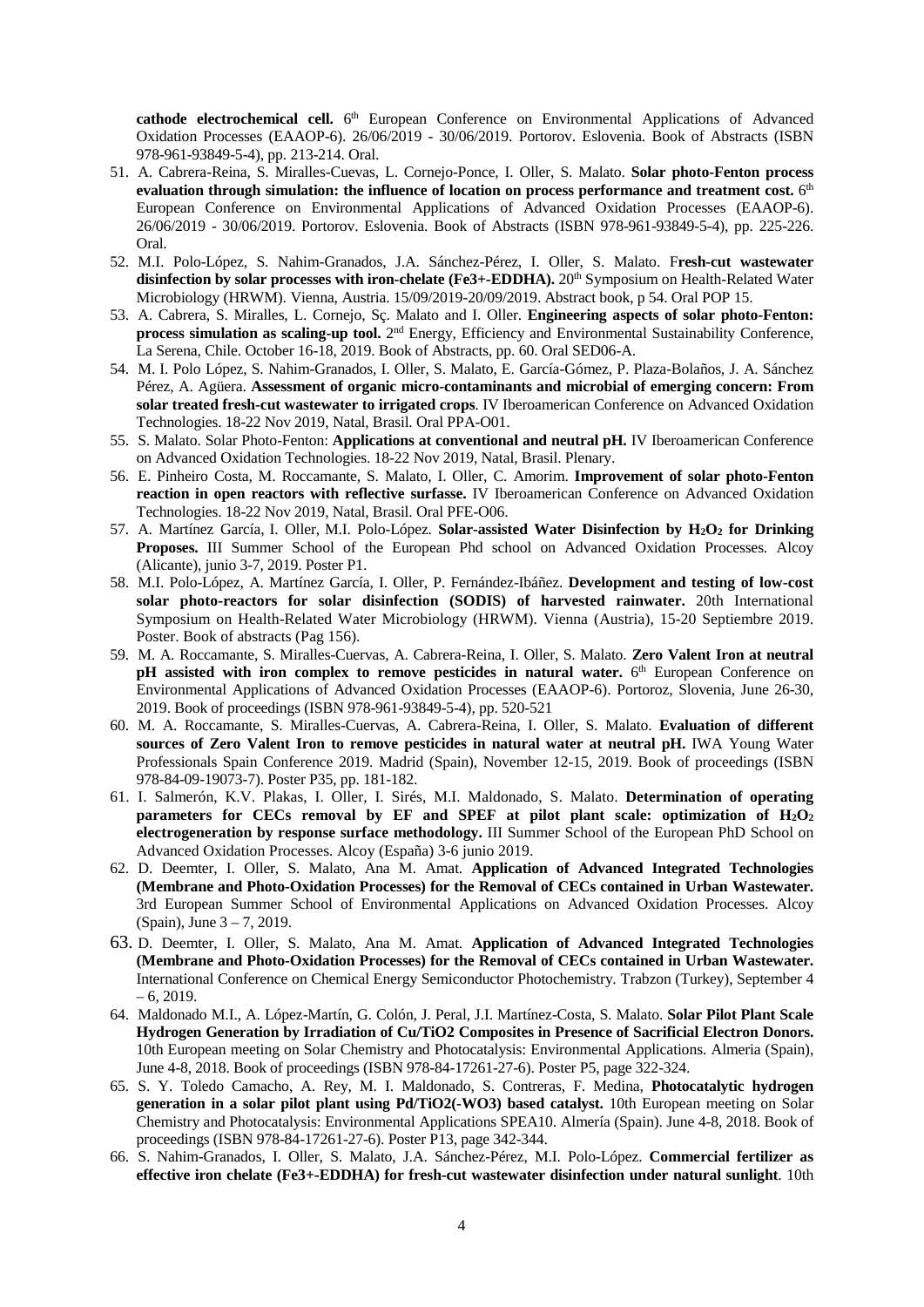cathode electrochemical cell. 6<sup>th</sup> European Conference on Environmental Applications of Advanced Oxidation Processes (EAAOP-6). 26/06/2019 - 30/06/2019. Portorov. Eslovenia. Book of Abstracts (ISBN 978-961-93849-5-4), pp. 213-214. Oral.

- 51. A. Cabrera-Reina, S. Miralles-Cuevas, L. Cornejo-Ponce, I. Oller, S. Malato. **Solar photo-Fenton process**  evaluation through simulation: the influence of location on process performance and treatment cost.  $6<sup>th</sup>$ European Conference on Environmental Applications of Advanced Oxidation Processes (EAAOP-6). 26/06/2019 - 30/06/2019. Portorov. Eslovenia. Book of Abstracts (ISBN 978-961-93849-5-4), pp. 225-226. Oral.
- 52. M.I. Polo-López, S. Nahim-Granados, J.A. Sánchez-Pérez, I. Oller, S. Malato. F**resh-cut wastewater**  disinfection by solar processes with iron-chelate (Fe3+-EDDHA). 20<sup>th</sup> Symposium on Health-Related Water Microbiology (HRWM). Vienna, Austria. 15/09/2019-20/09/2019. Abstract book, p 54. Oral POP 15.
- 53. A. Cabrera, S. Miralles, L. Cornejo, Sç. Malato and I. Oller. **Engineering aspects of solar photo-Fenton: process simulation as scaling-up tool.** 2<sup>nd</sup> Energy, Efficiency and Environmental Sustainability Conference, La Serena, Chile. October 16-18, 2019. Book of Abstracts, pp. 60. Oral SED06-A.
- 54. M. I. Polo López, S. Nahim-Granados, I. Oller, S. Malato, E. García-Gómez, P. Plaza-Bolaños, J. A. Sánchez Pérez, A. Agüera. **Assessment of organic micro-contaminants and microbial of emerging concern: From solar treated fresh-cut wastewater to irrigated crops**. IV Iberoamerican Conference on Advanced Oxidation Technologies. 18-22 Nov 2019, Natal, Brasil. Oral PPA-O01.
- 55. S. Malato. Solar Photo-Fenton: **Applications at conventional and neutral pH.** IV Iberoamerican Conference on Advanced Oxidation Technologies. 18-22 Nov 2019, Natal, Brasil. Plenary.
- 56. E. Pinheiro Costa, M. Roccamante, S. Malato, I. Oller, C. Amorim. **Improvement of solar photo-Fenton reaction in open reactors with reflective surfasse.** IV Iberoamerican Conference on Advanced Oxidation Technologies. 18-22 Nov 2019, Natal, Brasil. Oral PFE-O06.
- 57. A. Martínez García, I. Oller, M.I. Polo-López. **Solar-assisted Water Disinfection by H2O2 for Drinking Proposes.** III Summer School of the European Phd school on Advanced Oxidation Processes. Alcoy (Alicante), junio 3-7, 2019. Poster P1.
- 58. M.I. Polo-López, A. Martínez García, I. Oller, P. Fernández-Ibáñez. **Development and testing of low-cost solar photo-reactors for solar disinfection (SODIS) of harvested rainwater.** 20th International Symposium on Health-Related Water Microbiology (HRWM). Vienna (Austria), 15-20 Septiembre 2019. Poster. Book of abstracts (Pag 156).
- 59. M. A. Roccamante, S. Miralles-Cuervas, A. Cabrera-Reina, I. Oller, S. Malato. **Zero Valent Iron at neutral pH** assisted with iron complex to remove pesticides in natural water. 6<sup>th</sup> European Conference on Environmental Applications of Advanced Oxidation Processes (EAAOP-6). Portoroz, Slovenia, June 26-30, 2019. Book of proceedings (ISBN 978-961-93849-5-4), pp. 520-521
- 60. M. A. Roccamante, S. Miralles-Cuervas, A. Cabrera-Reina, I. Oller, S. Malato. **Evaluation of different sources of Zero Valent Iron to remove pesticides in natural water at neutral pH.** IWA Young Water Professionals Spain Conference 2019. Madrid (Spain), November 12-15, 2019. Book of proceedings (ISBN 978-84-09-19073-7). Poster P35, pp. 181-182.
- 61. I. Salmerón, K.V. Plakas, I. Oller, I. Sirés, M.I. Maldonado, S. Malato. **Determination of operating parameters for CECs removal by EF and SPEF at pilot plant scale: optimization of H2O2 electrogeneration by response surface methodology.** III Summer School of the European PhD School on Advanced Oxidation Processes. Alcoy (España) 3-6 junio 2019.
- 62. D. Deemter, I. Oller, S. Malato, Ana M. Amat. **Application of Advanced Integrated Technologies (Membrane and Photo-Oxidation Processes) for the Removal of CECs contained in Urban Wastewater.**  3rd European Summer School of Environmental Applications on Advanced Oxidation Processes. Alcoy (Spain), June 3 – 7, 2019.
- 63. D. Deemter, I. Oller, S. Malato, Ana M. Amat. **Application of Advanced Integrated Technologies (Membrane and Photo-Oxidation Processes) for the Removal of CECs contained in Urban Wastewater.**  International Conference on Chemical Energy Semiconductor Photochemistry. Trabzon (Turkey), September 4  $-6, 2019.$
- 64. Maldonado M.I., A. López-Martín, G. Colón, J. Peral, J.I. Martínez-Costa, S. Malato. **Solar Pilot Plant Scale Hydrogen Generation by Irradiation of Cu/TiO2 Composites in Presence of Sacrificial Electron Donors.** 10th European meeting on Solar Chemistry and Photocatalysis: Environmental Applications. Almeria (Spain), June 4-8, 2018. Book of proceedings (ISBN 978-84-17261-27-6). Poster P5, page 322-324.
- 65. S. Y. Toledo Camacho, A. Rey, M. I. Maldonado, S. Contreras, F. Medina, **Photocatalytic hydrogen generation in a solar pilot plant using Pd/TiO2(-WO3) based catalyst.** 10th European meeting on Solar Chemistry and Photocatalysis: Environmental Applications SPEA10. Almería (Spain). June 4-8, 2018. Book of proceedings (ISBN 978-84-17261-27-6). Poster P13, page 342-344.
- 66. S. Nahim-Granados, I. Oller, S. Malato, J.A. Sánchez-Pérez, M.I. Polo-López. **Commercial fertilizer as effective iron chelate (Fe3+-EDDHA) for fresh-cut wastewater disinfection under natural sunlight**. 10th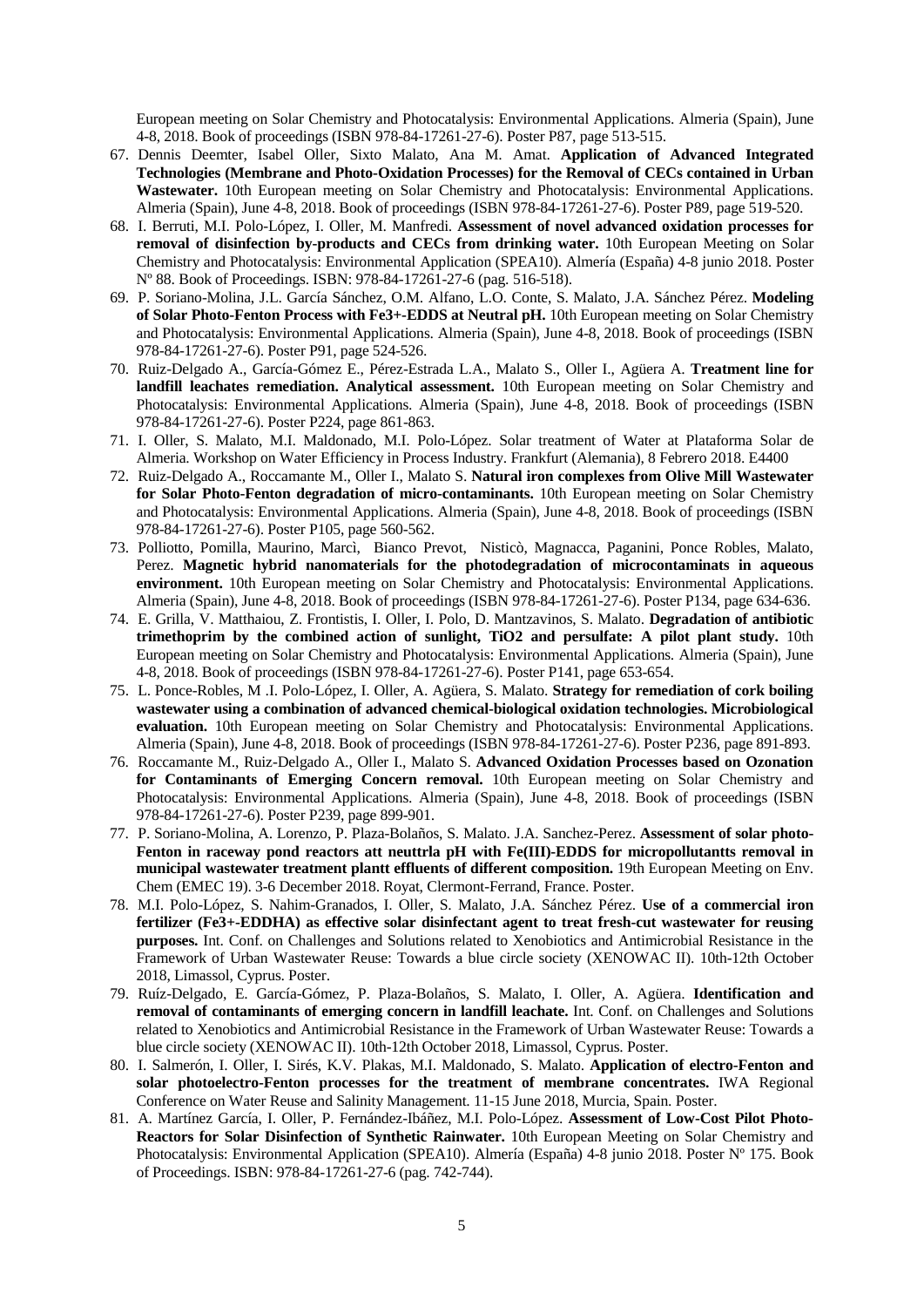European meeting on Solar Chemistry and Photocatalysis: Environmental Applications. Almeria (Spain), June 4-8, 2018. Book of proceedings (ISBN 978-84-17261-27-6). Poster P87, page 513-515.

- 67. Dennis Deemter, Isabel Oller, Sixto Malato, Ana M. Amat. **Application of Advanced Integrated Technologies (Membrane and Photo-Oxidation Processes) for the Removal of CECs contained in Urban Wastewater.** 10th European meeting on Solar Chemistry and Photocatalysis: Environmental Applications. Almeria (Spain), June 4-8, 2018. Book of proceedings (ISBN 978-84-17261-27-6). Poster P89, page 519-520.
- 68. I. Berruti, M.I. Polo-López, I. Oller, M. Manfredi. **Assessment of novel advanced oxidation processes for removal of disinfection by-products and CECs from drinking water.** 10th European Meeting on Solar Chemistry and Photocatalysis: Environmental Application (SPEA10). Almería (España) 4-8 junio 2018. Poster Nº 88. Book of Proceedings. ISBN: 978-84-17261-27-6 (pag. 516-518).
- 69. P. Soriano-Molina, J.L. García Sánchez, O.M. Alfano, L.O. Conte, S. Malato, J.A. Sánchez Pérez. **Modeling of Solar Photo-Fenton Process with Fe3+-EDDS at Neutral pH.** 10th European meeting on Solar Chemistry and Photocatalysis: Environmental Applications. Almeria (Spain), June 4-8, 2018. Book of proceedings (ISBN 978-84-17261-27-6). Poster P91, page 524-526.
- 70. Ruiz-Delgado A., García-Gómez E., Pérez-Estrada L.A., Malato S., Oller I., Agüera A. **Treatment line for landfill leachates remediation. Analytical assessment.** 10th European meeting on Solar Chemistry and Photocatalysis: Environmental Applications. Almeria (Spain), June 4-8, 2018. Book of proceedings (ISBN 978-84-17261-27-6). Poster P224, page 861-863.
- 71. I. Oller, S. Malato, M.I. Maldonado, M.I. Polo-López. Solar treatment of Water at Plataforma Solar de Almeria. Workshop on Water Efficiency in Process Industry. Frankfurt (Alemania), 8 Febrero 2018. E4400
- 72. Ruiz-Delgado A., Roccamante M., Oller I., Malato S. **Natural iron complexes from Olive Mill Wastewater for Solar Photo-Fenton degradation of micro-contaminants.** 10th European meeting on Solar Chemistry and Photocatalysis: Environmental Applications. Almeria (Spain), June 4-8, 2018. Book of proceedings (ISBN 978-84-17261-27-6). Poster P105, page 560-562.
- 73. Polliotto, Pomilla, Maurino, Marcì, Bianco Prevot, Nisticò, Magnacca, Paganini, Ponce Robles, Malato, Perez. **Magnetic hybrid nanomaterials for the photodegradation of microcontaminats in aqueous environment.** 10th European meeting on Solar Chemistry and Photocatalysis: Environmental Applications. Almeria (Spain), June 4-8, 2018. Book of proceedings (ISBN 978-84-17261-27-6). Poster P134, page 634-636.
- 74. E. Grilla, V. Matthaiou, Z. Frontistis, I. Oller, I. Polo, D. Mantzavinos, S. Malato. **Degradation of antibiotic trimethoprim by the combined action of sunlight, TiO2 and persulfate: A pilot plant study.** 10th European meeting on Solar Chemistry and Photocatalysis: Environmental Applications. Almeria (Spain), June 4-8, 2018. Book of proceedings (ISBN 978-84-17261-27-6). Poster P141, page 653-654.
- 75. L. Ponce-Robles, M .I. Polo-López, I. Oller, A. Agüera, S. Malato. **Strategy for remediation of cork boiling wastewater using a combination of advanced chemical-biological oxidation technologies. Microbiological evaluation.** 10th European meeting on Solar Chemistry and Photocatalysis: Environmental Applications. Almeria (Spain), June 4-8, 2018. Book of proceedings (ISBN 978-84-17261-27-6). Poster P236, page 891-893.
- 76. Roccamante M., Ruiz-Delgado A., Oller I., Malato S. **Advanced Oxidation Processes based on Ozonation for Contaminants of Emerging Concern removal.** 10th European meeting on Solar Chemistry and Photocatalysis: Environmental Applications. Almeria (Spain), June 4-8, 2018. Book of proceedings (ISBN 978-84-17261-27-6). Poster P239, page 899-901.
- 77. P. Soriano-Molina, A. Lorenzo, P. Plaza-Bolaños, S. Malato. J.A. Sanchez-Perez. **Assessment of solar photo-**Fenton in raceway pond reactors att neuttrla pH with Fe(III)-EDDS for micropollutantts removal in **municipal wastewater treatment plantt effluents of different composition.** 19th European Meeting on Env. Chem (EMEC 19). 3-6 December 2018. Royat, Clermont-Ferrand, France. Poster.
- 78. M.I. Polo-López, S. Nahim-Granados, I. Oller, S. Malato, J.A. Sánchez Pérez. **Use of a commercial iron fertilizer (Fe3+-EDDHA) as effective solar disinfectant agent to treat fresh-cut wastewater for reusing purposes.** Int. Conf. on Challenges and Solutions related to Xenobiotics and Antimicrobial Resistance in the Framework of Urban Wastewater Reuse: Towards a blue circle society (XENOWAC II). 10th-12th October 2018, Limassol, Cyprus. Poster.
- 79. Ruíz-Delgado, E. García-Gómez, P. Plaza-Bolaños, S. Malato, I. Oller, A. Agüera. **Identification and removal of contaminants of emerging concern in landfill leachate.** Int. Conf. on Challenges and Solutions related to Xenobiotics and Antimicrobial Resistance in the Framework of Urban Wastewater Reuse: Towards a blue circle society (XENOWAC II). 10th-12th October 2018, Limassol, Cyprus. Poster.
- 80. I. Salmerón, I. Oller, I. Sirés, K.V. Plakas, M.I. Maldonado, S. Malato. **Application of electro-Fenton and solar photoelectro-Fenton processes for the treatment of membrane concentrates.** IWA Regional Conference on Water Reuse and Salinity Management. 11-15 June 2018, Murcia, Spain. Poster.
- 81. A. Martínez García, I. Oller, P. Fernández-Ibáñez, M.I. Polo-López. **Assessment of Low-Cost Pilot Photo-Reactors for Solar Disinfection of Synthetic Rainwater.** 10th European Meeting on Solar Chemistry and Photocatalysis: Environmental Application (SPEA10). Almería (España) 4-8 junio 2018. Poster Nº 175. Book of Proceedings. ISBN: 978-84-17261-27-6 (pag. 742-744).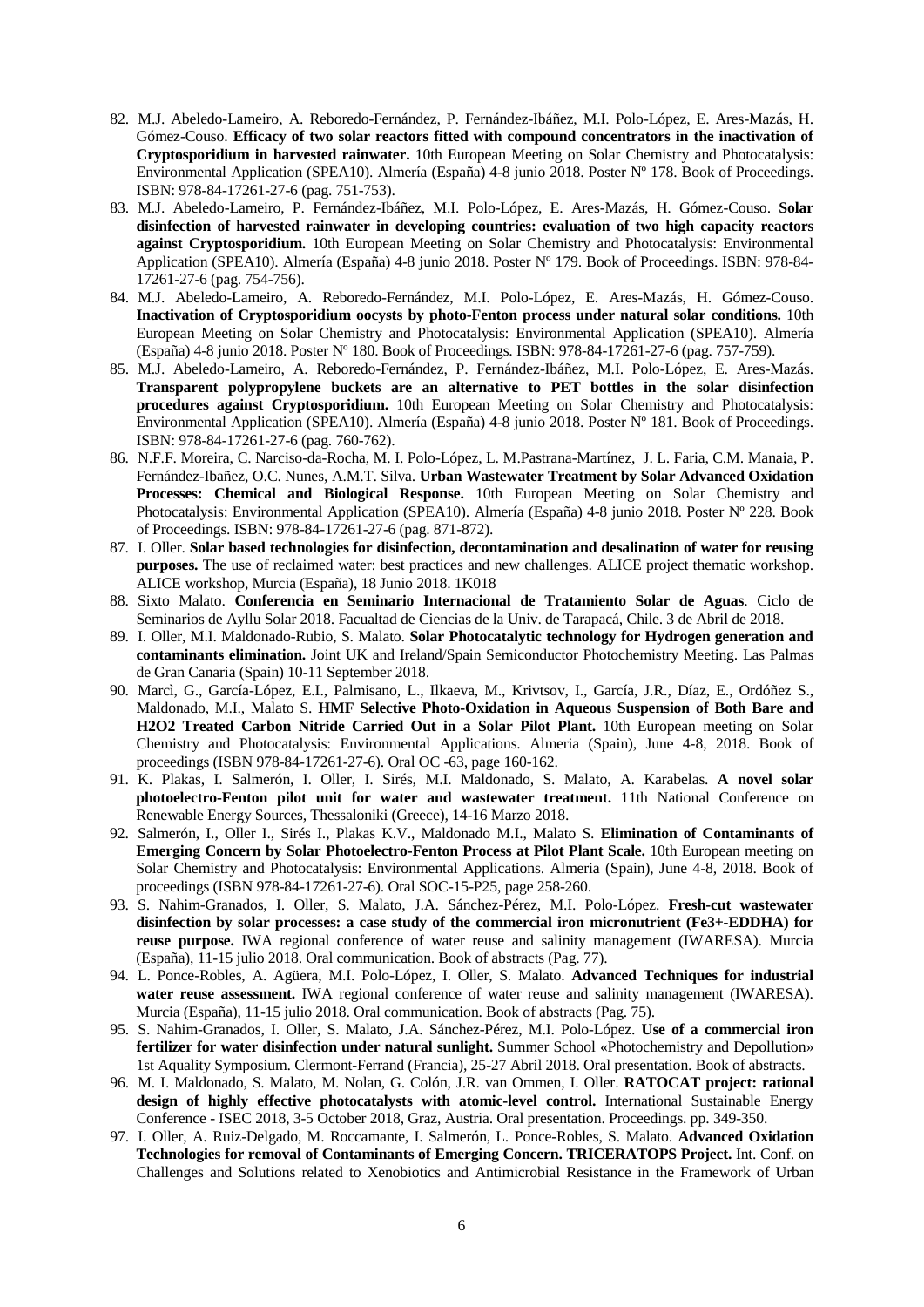- 82. M.J. Abeledo-Lameiro, A. Reboredo-Fernández, P. Fernández-Ibáñez, M.I. Polo-López, E. Ares-Mazás, H. Gómez-Couso. **Efficacy of two solar reactors fitted with compound concentrators in the inactivation of Cryptosporidium in harvested rainwater.** 10th European Meeting on Solar Chemistry and Photocatalysis: Environmental Application (SPEA10). Almería (España) 4-8 junio 2018. Poster Nº 178. Book of Proceedings. ISBN: 978-84-17261-27-6 (pag. 751-753).
- 83. M.J. Abeledo-Lameiro, P. Fernández-Ibáñez, M.I. Polo-López, E. Ares-Mazás, H. Gómez-Couso. **Solar disinfection of harvested rainwater in developing countries: evaluation of two high capacity reactors against Cryptosporidium.** 10th European Meeting on Solar Chemistry and Photocatalysis: Environmental Application (SPEA10). Almería (España) 4-8 junio 2018. Poster Nº 179. Book of Proceedings. ISBN: 978-84- 17261-27-6 (pag. 754-756).
- 84. M.J. Abeledo-Lameiro, A. Reboredo-Fernández, M.I. Polo-López, E. Ares-Mazás, H. Gómez-Couso. **Inactivation of Cryptosporidium oocysts by photo-Fenton process under natural solar conditions.** 10th European Meeting on Solar Chemistry and Photocatalysis: Environmental Application (SPEA10). Almería (España) 4-8 junio 2018. Poster Nº 180. Book of Proceedings. ISBN: 978-84-17261-27-6 (pag. 757-759).
- 85. M.J. Abeledo-Lameiro, A. Reboredo-Fernández, P. Fernández-Ibáñez, M.I. Polo-López, E. Ares-Mazás. **Transparent polypropylene buckets are an alternative to PET bottles in the solar disinfection procedures against Cryptosporidium.** 10th European Meeting on Solar Chemistry and Photocatalysis: Environmental Application (SPEA10). Almería (España) 4-8 junio 2018. Poster Nº 181. Book of Proceedings. ISBN: 978-84-17261-27-6 (pag. 760-762).
- 86. N.F.F. Moreira, C. Narciso-da-Rocha, M. I. Polo-López, L. M.Pastrana-Martínez, J. L. Faria, C.M. Manaia, P. Fernández-Ibañez, O.C. Nunes, A.M.T. Silva. **Urban Wastewater Treatment by Solar Advanced Oxidation Processes: Chemical and Biological Response.** 10th European Meeting on Solar Chemistry and Photocatalysis: Environmental Application (SPEA10). Almería (España) 4-8 junio 2018. Poster Nº 228. Book of Proceedings. ISBN: 978-84-17261-27-6 (pag. 871-872).
- 87. I. Oller. **Solar based technologies for disinfection, decontamination and desalination of water for reusing purposes.** The use of reclaimed water: best practices and new challenges. ALICE project thematic workshop. ALICE workshop, Murcia (España), 18 Junio 2018. 1K018
- 88. Sixto Malato. **Conferencia en Seminario Internacional de Tratamiento Solar de Aguas**. Ciclo de Seminarios de Ayllu Solar 2018. Facualtad de Ciencias de la Univ. de Tarapacá, Chile. 3 de Abril de 2018.
- 89. I. Oller, M.I. Maldonado-Rubio, S. Malato. **Solar Photocatalytic technology for Hydrogen generation and contaminants elimination.** Joint UK and Ireland/Spain Semiconductor Photochemistry Meeting. Las Palmas de Gran Canaria (Spain) 10-11 September 2018.
- 90. Marcì, G., García-López, E.I., Palmisano, L., Ilkaeva, M., Krivtsov, I., García, J.R., Díaz, E., Ordóñez S., Maldonado, M.I., Malato S. **HMF Selective Photo-Oxidation in Aqueous Suspension of Both Bare and H2O2 Treated Carbon Nitride Carried Out in a Solar Pilot Plant.** 10th European meeting on Solar Chemistry and Photocatalysis: Environmental Applications. Almeria (Spain), June 4-8, 2018. Book of proceedings (ISBN 978-84-17261-27-6). Oral OC -63, page 160-162.
- 91. K. Plakas, I. Salmerón, I. Oller, I. Sirés, M.I. Maldonado, S. Malato, A. Karabelas. **A novel solar photoelectro-Fenton pilot unit for water and wastewater treatment.** 11th National Conference on Renewable Energy Sources, Thessaloniki (Greece), 14-16 Marzo 2018.
- 92. Salmerón, I., Oller I., Sirés I., Plakas K.V., Maldonado M.I., Malato S. **Elimination of Contaminants of Emerging Concern by Solar Photoelectro-Fenton Process at Pilot Plant Scale.** 10th European meeting on Solar Chemistry and Photocatalysis: Environmental Applications. Almeria (Spain), June 4-8, 2018. Book of proceedings (ISBN 978-84-17261-27-6). Oral SOC-15-P25, page 258-260.
- 93. S. Nahim-Granados, I. Oller, S. Malato, J.A. Sánchez-Pérez, M.I. Polo-López. **Fresh-cut wastewater disinfection by solar processes: a case study of the commercial iron micronutrient (Fe3+-EDDHA) for reuse purpose.** IWA regional conference of water reuse and salinity management (IWARESA). Murcia (España), 11-15 julio 2018. Oral communication. Book of abstracts (Pag. 77).
- 94. L. Ponce-Robles, A. Agüera, M.I. Polo-López, I. Oller, S. Malato. **Advanced Techniques for industrial water reuse assessment.** IWA regional conference of water reuse and salinity management (IWARESA). Murcia (España), 11-15 julio 2018. Oral communication. Book of abstracts (Pag. 75).
- 95. S. Nahim-Granados, I. Oller, S. Malato, J.A. Sánchez-Pérez, M.I. Polo-López. **Use of a commercial iron fertilizer for water disinfection under natural sunlight.** Summer School «Photochemistry and Depollution» 1st Aquality Symposium. Clermont-Ferrand (Francia), 25-27 Abril 2018. Oral presentation. Book of abstracts.
- 96. M. I. Maldonado, S. Malato, M. Nolan, G. Colón, J.R. van Ommen, I. Oller. **RATOCAT project: rational design of highly effective photocatalysts with atomic-level control.** International Sustainable Energy Conference - ISEC 2018, 3-5 October 2018, Graz, Austria. Oral presentation. Proceedings. pp. 349-350.
- 97. I. Oller, A. Ruiz-Delgado, M. Roccamante, I. Salmerón, L. Ponce-Robles, S. Malato. **Advanced Oxidation Technologies for removal of Contaminants of Emerging Concern. TRICERATOPS Project.** Int. Conf. on Challenges and Solutions related to Xenobiotics and Antimicrobial Resistance in the Framework of Urban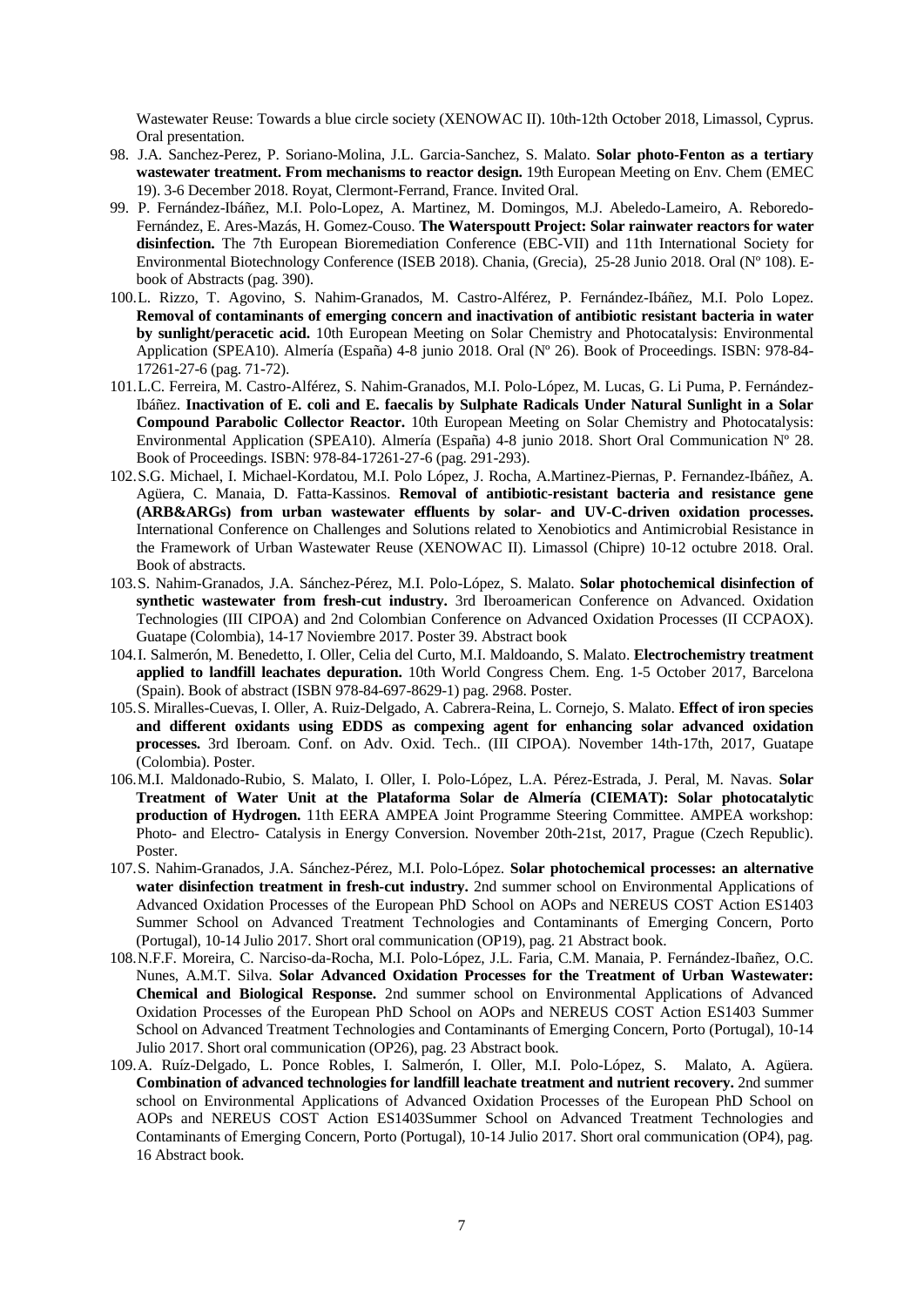Wastewater Reuse: Towards a blue circle society (XENOWAC II). 10th-12th October 2018, Limassol, Cyprus. Oral presentation.

- 98. J.A. Sanchez-Perez, P. Soriano-Molina, J.L. Garcia-Sanchez, S. Malato. **Solar photo-Fenton as a tertiary wastewater treatment. From mechanisms to reactor design.** 19th European Meeting on Env. Chem (EMEC 19). 3-6 December 2018. Royat, Clermont-Ferrand, France. Invited Oral.
- 99. P. Fernández-Ibáñez, M.I. Polo-Lopez, A. Martinez, M. Domingos, M.J. Abeledo-Lameiro, A. Reboredo-Fernández, E. Ares-Mazás, H. Gomez-Couso. **The Waterspoutt Project: Solar rainwater reactors for water disinfection.** The 7th European Bioremediation Conference (EBC-VII) and 11th International Society for Environmental Biotechnology Conference (ISEB 2018). Chania, (Grecia), 25-28 Junio 2018. Oral (Nº 108). Ebook of Abstracts (pag. 390).
- 100.L. Rizzo, T. Agovino, S. Nahim-Granados, M. Castro-Alférez, P. Fernández-Ibáñez, M.I. Polo Lopez. **Removal of contaminants of emerging concern and inactivation of antibiotic resistant bacteria in water by sunlight/peracetic acid.** 10th European Meeting on Solar Chemistry and Photocatalysis: Environmental Application (SPEA10). Almería (España) 4-8 junio 2018. Oral (Nº 26). Book of Proceedings. ISBN: 978-84- 17261-27-6 (pag. 71-72).
- 101.L.C. Ferreira, M. Castro-Alférez, S. Nahim-Granados, M.I. Polo-López, M. Lucas, G. Li Puma, P. Fernández-Ibáñez. **Inactivation of E. coli and E. faecalis by Sulphate Radicals Under Natural Sunlight in a Solar Compound Parabolic Collector Reactor.** 10th European Meeting on Solar Chemistry and Photocatalysis: Environmental Application (SPEA10). Almería (España) 4-8 junio 2018. Short Oral Communication Nº 28. Book of Proceedings. ISBN: 978-84-17261-27-6 (pag. 291-293).
- 102.S.G. Michael, I. Michael-Kordatou, M.I. Polo López, J. Rocha, A.Martinez-Piernas, P. Fernandez-Ibáñez, A. Agüera, C. Manaia, D. Fatta-Kassinos. **Removal of antibiotic-resistant bacteria and resistance gene (ARB&ARGs) from urban wastewater effluents by solar- and UV-C-driven oxidation processes.** International Conference on Challenges and Solutions related to Xenobiotics and Antimicrobial Resistance in the Framework of Urban Wastewater Reuse (XENOWAC II). Limassol (Chipre) 10-12 octubre 2018. Oral. Book of abstracts.
- 103.S. Nahim-Granados, J.A. Sánchez-Pérez, M.I. Polo-López, S. Malato. **Solar photochemical disinfection of synthetic wastewater from fresh-cut industry.** 3rd Iberoamerican Conference on Advanced. Oxidation Technologies (III CIPOA) and 2nd Colombian Conference on Advanced Oxidation Processes (II CCPAOX). Guatape (Colombia), 14-17 Noviembre 2017. Poster 39. Abstract book
- 104.I. Salmerón, M. Benedetto, I. Oller, Celia del Curto, M.I. Maldoando, S. Malato. **Electrochemistry treatment applied to landfill leachates depuration.** 10th World Congress Chem. Eng. 1-5 October 2017, Barcelona (Spain). Book of abstract (ISBN 978-84-697-8629-1) pag. 2968. Poster.
- 105.S. Miralles-Cuevas, I. Oller, A. Ruiz-Delgado, A. Cabrera-Reina, L. Cornejo, S. Malato. **Effect of iron species and different oxidants using EDDS as compexing agent for enhancing solar advanced oxidation processes.** 3rd Iberoam. Conf. on Adv. Oxid. Tech.. (III CIPOA). November 14th-17th, 2017, Guatape (Colombia). Poster.
- 106.M.I. Maldonado-Rubio, S. Malato, I. Oller, I. Polo-López, L.A. Pérez-Estrada, J. Peral, M. Navas. **Solar Treatment of Water Unit at the Plataforma Solar de Almería (CIEMAT): Solar photocatalytic production of Hydrogen.** 11th EERA AMPEA Joint Programme Steering Committee. AMPEA workshop: Photo- and Electro- Catalysis in Energy Conversion. November 20th-21st, 2017, Prague (Czech Republic). Poster.
- 107.S. Nahim-Granados, J.A. Sánchez-Pérez, M.I. Polo-López. **Solar photochemical processes: an alternative water disinfection treatment in fresh-cut industry.** 2nd summer school on Environmental Applications of Advanced Oxidation Processes of the European PhD School on AOPs and NEREUS COST Action ES1403 Summer School on Advanced Treatment Technologies and Contaminants of Emerging Concern, Porto (Portugal), 10-14 Julio 2017. Short oral communication (OP19), pag. 21 Abstract book.
- 108.N.F.F. Moreira, C. Narciso-da-Rocha, M.I. Polo-López, J.L. Faria, C.M. Manaia, P. Fernández-Ibañez, O.C. Nunes, A.M.T. Silva. **Solar Advanced Oxidation Processes for the Treatment of Urban Wastewater: Chemical and Biological Response.** 2nd summer school on Environmental Applications of Advanced Oxidation Processes of the European PhD School on AOPs and NEREUS COST Action ES1403 Summer School on Advanced Treatment Technologies and Contaminants of Emerging Concern, Porto (Portugal), 10-14 Julio 2017. Short oral communication (OP26), pag. 23 Abstract book.
- 109.A. Ruíz-Delgado, L. Ponce Robles, I. Salmerón, I. Oller, M.I. Polo-López, S. Malato, A. Agüera. **Combination of advanced technologies for landfill leachate treatment and nutrient recovery.** 2nd summer school on Environmental Applications of Advanced Oxidation Processes of the European PhD School on AOPs and NEREUS COST Action ES1403Summer School on Advanced Treatment Technologies and Contaminants of Emerging Concern, Porto (Portugal), 10-14 Julio 2017. Short oral communication (OP4), pag. 16 Abstract book.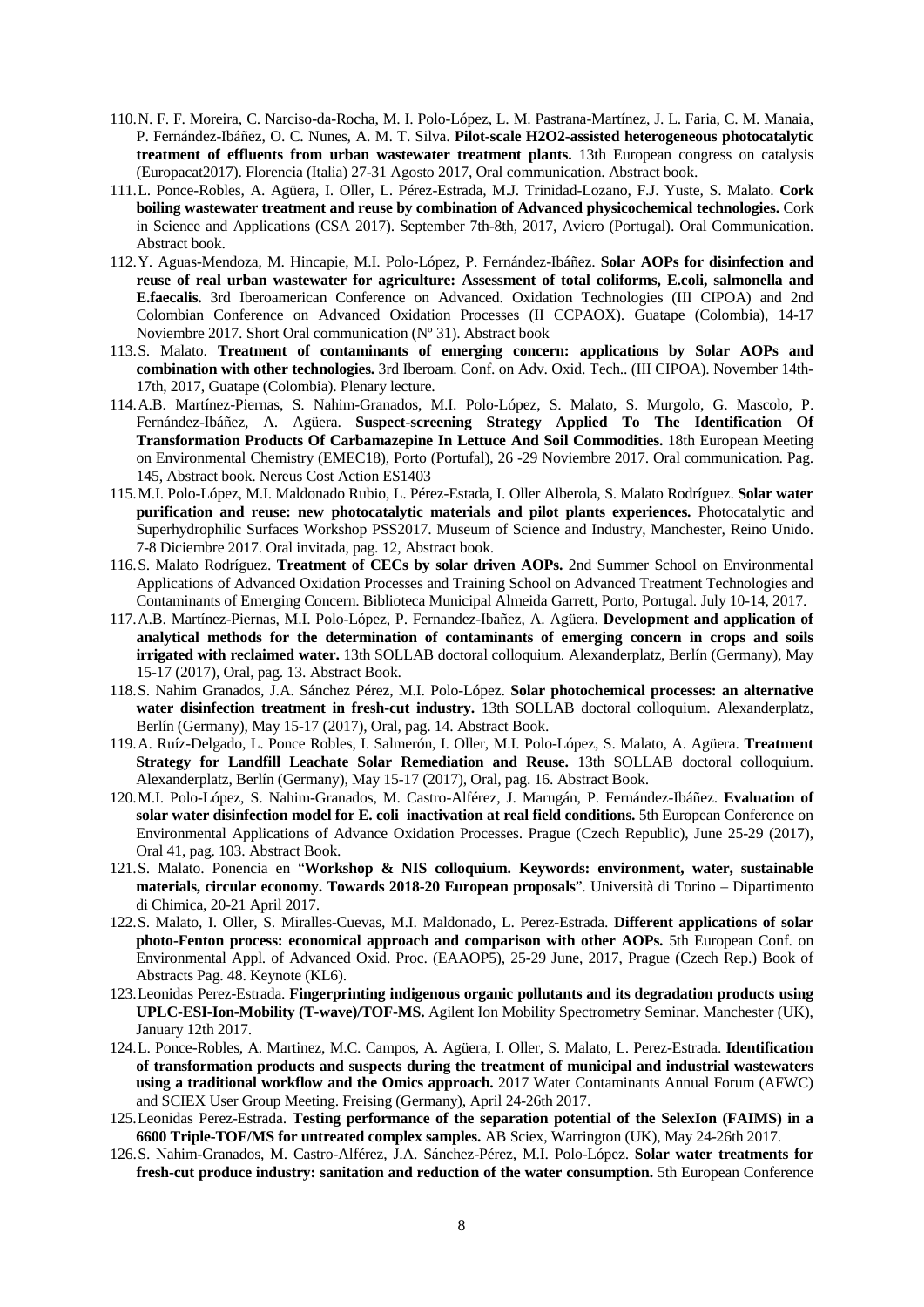- 110.N. F. F. Moreira, C. Narciso-da-Rocha, M. I. Polo-López, L. M. Pastrana-Martínez, J. L. Faria, C. M. Manaia, P. Fernández-Ibáñez, O. C. Nunes, A. M. T. Silva. **Pilot-scale H2O2-assisted heterogeneous photocatalytic treatment of effluents from urban wastewater treatment plants.** 13th European congress on catalysis (Europacat2017). Florencia (Italia) 27-31 Agosto 2017, Oral communication. Abstract book.
- 111.L. Ponce-Robles, A. Agüera, I. Oller, L. Pérez-Estrada, M.J. Trinidad-Lozano, F.J. Yuste, S. Malato. **Cork boiling wastewater treatment and reuse by combination of Advanced physicochemical technologies.** Cork in Science and Applications (CSA 2017). September 7th-8th, 2017, Aviero (Portugal). Oral Communication. Abstract book.
- 112.Y. Aguas-Mendoza, M. Hincapie, M.I. Polo-López, P. Fernández-Ibáñez. **Solar AOPs for disinfection and reuse of real urban wastewater for agriculture: Assessment of total coliforms, E.coli, salmonella and E.faecalis.** 3rd Iberoamerican Conference on Advanced. Oxidation Technologies (III CIPOA) and 2nd Colombian Conference on Advanced Oxidation Processes (II CCPAOX). Guatape (Colombia), 14-17 Noviembre 2017. Short Oral communication (Nº 31). Abstract book
- 113.S. Malato. **Treatment of contaminants of emerging concern: applications by Solar AOPs and combination with other technologies.** 3rd Iberoam. Conf. on Adv. Oxid. Tech.. (III CIPOA). November 14th-17th, 2017, Guatape (Colombia). Plenary lecture.
- 114.A.B. Martínez-Piernas, S. Nahim-Granados, M.I. Polo-López, S. Malato, S. Murgolo, G. Mascolo, P. Fernández-Ibáñez, A. Agüera. **Suspect-screening Strategy Applied To The Identification Of Transformation Products Of Carbamazepine In Lettuce And Soil Commodities.** 18th European Meeting on Environmental Chemistry (EMEC18), Porto (Portufal), 26 -29 Noviembre 2017. Oral communication. Pag. 145, Abstract book. Nereus Cost Action ES1403
- 115.M.I. Polo-López, M.I. Maldonado Rubio, L. Pérez-Estada, I. Oller Alberola, S. Malato Rodríguez. **Solar water purification and reuse: new photocatalytic materials and pilot plants experiences.** Photocatalytic and Superhydrophilic Surfaces Workshop PSS2017. Museum of Science and Industry, Manchester, Reino Unido. 7-8 Diciembre 2017. Oral invitada, pag. 12, Abstract book.
- 116.S. Malato Rodríguez. **Treatment of CECs by solar driven AOPs.** 2nd Summer School on Environmental Applications of Advanced Oxidation Processes and Training School on Advanced Treatment Technologies and Contaminants of Emerging Concern. Biblioteca Municipal Almeida Garrett, Porto, Portugal. July 10-14, 2017.
- 117.A.B. Martínez-Piernas, M.I. Polo-López, P. Fernandez-Ibañez, A. Agüera. **Development and application of analytical methods for the determination of contaminants of emerging concern in crops and soils irrigated with reclaimed water.** 13th SOLLAB doctoral colloquium. Alexanderplatz, Berlín (Germany), May 15-17 (2017), Oral, pag. 13. Abstract Book.
- 118.S. Nahim Granados, J.A. Sánchez Pérez, M.I. Polo-López. **Solar photochemical processes: an alternative water disinfection treatment in fresh-cut industry.** 13th SOLLAB doctoral colloquium. Alexanderplatz, Berlín (Germany), May 15-17 (2017), Oral, pag. 14. Abstract Book.
- 119.A. Ruíz-Delgado, L. Ponce Robles, I. Salmerón, I. Oller, M.I. Polo-López, S. Malato, A. Agüera. **Treatment Strategy for Landfill Leachate Solar Remediation and Reuse.** 13th SOLLAB doctoral colloquium. Alexanderplatz, Berlín (Germany), May 15-17 (2017), Oral, pag. 16. Abstract Book.
- 120.M.I. Polo-López, S. Nahim-Granados, M. Castro-Alférez, J. Marugán, P. Fernández-Ibáñez. **Evaluation of solar water disinfection model for E. coli inactivation at real field conditions.** 5th European Conference on Environmental Applications of Advance Oxidation Processes. Prague (Czech Republic), June 25-29 (2017), Oral 41, pag. 103. Abstract Book.
- 121.S. Malato. Ponencia en "**Workshop & NIS colloquium. Keywords: environment, water, sustainable materials, circular economy. Towards 2018-20 European proposals**". Università di Torino – Dipartimento di Chimica, 20-21 April 2017.
- 122.S. Malato, I. Oller, S. Miralles-Cuevas, M.I. Maldonado, L. Perez-Estrada. **Different applications of solar photo-Fenton process: economical approach and comparison with other AOPs.** 5th European Conf. on Environmental Appl. of Advanced Oxid. Proc. (EAAOP5), 25-29 June, 2017, Prague (Czech Rep.) Book of Abstracts Pag. 48. Keynote (KL6).
- 123.Leonidas Perez-Estrada. **Fingerprinting indigenous organic pollutants and its degradation products using UPLC-ESI-Ion-Mobility (T-wave)/TOF-MS.** Agilent Ion Mobility Spectrometry Seminar. Manchester (UK), January 12th 2017.
- 124.L. Ponce-Robles, A. Martinez, M.C. Campos, A. Agüera, I. Oller, S. Malato, L. Perez-Estrada. **Identification of transformation products and suspects during the treatment of municipal and industrial wastewaters using a traditional workflow and the Omics approach.** 2017 Water Contaminants Annual Forum (AFWC) and SCIEX User Group Meeting. Freising (Germany), April 24-26th 2017.
- 125.Leonidas Perez-Estrada. **Testing performance of the separation potential of the SelexIon (FAIMS) in a 6600 Triple-TOF/MS for untreated complex samples.** AB Sciex, Warrington (UK), May 24-26th 2017.
- 126.S. Nahim-Granados, M. Castro-Alférez, J.A. Sánchez-Pérez, M.I. Polo-López. **Solar water treatments for fresh-cut produce industry: sanitation and reduction of the water consumption.** 5th European Conference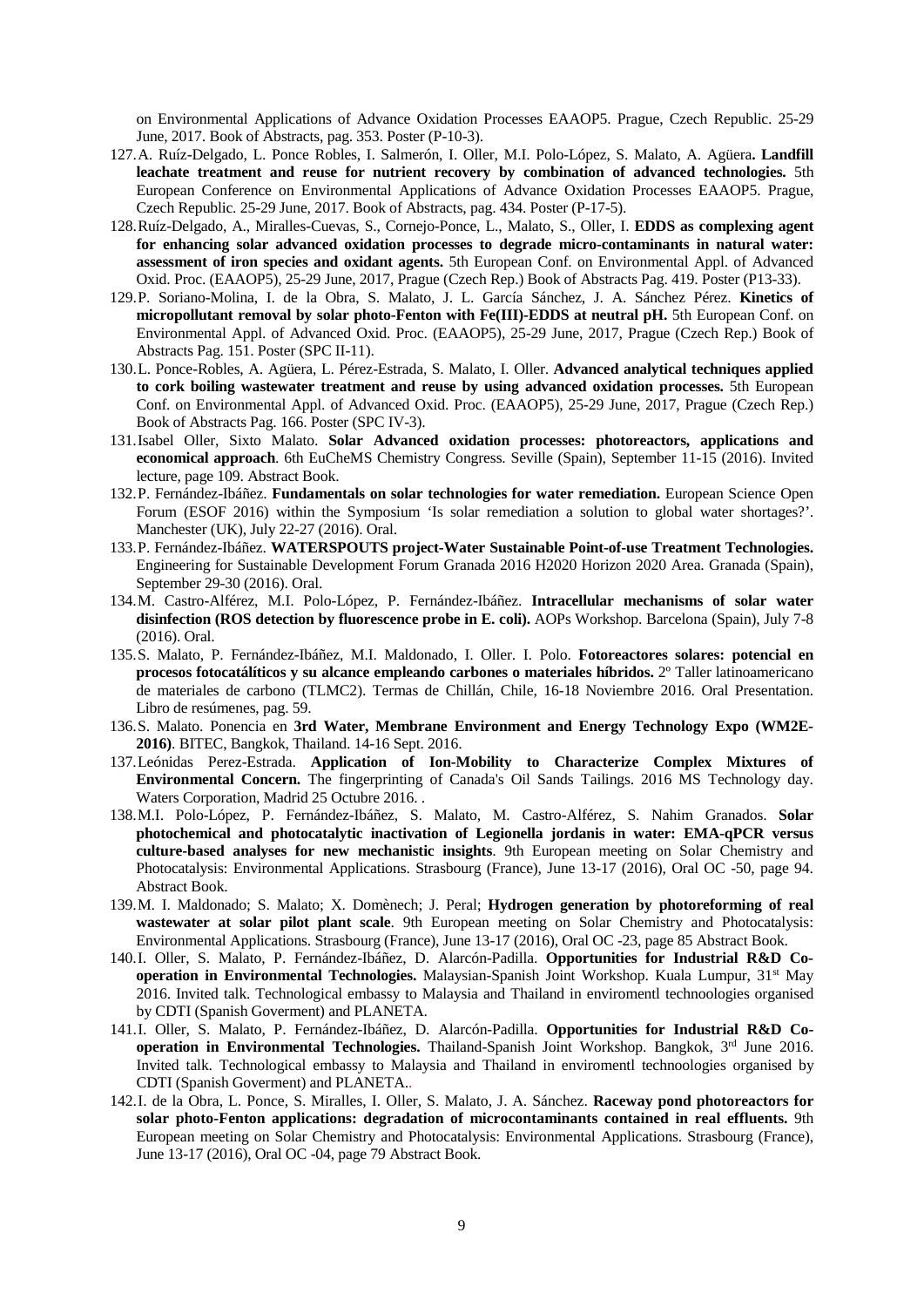on Environmental Applications of Advance Oxidation Processes EAAOP5. Prague, Czech Republic. 25-29 June, 2017. Book of Abstracts, pag. 353. Poster (P-10-3).

- 127.A. Ruíz-Delgado, L. Ponce Robles, I. Salmerón, I. Oller, M.I. Polo-López, S. Malato, A. Agüera**. Landfill leachate treatment and reuse for nutrient recovery by combination of advanced technologies.** 5th European Conference on Environmental Applications of Advance Oxidation Processes EAAOP5. Prague, Czech Republic. 25-29 June, 2017. Book of Abstracts, pag. 434. Poster (P-17-5).
- 128.Ruíz-Delgado, A., Miralles-Cuevas, S., Cornejo-Ponce, L., Malato, S., Oller, I. **EDDS as complexing agent for enhancing solar advanced oxidation processes to degrade micro-contaminants in natural water: assessment of iron species and oxidant agents.** 5th European Conf. on Environmental Appl. of Advanced Oxid. Proc. (EAAOP5), 25-29 June, 2017, Prague (Czech Rep.) Book of Abstracts Pag. 419. Poster (P13-33).
- 129.P. Soriano-Molina, I. de la Obra, S. Malato, J. L. García Sánchez, J. A. Sánchez Pérez. **Kinetics of micropollutant removal by solar photo-Fenton with Fe(III)-EDDS at neutral pH.** 5th European Conf. on Environmental Appl. of Advanced Oxid. Proc. (EAAOP5), 25-29 June, 2017, Prague (Czech Rep.) Book of Abstracts Pag. 151. Poster (SPC II-11).
- 130.L. Ponce-Robles, A. Agüera, L. Pérez-Estrada, S. Malato, I. Oller. **Advanced analytical techniques applied to cork boiling wastewater treatment and reuse by using advanced oxidation processes.** 5th European Conf. on Environmental Appl. of Advanced Oxid. Proc. (EAAOP5), 25-29 June, 2017, Prague (Czech Rep.) Book of Abstracts Pag. 166. Poster (SPC IV-3).
- 131.Isabel Oller, Sixto Malato. **Solar Advanced oxidation processes: photoreactors, applications and economical approach**. 6th EuCheMS Chemistry Congress. Seville (Spain), September 11-15 (2016). Invited lecture, page 109. Abstract Book.
- 132.P. Fernández-Ibáñez. **Fundamentals on solar technologies for water remediation.** European Science Open Forum (ESOF 2016) within the Symposium 'Is solar remediation a solution to global water shortages?'. Manchester (UK), July 22-27 (2016). Oral.
- 133.P. Fernández-Ibáñez. **WATERSPOUTS project-Water Sustainable Point-of-use Treatment Technologies.** Engineering for Sustainable Development Forum Granada 2016 H2020 Horizon 2020 Area. Granada (Spain), September 29-30 (2016). Oral.
- 134.M. Castro-Alférez, M.I. Polo-López, P. Fernández-Ibáñez. **Intracellular mechanisms of solar water disinfection (ROS detection by fluorescence probe in E. coli).** AOPs Workshop. Barcelona (Spain), July 7-8 (2016). Oral.
- 135.S. Malato, P. Fernández-Ibáñez, M.I. Maldonado, I. Oller. I. Polo. **Fotoreactores solares: potencial en procesos fotocatálíticos y su alcance empleando carbones o materiales híbridos.** 2º Taller latinoamericano de materiales de carbono (TLMC2). Termas de Chillán, Chile, 16-18 Noviembre 2016. Oral Presentation. Libro de resúmenes, pag. 59.
- 136.S. Malato. Ponencia en **3rd Water, Membrane Environment and Energy Technology Expo (WM2E-2016)**. BITEC, Bangkok, Thailand. 14-16 Sept. 2016.
- 137.Leónidas Perez-Estrada. **Application of Ion-Mobility to Characterize Complex Mixtures of Environmental Concern.** The fingerprinting of Canada's Oil Sands Tailings. 2016 MS Technology day. Waters Corporation, Madrid 25 Octubre 2016. .
- 138.M.I. Polo-López, P. Fernández-Ibáñez, S. Malato, M. Castro-Alférez, S. Nahim Granados. **Solar photochemical and photocatalytic inactivation of Legionella jordanis in water: EMA-qPCR versus culture-based analyses for new mechanistic insights**. 9th European meeting on Solar Chemistry and Photocatalysis: Environmental Applications. Strasbourg (France), June 13-17 (2016), Oral OC -50, page 94. Abstract Book.
- 139.M. I. Maldonado; S. Malato; X. Domènech; J. Peral; **Hydrogen generation by photoreforming of real wastewater at solar pilot plant scale**. 9th European meeting on Solar Chemistry and Photocatalysis: Environmental Applications. Strasbourg (France), June 13-17 (2016), Oral OC -23, page 85 Abstract Book.
- 140.I. Oller, S. Malato, P. Fernández-Ibáñez, D. Alarcón-Padilla. **Opportunities for Industrial R&D Cooperation in Environmental Technologies.** Malaysian-Spanish Joint Workshop. Kuala Lumpur, 31<sup>st</sup> May 2016. Invited talk. Technological embassy to Malaysia and Thailand in enviromentl technoologies organised by CDTI (Spanish Goverment) and PLANETA.
- 141.I. Oller, S. Malato, P. Fernández-Ibáñez, D. Alarcón-Padilla. **Opportunities for Industrial R&D Cooperation in Environmental Technologies.** Thailand-Spanish Joint Workshop. Bangkok, 3rd June 2016. Invited talk. Technological embassy to Malaysia and Thailand in enviromentl technoologies organised by CDTI (Spanish Goverment) and PLANETA..
- 142.I. de la Obra, L. Ponce, S. Miralles, I. Oller, S. Malato, J. A. Sánchez. **Raceway pond photoreactors for solar photo-Fenton applications: degradation of microcontaminants contained in real effluents.** 9th European meeting on Solar Chemistry and Photocatalysis: Environmental Applications. Strasbourg (France), June 13-17 (2016), Oral OC -04, page 79 Abstract Book.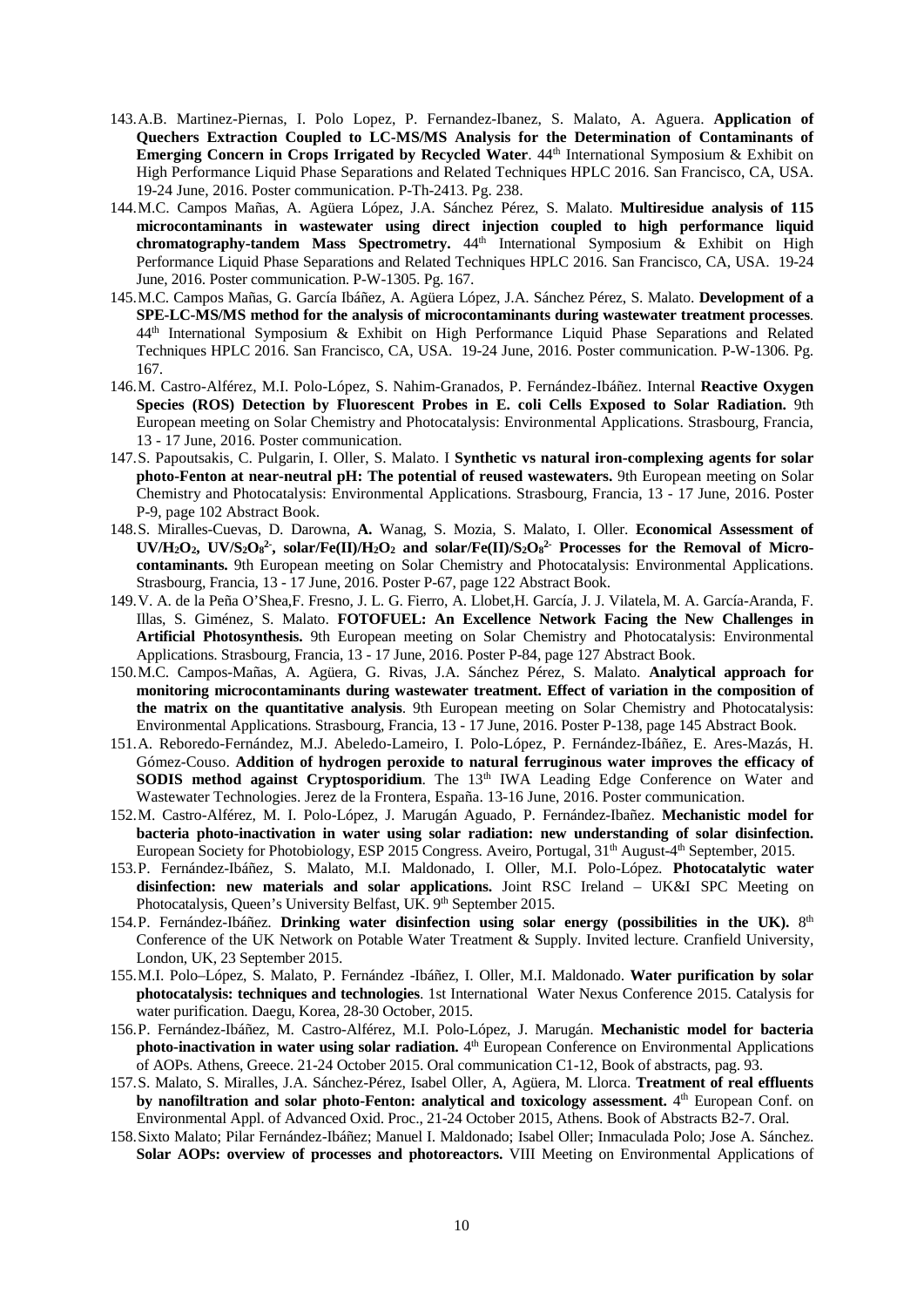- 143.A.B. Martinez-Piernas, I. Polo Lopez, P. Fernandez-Ibanez, S. Malato, A. Aguera. **Application of Quechers Extraction Coupled to LC-MS/MS Analysis for the Determination of Contaminants of Emerging Concern in Crops Irrigated by Recycled Water**. 44<sup>th</sup> International Symposium & Exhibit on High Performance Liquid Phase Separations and Related Techniques HPLC 2016. San Francisco, CA, USA. 19-24 June, 2016. Poster communication. P-Th-2413. Pg. 238.
- 144.M.C. Campos Mañas, A. Agüera López, J.A. Sánchez Pérez, S. Malato. **Multiresidue analysis of 115 microcontaminants in wastewater using direct injection coupled to high performance liquid chromatography-tandem Mass Spectrometry.** 44<sup>th</sup> International Symposium & Exhibit on High Performance Liquid Phase Separations and Related Techniques HPLC 2016. San Francisco, CA, USA. 19-24 June, 2016. Poster communication. P-W-1305. Pg. 167.
- 145.M.C. Campos Mañas, G. García Ibáñez, A. Agüera López, J.A. Sánchez Pérez, S. Malato. **Development of a SPE-LC-MS/MS method for the analysis of microcontaminants during wastewater treatment processes**. 44th International Symposium & Exhibit on High Performance Liquid Phase Separations and Related Techniques HPLC 2016. San Francisco, CA, USA. 19-24 June, 2016. Poster communication. P-W-1306. Pg. 167.
- 146.M. Castro-Alférez, M.I. Polo-López, S. Nahim-Granados, P. Fernández-Ibáñez. Internal **Reactive Oxygen Species (ROS) Detection by Fluorescent Probes in E. coli Cells Exposed to Solar Radiation.** 9th European meeting on Solar Chemistry and Photocatalysis: Environmental Applications. Strasbourg, Francia, 13 - 17 June, 2016. Poster communication.
- 147.S. Papoutsakis, C. Pulgarin, I. Oller, S. Malato. I **Synthetic vs natural iron-complexing agents for solar photo-Fenton at near-neutral pH: The potential of reused wastewaters.** 9th European meeting on Solar Chemistry and Photocatalysis: Environmental Applications. Strasbourg, Francia, 13 - 17 June, 2016. Poster P-9, page 102 Abstract Book.
- 148.S. Miralles-Cuevas, D. Darowna, **A.** Wanag, S. Mozia, S. Malato, I. Oller. **Economical Assessment of**  UV/H<sub>2</sub>O<sub>2</sub>, UV/S<sub>2</sub>O<sub>8</sub><sup>2</sup>, solar/Fe(II)/H<sub>2</sub>O<sub>2</sub> and solar/Fe(II)/S<sub>2</sub>O<sub>8</sub><sup>2</sup> Processes for the Removal of Micro**contaminants.** 9th European meeting on Solar Chemistry and Photocatalysis: Environmental Applications. Strasbourg, Francia, 13 - 17 June, 2016. Poster P-67, page 122 Abstract Book.
- 149.V. A. de la Peña O'Shea,F. Fresno, J. L. G. Fierro, A. Llobet,H. García, J. J. Vilatela, M. A. García-Aranda, F. Illas, S. Giménez, S. Malato. **FOTOFUEL: An Excellence Network Facing the New Challenges in Artificial Photosynthesis.** 9th European meeting on Solar Chemistry and Photocatalysis: Environmental Applications. Strasbourg, Francia, 13 - 17 June, 2016. Poster P-84, page 127 Abstract Book.
- 150.M.C. Campos-Mañas, A. Agüera, G. Rivas, J.A. Sánchez Pérez, S. Malato. **Analytical approach for monitoring microcontaminants during wastewater treatment. Effect of variation in the composition of the matrix on the quantitative analysis**. 9th European meeting on Solar Chemistry and Photocatalysis: Environmental Applications. Strasbourg, Francia, 13 - 17 June, 2016. Poster P-138, page 145 Abstract Book.
- 151.A. Reboredo-Fernández, M.J. Abeledo-Lameiro, I. Polo-López, P. Fernández-Ibáñez, E. Ares-Mazás, H. Gómez-Couso. **Addition of hydrogen peroxide to natural ferruginous water improves the efficacy of SODIS method against Cryptosporidium**. The 13<sup>th</sup> IWA Leading Edge Conference on Water and Wastewater Technologies. Jerez de la Frontera, España. 13-16 June, 2016. Poster communication.
- 152.M. Castro-Alférez, M. I. Polo-López, J. Marugán Aguado, P. Fernández-Ibañez. **Mechanistic model for bacteria photo-inactivation in water using solar radiation: new understanding of solar disinfection.** European Society for Photobiology, ESP 2015 Congress. Aveiro, Portugal, 31<sup>th</sup> August-4<sup>th</sup> September, 2015.
- 153.P. Fernández-Ibáñez, S. Malato, M.I. Maldonado, I. Oller, M.I. Polo-López. **Photocatalytic water disinfection: new materials and solar applications.** Joint RSC Ireland – UK&I SPC Meeting on Photocatalysis, Queen's University Belfast, UK. 9<sup>th</sup> September 2015.
- 154.P. Fernández-Ibáñez. **Drinking water disinfection using solar energy (possibilities in the UK).** 8th Conference of the UK Network on Potable Water Treatment & Supply. Invited lecture. Cranfield University, London, UK, 23 September 2015.
- 155.M.I. Polo–López, S. Malato, P. Fernández -Ibáñez, I. Oller, M.I. Maldonado. **Water purification by solar photocatalysis: techniques and technologies**. 1st International Water Nexus Conference 2015. Catalysis for water purification. Daegu, Korea, 28-30 October, 2015.
- 156.P. Fernández-Ibáñez, M. Castro-Alférez, M.I. Polo-López, J. Marugán. **Mechanistic model for bacteria photo-inactivation in water using solar radiation.** 4<sup>th</sup> European Conference on Environmental Applications of AOPs. Athens, Greece. 21-24 October 2015. Oral communication C1-12, Book of abstracts, pag. 93.
- 157.S. Malato, S. Miralles, J.A. Sánchez-Pérez, Isabel Oller, A, Agüera, M. Llorca. **Treatment of real effluents**  by nanofiltration and solar photo-Fenton: analytical and toxicology assessment. 4<sup>th</sup> European Conf. on Environmental Appl. of Advanced Oxid. Proc., 21-24 October 2015, Athens. Book of Abstracts B2-7. Oral.
- 158.Sixto Malato; Pilar Fernández-Ibáñez; Manuel I. Maldonado; Isabel Oller; Inmaculada Polo; Jose A. Sánchez. **Solar AOPs: overview of processes and photoreactors.** VIII Meeting on Environmental Applications of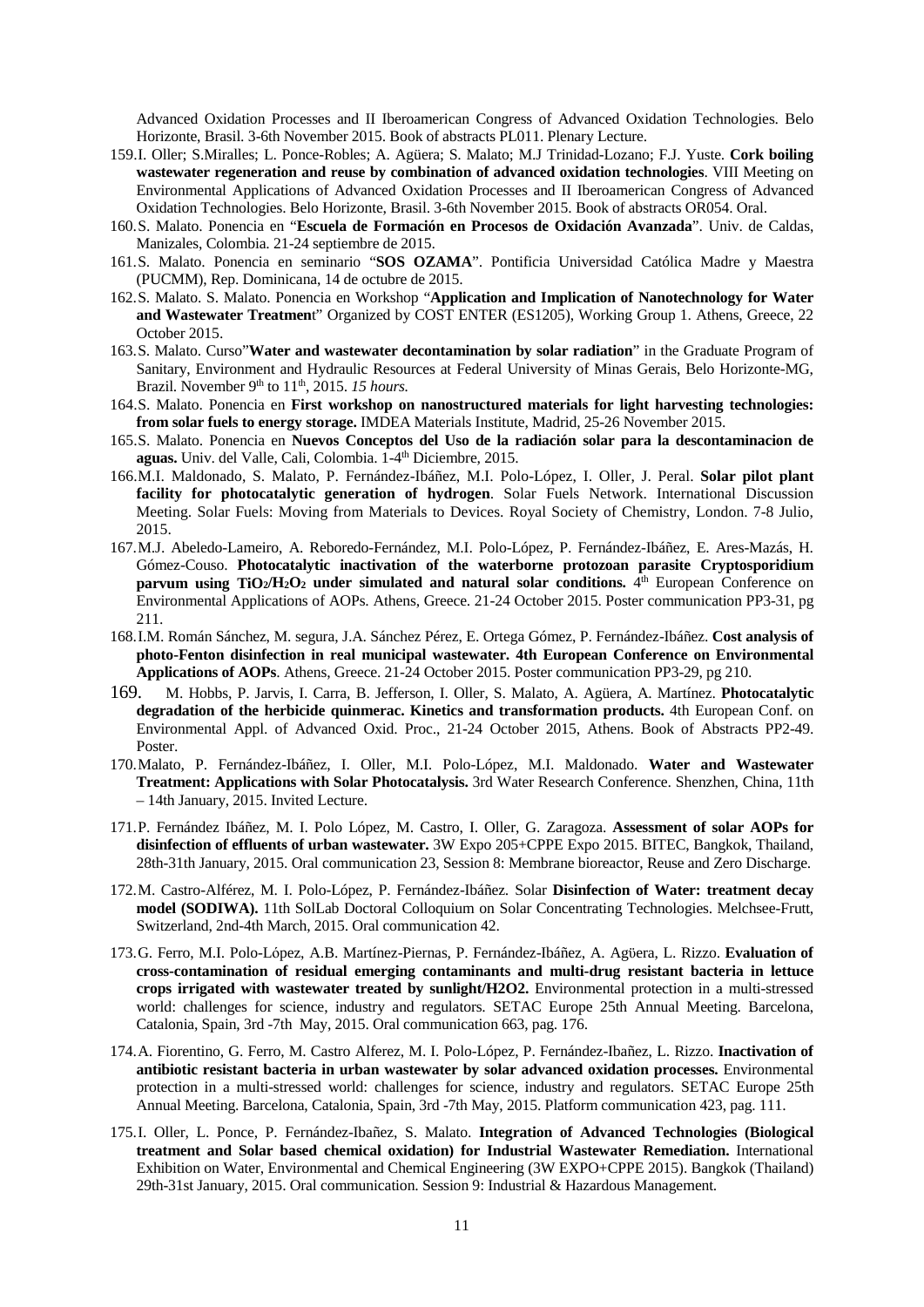Advanced Oxidation Processes and II Iberoamerican Congress of Advanced Oxidation Technologies. Belo Horizonte, Brasil. 3-6th November 2015. Book of abstracts PL011. Plenary Lecture.

- 159.I. Oller; S.Miralles; L. Ponce-Robles; A. Agüera; S. Malato; M.J Trinidad-Lozano; F.J. Yuste. **Cork boiling wastewater regeneration and reuse by combination of advanced oxidation technologies**. VIII Meeting on Environmental Applications of Advanced Oxidation Processes and II Iberoamerican Congress of Advanced Oxidation Technologies. Belo Horizonte, Brasil. 3-6th November 2015. Book of abstracts OR054. Oral.
- 160.S. Malato. Ponencia en "**Escuela de Formación en Procesos de Oxidación Avanzada**". Univ. de Caldas, Manizales, Colombia. 21-24 septiembre de 2015.
- 161.S. Malato. Ponencia en seminario "**SOS OZAMA**". Pontificia Universidad Católica Madre y Maestra (PUCMM), Rep. Dominicana, 14 de octubre de 2015.
- 162.S. Malato. S. Malato. Ponencia en Workshop "**Application and Implication of Nanotechnology for Water and Wastewater Treatmen**t" Organized by COST ENTER (ES1205), Working Group 1. Athens, Greece, 22 October 2015.
- 163.S. Malato. Curso"**Water and wastewater decontamination by solar radiation**" in the Graduate Program of Sanitary, Environment and Hydraulic Resources at Federal University of Minas Gerais, Belo Horizonte-MG, Brazil. November 9<sup>th</sup> to 11<sup>th</sup>, 2015. 15 hours.
- 164.S. Malato. Ponencia en **First workshop on nanostructured materials for light harvesting technologies: from solar fuels to energy storage.** IMDEA Materials Institute, Madrid, 25-26 November 2015.
- 165.S. Malato. Ponencia en **Nuevos Conceptos del Uso de la radiación solar para la descontaminacion de aguas.** Univ. del Valle, Cali, Colombia. 1-4th Diciembre, 2015.
- 166.M.I. Maldonado, S. Malato, P. Fernández-Ibáñez, M.I. Polo-López, I. Oller, J. Peral. **Solar pilot plant facility for photocatalytic generation of hydrogen**. Solar Fuels Network. International Discussion Meeting. Solar Fuels: Moving from Materials to Devices. Royal Society of Chemistry, London. 7-8 Julio, 2015.
- 167.M.J. Abeledo-Lameiro, A. Reboredo-Fernández, M.I. Polo-López, P. Fernández-Ibáñez, E. Ares-Mazás, H. Gómez-Couso. **Photocatalytic inactivation of the waterborne protozoan parasite Cryptosporidium parvum using TiO<sub>2</sub>/H<sub>2</sub>O<sub>2</sub> under simulated and natural solar conditions.**  $4^{\text{th}}$  European Conference on Environmental Applications of AOPs. Athens, Greece. 21-24 October 2015. Poster communication PP3-31, pg 211.
- 168.I.M. Román Sánchez, M. segura, J.A. Sánchez Pérez, E. Ortega Gómez, P. Fernández-Ibáñez. **Cost analysis of photo-Fenton disinfection in real municipal wastewater. 4th European Conference on Environmental Applications of AOPs**. Athens, Greece. 21-24 October 2015. Poster communication PP3-29, pg 210.
- 169. M. Hobbs, P. Jarvis, I. Carra, B. Jefferson, I. Oller, S. Malato, A. Agüera, A. Martínez. **Photocatalytic degradation of the herbicide quinmerac. Kinetics and transformation products.** 4th European Conf. on Environmental Appl. of Advanced Oxid. Proc., 21-24 October 2015, Athens. Book of Abstracts PP2-49. Poster.
- 170.Malato, P. Fernández-Ibáñez, I. Oller, M.I. Polo-López, M.I. Maldonado. **Water and Wastewater Treatment: Applications with Solar Photocatalysis.** 3rd Water Research Conference. Shenzhen, China, 11th – 14th January, 2015. Invited Lecture.
- 171.P. Fernández Ibáñez, M. I. Polo López, M. Castro, I. Oller, G. Zaragoza. **Assessment of solar AOPs for disinfection of effluents of urban wastewater.** 3W Expo 205+CPPE Expo 2015. BITEC, Bangkok, Thailand, 28th-31th January, 2015. Oral communication 23, Session 8: Membrane bioreactor, Reuse and Zero Discharge.
- 172.M. Castro-Alférez, M. I. Polo-López, P. Fernández-Ibáñez. Solar **Disinfection of Water: treatment decay model (SODIWA).** 11th SolLab Doctoral Colloquium on Solar Concentrating Technologies. Melchsee-Frutt, Switzerland, 2nd-4th March, 2015. Oral communication 42.
- 173.G. Ferro, M.I. Polo-Lόpez, A.B. Martínez-Piernas, P. Fernández-Ibáñez, A. Agϋera, L. Rizzo. **Evaluation of cross-contamination of residual emerging contaminants and multi-drug resistant bacteria in lettuce crops irrigated with wastewater treated by sunlight/H2O2.** Environmental protection in a multi-stressed world: challenges for science, industry and regulators. SETAC Europe 25th Annual Meeting. Barcelona, Catalonia, Spain, 3rd -7th May, 2015. Oral communication 663, pag. 176.
- 174.A. Fiorentino, G. Ferro, M. Castro Alferez, M. I. Polo-López, P. Fernández-Ibañez, L. Rizzo. **Inactivation of antibiotic resistant bacteria in urban wastewater by solar advanced oxidation processes.** Environmental protection in a multi-stressed world: challenges for science, industry and regulators. SETAC Europe 25th Annual Meeting. Barcelona, Catalonia, Spain, 3rd -7th May, 2015. Platform communication 423, pag. 111.
- 175.I. Oller, L. Ponce, P. Fernández-Ibañez, S. Malato. **Integration of Advanced Technologies (Biological treatment and Solar based chemical oxidation) for Industrial Wastewater Remediation.** International Exhibition on Water, Environmental and Chemical Engineering (3W EXPO+CPPE 2015). Bangkok (Thailand) 29th-31st January, 2015. Oral communication. Session 9: Industrial & Hazardous Management.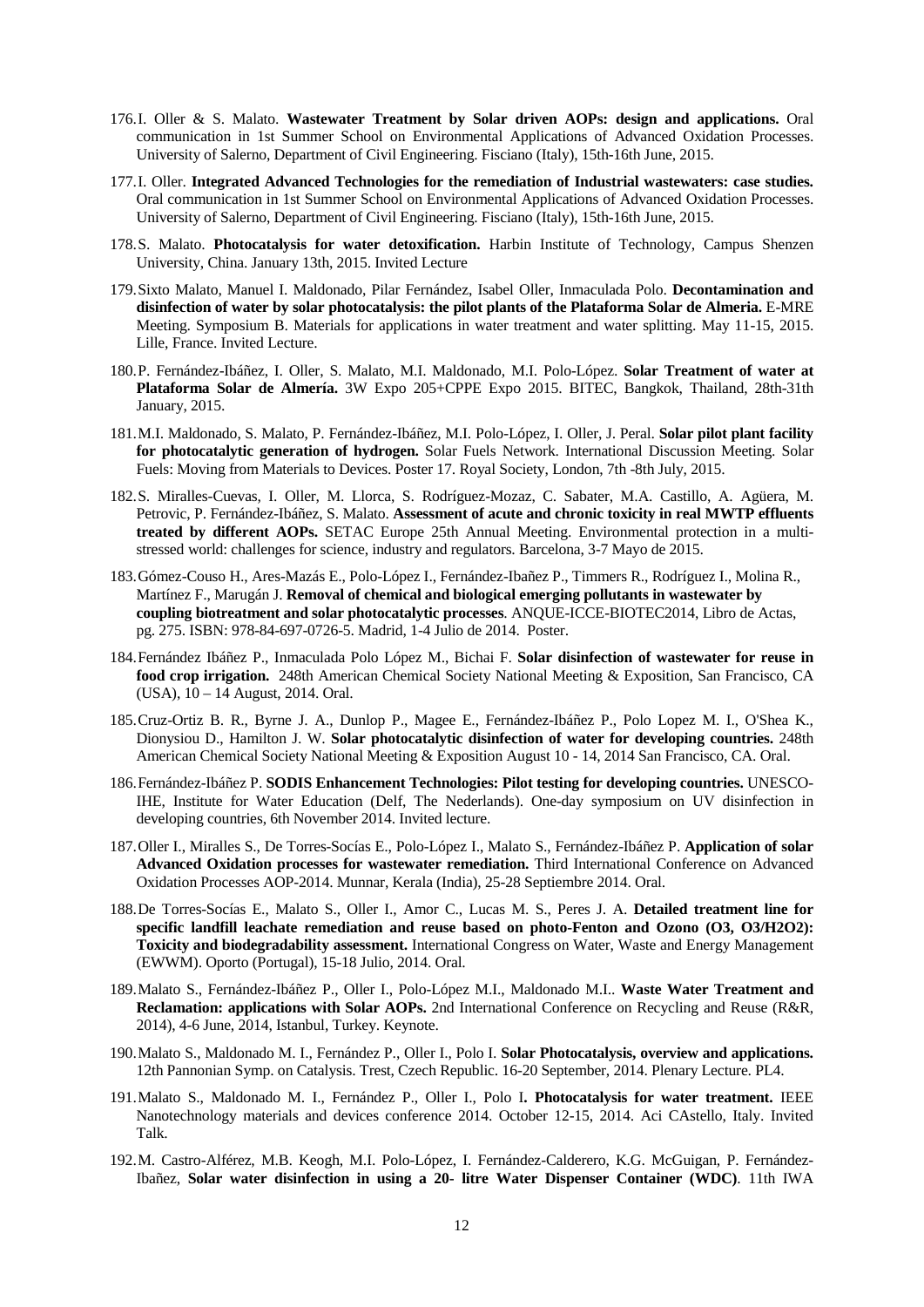- 176.I. Oller & S. Malato. **Wastewater Treatment by Solar driven AOPs: design and applications.** Oral communication in 1st Summer School on Environmental Applications of Advanced Oxidation Processes. University of Salerno, Department of Civil Engineering. Fisciano (Italy), 15th-16th June, 2015.
- 177.I. Oller. **Integrated Advanced Technologies for the remediation of Industrial wastewaters: case studies.** Oral communication in 1st Summer School on Environmental Applications of Advanced Oxidation Processes. University of Salerno, Department of Civil Engineering. Fisciano (Italy), 15th-16th June, 2015.
- 178.S. Malato. **Photocatalysis for water detoxification.** Harbin Institute of Technology, Campus Shenzen University, China. January 13th, 2015. Invited Lecture
- 179.Sixto Malato, Manuel I. Maldonado, Pilar Fernández, Isabel Oller, Inmaculada Polo. **Decontamination and disinfection of water by solar photocatalysis: the pilot plants of the Plataforma Solar de Almeria.** E-MRE Meeting. Symposium B. Materials for applications in water treatment and water splitting. May 11-15, 2015. Lille, France. Invited Lecture.
- 180.P. Fernández-Ibáñez, I. Oller, S. Malato, M.I. Maldonado, M.I. Polo-López. **Solar Treatment of water at Plataforma Solar de Almería.** 3W Expo 205+CPPE Expo 2015. BITEC, Bangkok, Thailand, 28th-31th January, 2015.
- 181.M.I. Maldonado, S. Malato, P. Fernández-Ibáñez, M.I. Polo-López, I. Oller, J. Peral. **Solar pilot plant facility for photocatalytic generation of hydrogen.** Solar Fuels Network. International Discussion Meeting. Solar Fuels: Moving from Materials to Devices. Poster 17. Royal Society, London, 7th -8th July, 2015.
- 182.S. Miralles-Cuevas, I. Oller, M. Llorca, S. Rodríguez-Mozaz, C. Sabater, M.A. Castillo, A. Agüera, M. Petrovic, P. Fernández-Ibáñez, S. Malato. **Assessment of acute and chronic toxicity in real MWTP effluents treated by different AOPs.** SETAC Europe 25th Annual Meeting. Environmental protection in a multistressed world: challenges for science, industry and regulators. Barcelona, 3-7 Mayo de 2015.
- 183.Gómez-Couso H., Ares-Mazás E., Polo-López I., Fernández-Ibañez P., Timmers R., Rodríguez I., Molina R., Martínez F., Marugán J. **Removal of chemical and biological emerging pollutants in wastewater by coupling biotreatment and solar photocatalytic processes**. ANQUE-ICCE-BIOTEC2014, Libro de Actas, pg. 275. ISBN: 978-84-697-0726-5. Madrid, 1-4 Julio de 2014. Poster.
- 184.Fernández Ibáñez P., Inmaculada Polo López M., Bichai F. **Solar disinfection of wastewater for reuse in food crop irrigation.** 248th American Chemical Society National Meeting & Exposition, San Francisco, CA (USA), 10 – 14 August, 2014. Oral.
- 185.Cruz-Ortiz B. R., Byrne J. A., Dunlop P., Magee E., Fernández-Ibáñez P., Polo Lopez M. I., O'Shea K., Dionysiou D., Hamilton J. W. **Solar photocatalytic disinfection of water for developing countries.** 248th American Chemical Society National Meeting & Exposition August 10 - 14, 2014 San Francisco, CA. Oral.
- 186.Fernández-Ibáñez P. **SODIS Enhancement Technologies: Pilot testing for developing countries.** UNESCO-IHE, Institute for Water Education (Delf, The Nederlands). One-day symposium on UV disinfection in developing countries, 6th November 2014. Invited lecture.
- 187.Oller I., Miralles S., De Torres-Socías E., Polo-López I., Malato S., Fernández-Ibáñez P. **Application of solar Advanced Oxidation processes for wastewater remediation.** Third International Conference on Advanced Oxidation Processes AOP-2014. Munnar, Kerala (India), 25-28 Septiembre 2014. Oral.
- 188.De Torres-Socías E., Malato S., Oller I., Amor C., Lucas M. S., Peres J. A. **Detailed treatment line for specific landfill leachate remediation and reuse based on photo-Fenton and Ozono (O3, O3/H2O2): Toxicity and biodegradability assessment.** International Congress on Water, Waste and Energy Management (EWWM). Oporto (Portugal), 15-18 Julio, 2014. Oral.
- 189.Malato S., Fernández-Ibáñez P., Oller I., Polo-López M.I., Maldonado M.I.. **Waste Water Treatment and Reclamation: applications with Solar AOPs.** 2nd International Conference on Recycling and Reuse (R&R, 2014), 4-6 June, 2014, Istanbul, Turkey. Keynote.
- 190.Malato S., Maldonado M. I., Fernández P., Oller I., Polo I. **Solar Photocatalysis, overview and applications.**  12th Pannonian Symp. on Catalysis. Trest, Czech Republic. 16-20 September, 2014. Plenary Lecture. PL4.
- 191.Malato S., Maldonado M. I., Fernández P., Oller I., Polo I**. Photocatalysis for water treatment.** IEEE Nanotechnology materials and devices conference 2014. October 12-15, 2014. Aci CAstello, Italy. Invited Talk.
- 192.M. Castro-Alférez, M.B. Keogh, M.I. Polo-López, I. Fernández-Calderero, K.G. McGuigan, P. Fernández-Ibañez, **Solar water disinfection in using a 20- litre Water Dispenser Container (WDC)**. 11th IWA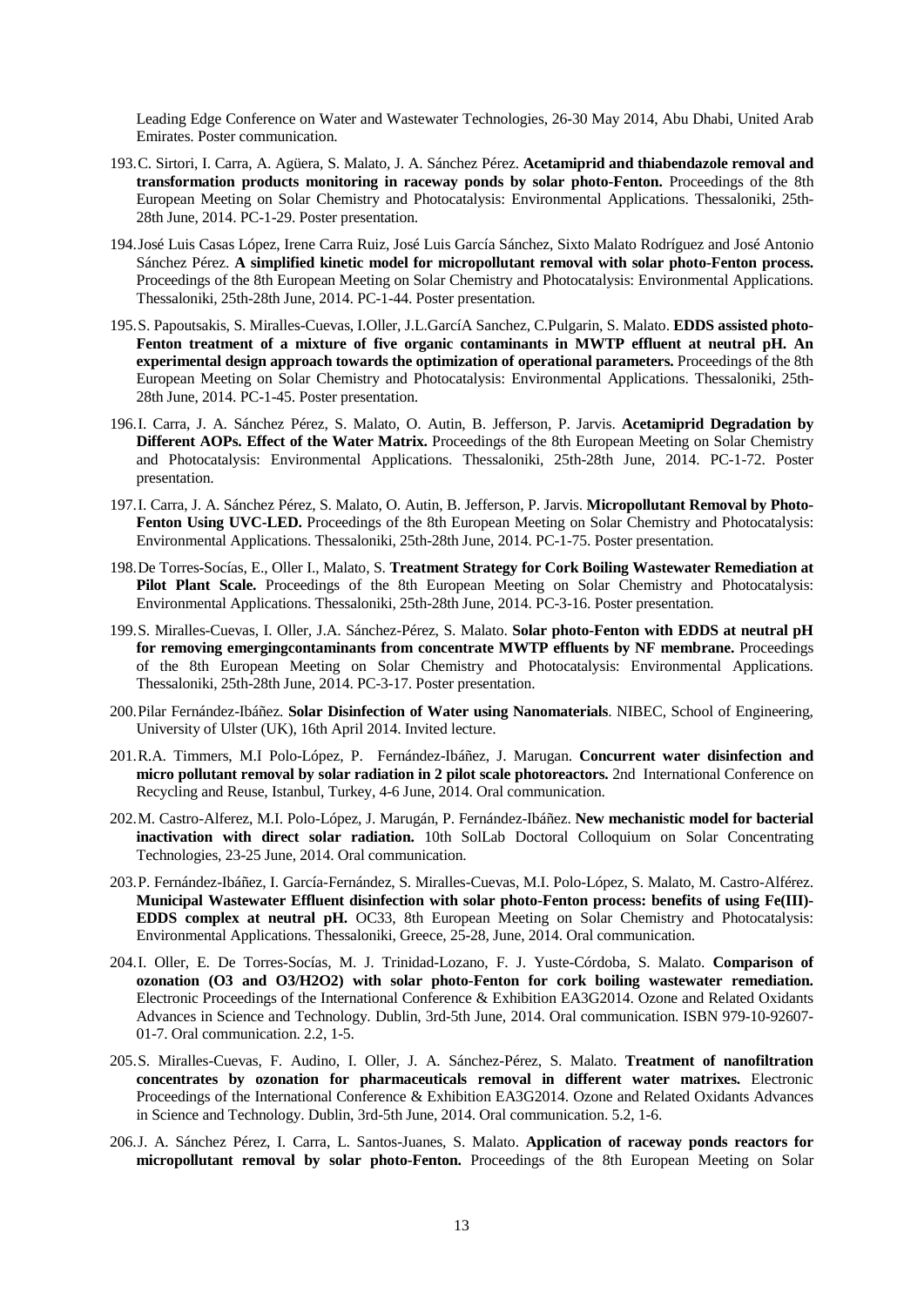Leading Edge Conference on Water and Wastewater Technologies, 26-30 May 2014, Abu Dhabi, United Arab Emirates. Poster communication.

- 193.C. Sirtori, I. Carra, A. Agüera, S. Malato, J. A. Sánchez Pérez. **Acetamiprid and thiabendazole removal and transformation products monitoring in raceway ponds by solar photo-Fenton.** Proceedings of the 8th European Meeting on Solar Chemistry and Photocatalysis: Environmental Applications. Thessaloniki, 25th-28th June, 2014. PC-1-29. Poster presentation.
- 194.José Luis Casas López, Irene Carra Ruiz, José Luis García Sánchez, Sixto Malato Rodríguez and José Antonio Sánchez Pérez. **A simplified kinetic model for micropollutant removal with solar photo-Fenton process.** Proceedings of the 8th European Meeting on Solar Chemistry and Photocatalysis: Environmental Applications. Thessaloniki, 25th-28th June, 2014. PC-1-44. Poster presentation.
- 195.S. Papoutsakis, S. Miralles-Cuevas, I.Oller, J.L.GarcíA Sanchez, C.Pulgarin, S. Malato. **EDDS assisted photo-Fenton treatment of a mixture of five organic contaminants in MWTP effluent at neutral pH. An experimental design approach towards the optimization of operational parameters.** Proceedings of the 8th European Meeting on Solar Chemistry and Photocatalysis: Environmental Applications. Thessaloniki, 25th-28th June, 2014. PC-1-45. Poster presentation.
- 196.I. Carra, J. A. Sánchez Pérez, S. Malato, O. Autin, B. Jefferson, P. Jarvis. **Acetamiprid Degradation by Different AOPs. Effect of the Water Matrix.** Proceedings of the 8th European Meeting on Solar Chemistry and Photocatalysis: Environmental Applications. Thessaloniki, 25th-28th June, 2014. PC-1-72. Poster presentation.
- 197.I. Carra, J. A. Sánchez Pérez, S. Malato, O. Autin, B. Jefferson, P. Jarvis. **Micropollutant Removal by Photo-Fenton Using UVC-LED.** Proceedings of the 8th European Meeting on Solar Chemistry and Photocatalysis: Environmental Applications. Thessaloniki, 25th-28th June, 2014. PC-1-75. Poster presentation.
- 198.De Torres-Socías, E., Oller I., Malato, S. **Treatment Strategy for Cork Boiling Wastewater Remediation at**  Pilot Plant Scale. Proceedings of the 8th European Meeting on Solar Chemistry and Photocatalysis: Environmental Applications. Thessaloniki, 25th-28th June, 2014. PC-3-16. Poster presentation.
- 199.S. Miralles-Cuevas, I. Oller, J.A. Sánchez-Pérez, S. Malato. **Solar photo-Fenton with EDDS at neutral pH for removing emergingcontaminants from concentrate MWTP effluents by NF membrane.** Proceedings of the 8th European Meeting on Solar Chemistry and Photocatalysis: Environmental Applications. Thessaloniki, 25th-28th June, 2014. PC-3-17. Poster presentation.
- 200.Pilar Fernández-Ibáñez. **Solar Disinfection of Water using Nanomaterials**. NIBEC, School of Engineering, University of Ulster (UK), 16th April 2014. Invited lecture.
- 201.R.A. Timmers, M.I Polo-López, P. Fernández-Ibáñez, J. Marugan. **Concurrent water disinfection and micro pollutant removal by solar radiation in 2 pilot scale photoreactors.** 2nd International Conference on Recycling and Reuse, Istanbul, Turkey, 4-6 June, 2014. Oral communication.
- 202.M. Castro-Alferez, M.I. Polo-López, J. Marugán, P. Fernández-Ibáñez. **New mechanistic model for bacterial inactivation with direct solar radiation.** 10th SolLab Doctoral Colloquium on Solar Concentrating Technologies, 23-25 June, 2014. Oral communication.
- 203.P. Fernández-Ibáñez, I. García-Fernández, S. Miralles-Cuevas, M.I. Polo-López, S. Malato, M. Castro-Alférez. **Municipal Wastewater Effluent disinfection with solar photo-Fenton process: benefits of using Fe(III)- EDDS complex at neutral pH.** OC33, 8th European Meeting on Solar Chemistry and Photocatalysis: Environmental Applications. Thessaloniki, Greece, 25-28, June, 2014. Oral communication.
- 204.I. Oller, E. De Torres-Socías, M. J. Trinidad-Lozano, F. J. Yuste-Córdoba, S. Malato. **Comparison of ozonation (O3 and O3/H2O2) with solar photo-Fenton for cork boiling wastewater remediation.** Electronic Proceedings of the International Conference & Exhibition EA3G2014. Ozone and Related Oxidants Advances in Science and Technology. Dublin, 3rd-5th June, 2014. Oral communication. ISBN 979-10-92607- 01-7. Oral communication. 2.2, 1-5.
- 205.S. Miralles-Cuevas, F. Audino, I. Oller, J. A. Sánchez-Pérez, S. Malato. **Treatment of nanofiltration concentrates by ozonation for pharmaceuticals removal in different water matrixes.** Electronic Proceedings of the International Conference & Exhibition EA3G2014. Ozone and Related Oxidants Advances in Science and Technology. Dublin, 3rd-5th June, 2014. Oral communication. 5.2, 1-6.
- 206.J. A. Sánchez Pérez, I. Carra, L. Santos-Juanes, S. Malato. **Application of raceway ponds reactors for micropollutant removal by solar photo-Fenton.** Proceedings of the 8th European Meeting on Solar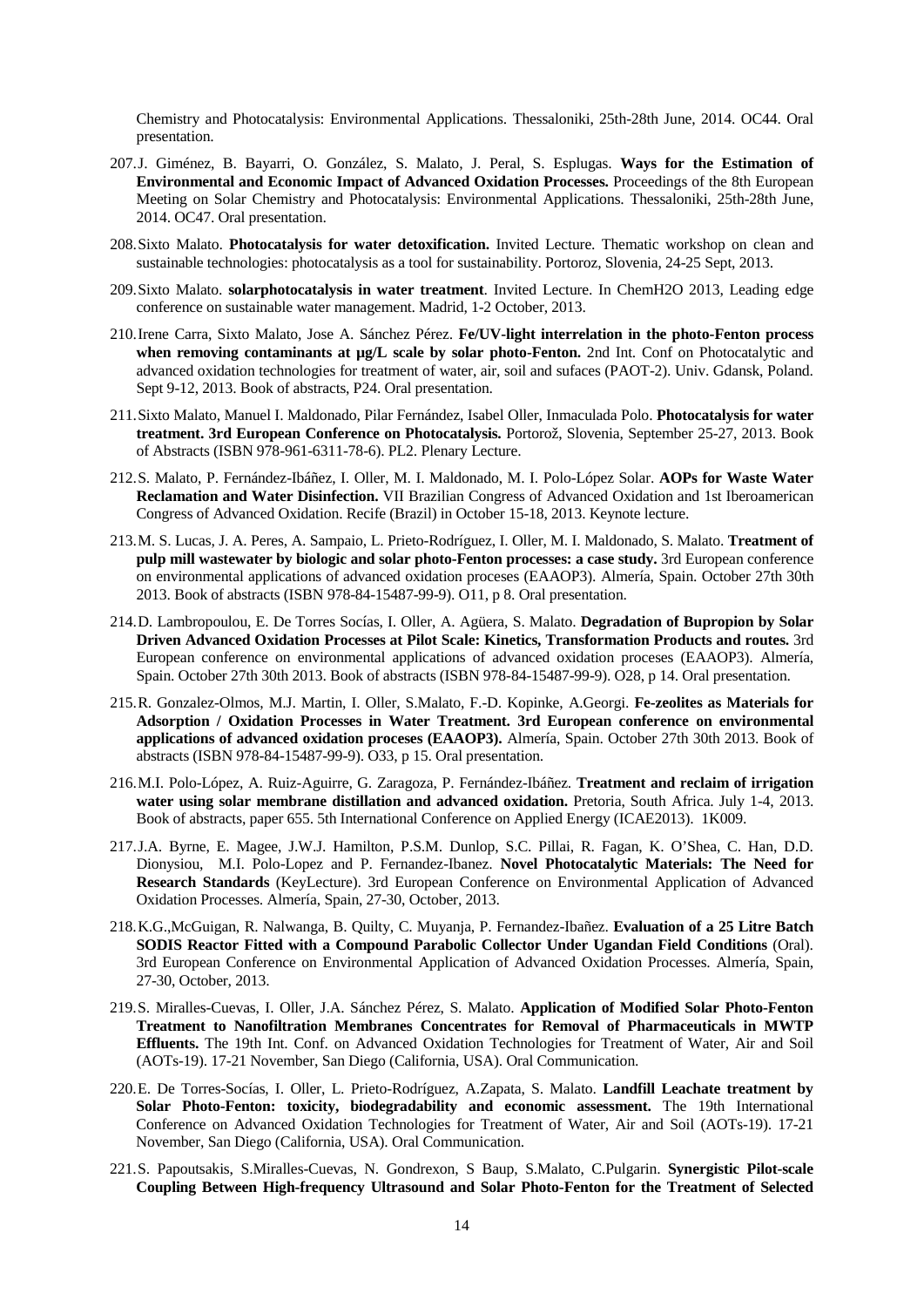Chemistry and Photocatalysis: Environmental Applications. Thessaloniki, 25th-28th June, 2014. OC44. Oral presentation.

- 207.J. Giménez, B. Bayarri, O. González, S. Malato, J. Peral, S. Esplugas. **Ways for the Estimation of Environmental and Economic Impact of Advanced Oxidation Processes.** Proceedings of the 8th European Meeting on Solar Chemistry and Photocatalysis: Environmental Applications. Thessaloniki, 25th-28th June, 2014. OC47. Oral presentation.
- 208.Sixto Malato. **Photocatalysis for water detoxification.** Invited Lecture. Thematic workshop on clean and sustainable technologies: photocatalysis as a tool for sustainability. Portoroz, Slovenia, 24-25 Sept, 2013.
- 209.Sixto Malato. **solarphotocatalysis in water treatment**. Invited Lecture. In ChemH2O 2013, Leading edge conference on sustainable water management. Madrid, 1-2 October, 2013.
- 210.Irene Carra, Sixto Malato, Jose A. Sánchez Pérez. **Fe/UV-light interrelation in the photo-Fenton process when removing contaminants at µg/L scale by solar photo-Fenton.** 2nd Int. Conf on Photocatalytic and advanced oxidation technologies for treatment of water, air, soil and sufaces (PAOT-2). Univ. Gdansk, Poland. Sept 9-12, 2013. Book of abstracts, P24. Oral presentation.
- 211.Sixto Malato, Manuel I. Maldonado, Pilar Fernández, Isabel Oller, Inmaculada Polo. **Photocatalysis for water treatment. 3rd European Conference on Photocatalysis.** Portorož, Slovenia, September 25-27, 2013. Book of Abstracts (ISBN 978-961-6311-78-6). PL2. Plenary Lecture.
- 212.S. Malato, P. Fernández-Ibáñez, I. Oller, M. I. Maldonado, M. I. Polo-López Solar. **AOPs for Waste Water Reclamation and Water Disinfection.** VII Brazilian Congress of Advanced Oxidation and 1st Iberoamerican Congress of Advanced Oxidation. Recife (Brazil) in October 15-18, 2013. Keynote lecture.
- 213.M. S. Lucas, J. A. Peres, A. Sampaio, L. Prieto-Rodríguez, I. Oller, M. I. Maldonado, S. Malato. **Treatment of pulp mill wastewater by biologic and solar photo-Fenton processes: a case study.** 3rd European conference on environmental applications of advanced oxidation proceses (EAAOP3). Almería, Spain. October 27th 30th 2013. Book of abstracts (ISBN 978-84-15487-99-9). O11, p 8. Oral presentation.
- 214.D. Lambropoulou, E. De Torres Socías, I. Oller, A. Agüera, S. Malato. **Degradation of Bupropion by Solar Driven Advanced Oxidation Processes at Pilot Scale: Kinetics, Transformation Products and routes.** 3rd European conference on environmental applications of advanced oxidation proceses (EAAOP3). Almería, Spain. October 27th 30th 2013. Book of abstracts (ISBN 978-84-15487-99-9). O28, p 14. Oral presentation.
- 215.R. Gonzalez-Olmos, M.J. Martin, I. Oller, S.Malato, F.-D. Kopinke, A.Georgi. **Fe-zeolites as Materials for Adsorption / Oxidation Processes in Water Treatment. 3rd European conference on environmental applications of advanced oxidation proceses (EAAOP3).** Almería, Spain. October 27th 30th 2013. Book of abstracts (ISBN 978-84-15487-99-9). O33, p 15. Oral presentation.
- 216.M.I. Polo-López, A. Ruiz-Aguirre, G. Zaragoza, P. Fernández-Ibáñez. **Treatment and reclaim of irrigation water using solar membrane distillation and advanced oxidation.** Pretoria, South Africa. July 1-4, 2013. Book of abstracts, paper 655. 5th International Conference on Applied Energy (ICAE2013). 1K009.
- 217.J.A. Byrne, E. Magee, J.W.J. Hamilton, P.S.M. Dunlop, S.C. Pillai, R. Fagan, K. O'Shea, C. Han, D.D. Dionysiou, M.I. Polo-Lopez and P. Fernandez-Ibanez. **Novel Photocatalytic Materials: The Need for Research Standards** (KeyLecture). 3rd European Conference on Environmental Application of Advanced Oxidation Processes. Almería, Spain, 27-30, October, 2013.
- 218.K.G.,McGuigan, R. Nalwanga, B. Quilty, C. Muyanja, P. Fernandez-Ibañez. **Evaluation of a 25 Litre Batch SODIS Reactor Fitted with a Compound Parabolic Collector Under Ugandan Field Conditions** (Oral). 3rd European Conference on Environmental Application of Advanced Oxidation Processes. Almería, Spain, 27-30, October, 2013.
- 219.S. Miralles-Cuevas, I. Oller, J.A. Sánchez Pérez, S. Malato. **Application of Modified Solar Photo-Fenton Treatment to Nanofiltration Membranes Concentrates for Removal of Pharmaceuticals in MWTP Effluents.** The 19th Int. Conf. on Advanced Oxidation Technologies for Treatment of Water, Air and Soil (AOTs-19). 17-21 November, San Diego (California, USA). Oral Communication.
- 220.E. De Torres-Socías, I. Oller, L. Prieto-Rodríguez, A.Zapata, S. Malato. **Landfill Leachate treatment by Solar Photo-Fenton: toxicity, biodegradability and economic assessment.** The 19th International Conference on Advanced Oxidation Technologies for Treatment of Water, Air and Soil (AOTs-19). 17-21 November, San Diego (California, USA). Oral Communication.
- 221.S. Papoutsakis, S.Miralles-Cuevas, N. Gondrexon, S Baup, S.Malato, C.Pulgarin. **Synergistic Pilot-scale Coupling Between High-frequency Ultrasound and Solar Photo-Fenton for the Treatment of Selected**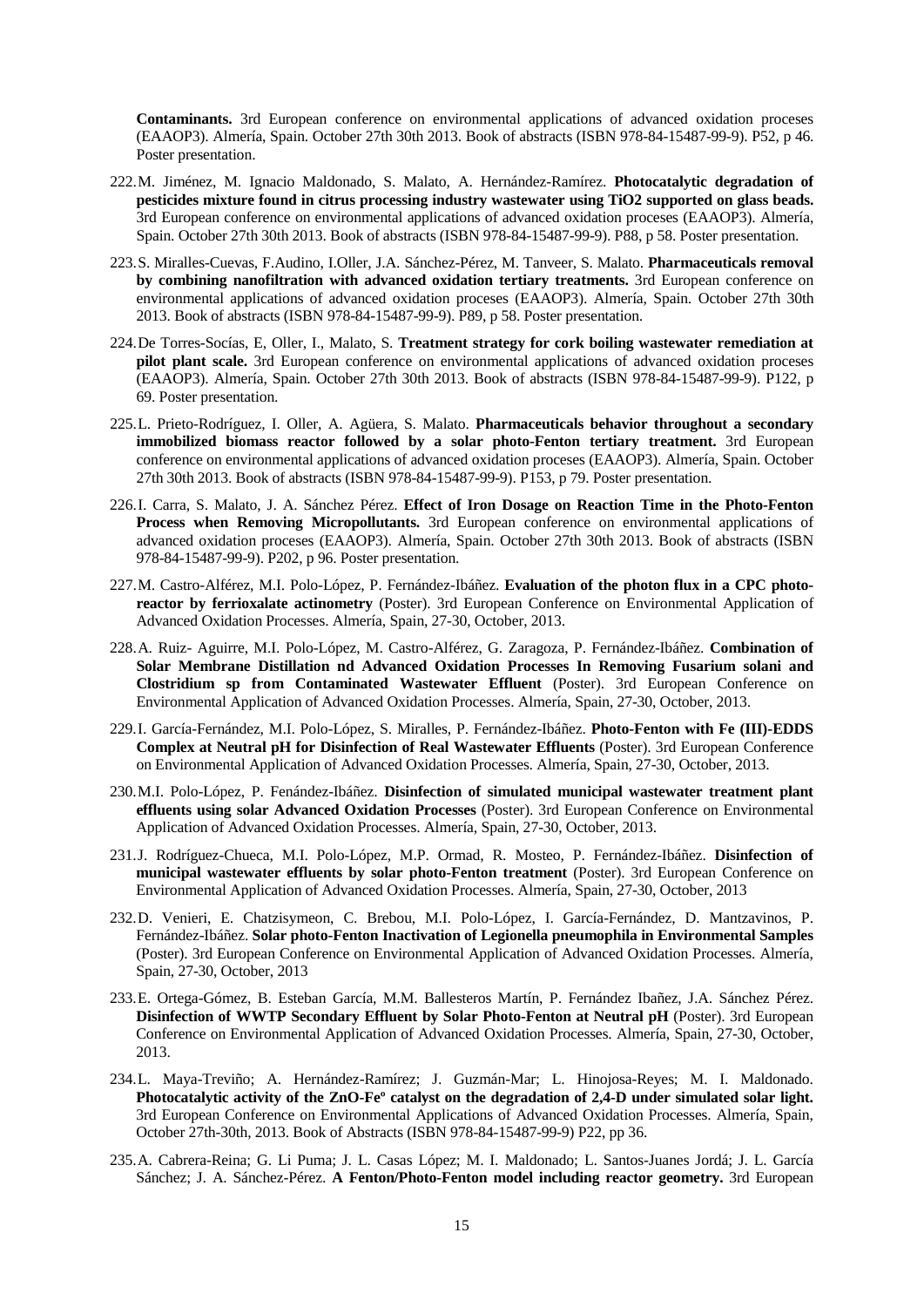**Contaminants.** 3rd European conference on environmental applications of advanced oxidation proceses (EAAOP3). Almería, Spain. October 27th 30th 2013. Book of abstracts (ISBN 978-84-15487-99-9). P52, p 46. Poster presentation.

- 222.M. Jiménez, M. Ignacio Maldonado, S. Malato, A. Hernández-Ramírez. **Photocatalytic degradation of pesticides mixture found in citrus processing industry wastewater using TiO2 supported on glass beads.** 3rd European conference on environmental applications of advanced oxidation proceses (EAAOP3). Almería, Spain. October 27th 30th 2013. Book of abstracts (ISBN 978-84-15487-99-9). P88, p 58. Poster presentation.
- 223.S. Miralles-Cuevas, F.Audino, I.Oller, J.A. Sánchez-Pérez, M. Tanveer, S. Malato. **Pharmaceuticals removal by combining nanofiltration with advanced oxidation tertiary treatments.** 3rd European conference on environmental applications of advanced oxidation proceses (EAAOP3). Almería, Spain. October 27th 30th 2013. Book of abstracts (ISBN 978-84-15487-99-9). P89, p 58. Poster presentation.
- 224.De Torres-Socías, E, Oller, I., Malato, S. **Treatment strategy for cork boiling wastewater remediation at pilot plant scale.** 3rd European conference on environmental applications of advanced oxidation proceses (EAAOP3). Almería, Spain. October 27th 30th 2013. Book of abstracts (ISBN 978-84-15487-99-9). P122, p 69. Poster presentation.
- 225.L. Prieto-Rodríguez, I. Oller, A. Agüera, S. Malato. **Pharmaceuticals behavior throughout a secondary immobilized biomass reactor followed by a solar photo-Fenton tertiary treatment.** 3rd European conference on environmental applications of advanced oxidation proceses (EAAOP3). Almería, Spain. October 27th 30th 2013. Book of abstracts (ISBN 978-84-15487-99-9). P153, p 79. Poster presentation.
- 226.I. Carra, S. Malato, J. A. Sánchez Pérez. **Effect of Iron Dosage on Reaction Time in the Photo-Fenton Process when Removing Micropollutants.** 3rd European conference on environmental applications of advanced oxidation proceses (EAAOP3). Almería, Spain. October 27th 30th 2013. Book of abstracts (ISBN 978-84-15487-99-9). P202, p 96. Poster presentation.
- 227.M. Castro-Alférez, M.I. Polo-López, P. Fernández-Ibáñez. **Evaluation of the photon flux in a CPC photoreactor by ferrioxalate actinometry** (Poster). 3rd European Conference on Environmental Application of Advanced Oxidation Processes. Almería, Spain, 27-30, October, 2013.
- 228.A. Ruiz- Aguirre, M.I. Polo-López, M. Castro-Alférez, G. Zaragoza, P. Fernández-Ibáñez. **Combination of Solar Membrane Distillation nd Advanced Oxidation Processes In Removing Fusarium solani and Clostridium sp from Contaminated Wastewater Effluent** (Poster). 3rd European Conference on Environmental Application of Advanced Oxidation Processes. Almería, Spain, 27-30, October, 2013.
- 229.I. García-Fernández, M.I. Polo-López, S. Miralles, P. Fernández-Ibáñez. **Photo-Fenton with Fe (III)-EDDS Complex at Neutral pH for Disinfection of Real Wastewater Effluents** (Poster). 3rd European Conference on Environmental Application of Advanced Oxidation Processes. Almería, Spain, 27-30, October, 2013.
- 230.M.I. Polo-López, P. Fenández-Ibáñez. **Disinfection of simulated municipal wastewater treatment plant effluents using solar Advanced Oxidation Processes** (Poster). 3rd European Conference on Environmental Application of Advanced Oxidation Processes. Almería, Spain, 27-30, October, 2013.
- 231.J. Rodríguez-Chueca, M.I. Polo-López, M.P. Ormad, R. Mosteo, P. Fernández-Ibáñez. **Disinfection of municipal wastewater effluents by solar photo-Fenton treatment** (Poster). 3rd European Conference on Environmental Application of Advanced Oxidation Processes. Almería, Spain, 27-30, October, 2013
- 232.D. Venieri, E. Chatzisymeon, C. Brebou, M.I. Polo-López, I. García-Fernández, D. Mantzavinos, P. Fernández-Ibáñez. **Solar photo-Fenton Inactivation of Legionella pneumophila in Environmental Samples** (Poster). 3rd European Conference on Environmental Application of Advanced Oxidation Processes. Almería, Spain, 27-30, October, 2013
- 233.E. Ortega-Gómez, B. Esteban García, M.M. Ballesteros Martín, P. Fernández Ibañez, J.A. Sánchez Pérez. **Disinfection of WWTP Secondary Effluent by Solar Photo-Fenton at Neutral pH** (Poster). 3rd European Conference on Environmental Application of Advanced Oxidation Processes. Almería, Spain, 27-30, October, 2013.
- 234.L. Maya-Treviño; A. Hernández-Ramírez; J. Guzmán-Mar; L. Hinojosa-Reyes; M. I. Maldonado. **Photocatalytic activity of the ZnO-Feº catalyst on the degradation of 2,4-D under simulated solar light.** 3rd European Conference on Environmental Applications of Advanced Oxidation Processes. Almería, Spain, October 27th-30th, 2013. Book of Abstracts (ISBN 978-84-15487-99-9) P22, pp 36.
- 235.A. Cabrera-Reina; G. Li Puma; J. L. Casas López; M. I. Maldonado; L. Santos-Juanes Jordá; J. L. García Sánchez; J. A. Sánchez-Pérez. **A Fenton/Photo-Fenton model including reactor geometry.** 3rd European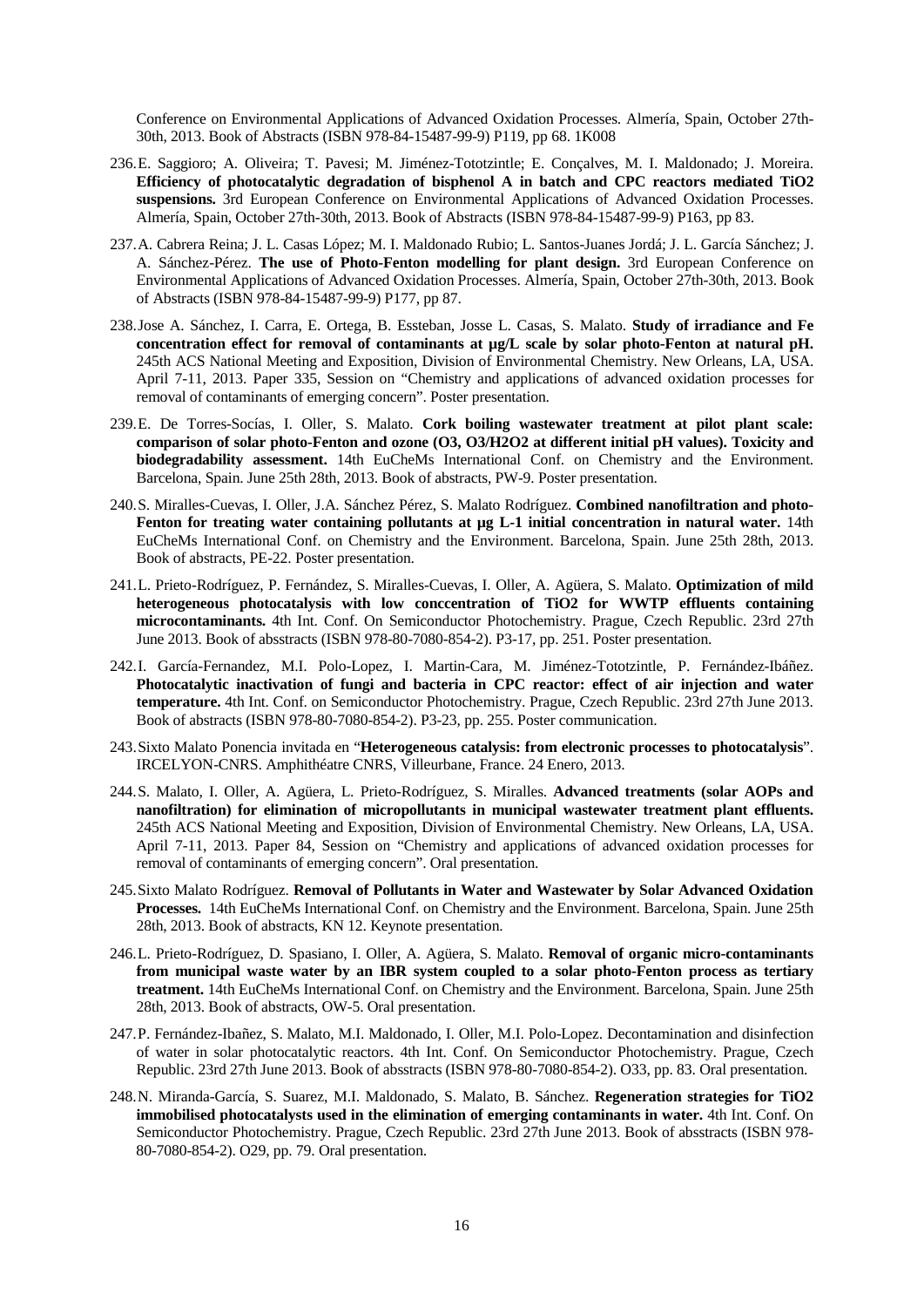Conference on Environmental Applications of Advanced Oxidation Processes. Almería, Spain, October 27th-30th, 2013. Book of Abstracts (ISBN 978-84-15487-99-9) P119, pp 68. 1K008

- 236.E. Saggioro; A. Oliveira; T. Pavesi; M. Jiménez-Tototzintle; E. Conçalves, M. I. Maldonado; J. Moreira. **Efficiency of photocatalytic degradation of bisphenol A in batch and CPC reactors mediated TiO2 suspensions.** 3rd European Conference on Environmental Applications of Advanced Oxidation Processes. Almería, Spain, October 27th-30th, 2013. Book of Abstracts (ISBN 978-84-15487-99-9) P163, pp 83.
- 237.A. Cabrera Reina; J. L. Casas López; M. I. Maldonado Rubio; L. Santos-Juanes Jordá; J. L. García Sánchez; J. A. Sánchez-Pérez. **The use of Photo-Fenton modelling for plant design.** 3rd European Conference on Environmental Applications of Advanced Oxidation Processes. Almería, Spain, October 27th-30th, 2013. Book of Abstracts (ISBN 978-84-15487-99-9) P177, pp 87.
- 238.Jose A. Sánchez, I. Carra, E. Ortega, B. Essteban, Josse L. Casas, S. Malato. **Study of irradiance and Fe concentration effect for removal of contaminants at µg/L scale by solar photo-Fenton at natural pH.**  245th ACS National Meeting and Exposition, Division of Environmental Chemistry. New Orleans, LA, USA. April 7-11, 2013. Paper 335, Session on "Chemistry and applications of advanced oxidation processes for removal of contaminants of emerging concern". Poster presentation.
- 239.E. De Torres-Socías, I. Oller, S. Malato. **Cork boiling wastewater treatment at pilot plant scale: comparison of solar photo-Fenton and ozone (O3, O3/H2O2 at different initial pH values). Toxicity and biodegradability assessment.** 14th EuCheMs International Conf. on Chemistry and the Environment. Barcelona, Spain. June 25th 28th, 2013. Book of abstracts, PW-9. Poster presentation.
- 240.S. Miralles-Cuevas, I. Oller, J.A. Sánchez Pérez, S. Malato Rodríguez. **Combined nanofiltration and photo-Fenton for treating water containing pollutants at µg L-1 initial concentration in natural water.** 14th EuCheMs International Conf. on Chemistry and the Environment. Barcelona, Spain. June 25th 28th, 2013. Book of abstracts, PE-22. Poster presentation.
- 241.L. Prieto-Rodríguez, P. Fernández, S. Miralles-Cuevas, I. Oller, A. Agüera, S. Malato. **Optimization of mild heterogeneous photocatalysis with low conccentration of TiO2 for WWTP effluents containing microcontaminants.** 4th Int. Conf. On Semiconductor Photochemistry. Prague, Czech Republic. 23rd 27th June 2013. Book of absstracts (ISBN 978-80-7080-854-2). P3-17, pp. 251. Poster presentation.
- 242.I. García-Fernandez, M.I. Polo-Lopez, I. Martin-Cara, M. Jiménez-Tototzintle, P. Fernández-Ibáñez. **Photocatalytic inactivation of fungi and bacteria in CPC reactor: effect of air injection and water temperature.** 4th Int. Conf. on Semiconductor Photochemistry. Prague, Czech Republic. 23rd 27th June 2013. Book of abstracts (ISBN 978-80-7080-854-2). P3-23, pp. 255. Poster communication.
- 243.Sixto Malato Ponencia invitada en "**Heterogeneous catalysis: from electronic processes to photocatalysis**". IRCELYON-CNRS. Amphithéatre CNRS, Villeurbane, France. 24 Enero, 2013.
- 244.S. Malato, I. Oller, A. Agüera, L. Prieto-Rodríguez, S. Miralles. **Advanced treatments (solar AOPs and nanofiltration) for elimination of micropollutants in municipal wastewater treatment plant effluents.** 245th ACS National Meeting and Exposition, Division of Environmental Chemistry. New Orleans, LA, USA. April 7-11, 2013. Paper 84, Session on "Chemistry and applications of advanced oxidation processes for removal of contaminants of emerging concern". Oral presentation.
- 245.Sixto Malato Rodríguez. **Removal of Pollutants in Water and Wastewater by Solar Advanced Oxidation Processes.** 14th EuCheMs International Conf. on Chemistry and the Environment. Barcelona, Spain. June 25th 28th, 2013. Book of abstracts, KN 12. Keynote presentation.
- 246.L. Prieto-Rodríguez, D. Spasiano, I. Oller, A. Agüera, S. Malato. **Removal of organic micro-contaminants from municipal waste water by an IBR system coupled to a solar photo-Fenton process as tertiary treatment.** 14th EuCheMs International Conf. on Chemistry and the Environment. Barcelona, Spain. June 25th 28th, 2013. Book of abstracts, OW-5. Oral presentation.
- 247.P. Fernández-Ibañez, S. Malato, M.I. Maldonado, I. Oller, M.I. Polo-Lopez. Decontamination and disinfection of water in solar photocatalytic reactors. 4th Int. Conf. On Semiconductor Photochemistry. Prague, Czech Republic. 23rd 27th June 2013. Book of absstracts (ISBN 978-80-7080-854-2). O33, pp. 83. Oral presentation.
- 248.N. Miranda-García, S. Suarez, M.I. Maldonado, S. Malato, B. Sánchez. **Regeneration strategies for TiO2 immobilised photocatalysts used in the elimination of emerging contaminants in water.** 4th Int. Conf. On Semiconductor Photochemistry. Prague, Czech Republic. 23rd 27th June 2013. Book of absstracts (ISBN 978- 80-7080-854-2). O29, pp. 79. Oral presentation.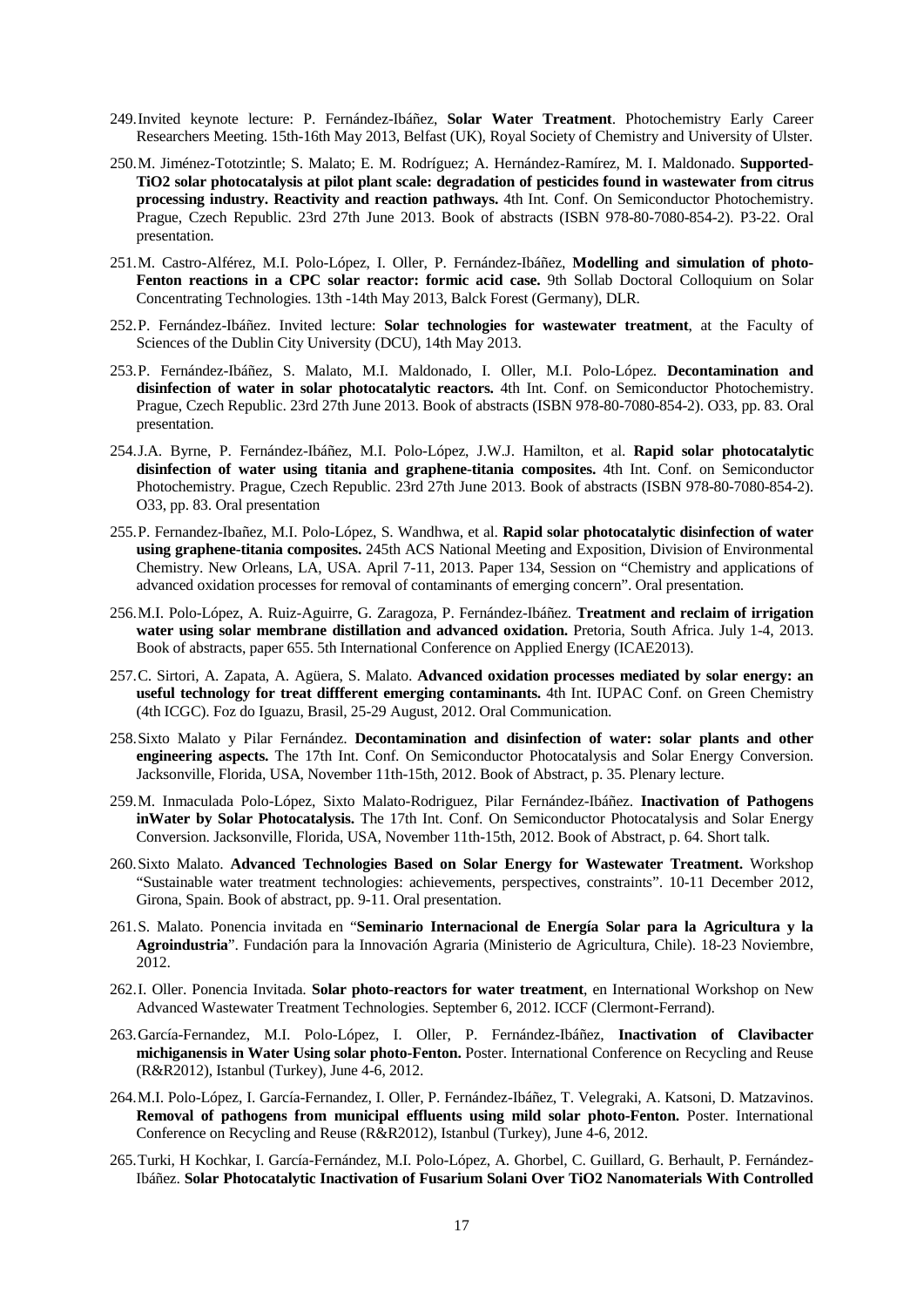- 249.Invited keynote lecture: P. Fernández-Ibáñez, **Solar Water Treatment**. Photochemistry Early Career Researchers Meeting. 15th-16th May 2013, Belfast (UK), Royal Society of Chemistry and University of Ulster.
- 250.M. Jiménez-Tototzintle; S. Malato; E. M. Rodríguez; A. Hernández-Ramírez, M. I. Maldonado. **Supported-TiO2 solar photocatalysis at pilot plant scale: degradation of pesticides found in wastewater from citrus processing industry. Reactivity and reaction pathways.** 4th Int. Conf. On Semiconductor Photochemistry. Prague, Czech Republic. 23rd 27th June 2013. Book of abstracts (ISBN 978-80-7080-854-2). P3-22. Oral presentation.
- 251.M. Castro-Alférez, M.I. Polo-López, I. Oller, P. Fernández-Ibáñez, **Modelling and simulation of photo-Fenton reactions in a CPC solar reactor: formic acid case.** 9th Sollab Doctoral Colloquium on Solar Concentrating Technologies. 13th -14th May 2013, Balck Forest (Germany), DLR.
- 252.P. Fernández-Ibáñez. Invited lecture: **Solar technologies for wastewater treatment**, at the Faculty of Sciences of the Dublin City University (DCU), 14th May 2013.
- 253.P. Fernández-Ibáñez, S. Malato, M.I. Maldonado, I. Oller, M.I. Polo-López. **Decontamination and disinfection of water in solar photocatalytic reactors.** 4th Int. Conf. on Semiconductor Photochemistry. Prague, Czech Republic. 23rd 27th June 2013. Book of abstracts (ISBN 978-80-7080-854-2). O33, pp. 83. Oral presentation.
- 254.J.A. Byrne, P. Fernández-Ibáñez, M.I. Polo-López, J.W.J. Hamilton, et al. **Rapid solar photocatalytic disinfection of water using titania and graphene-titania composites.** 4th Int. Conf. on Semiconductor Photochemistry. Prague, Czech Republic. 23rd 27th June 2013. Book of abstracts (ISBN 978-80-7080-854-2). O33, pp. 83. Oral presentation
- 255.P. Fernandez-Ibañez, M.I. Polo-López, S. Wandhwa, et al. **Rapid solar photocatalytic disinfection of water using graphene-titania composites.** 245th ACS National Meeting and Exposition, Division of Environmental Chemistry. New Orleans, LA, USA. April 7-11, 2013. Paper 134, Session on "Chemistry and applications of advanced oxidation processes for removal of contaminants of emerging concern". Oral presentation.
- 256.M.I. Polo-López, A. Ruiz-Aguirre, G. Zaragoza, P. Fernández-Ibáñez. **Treatment and reclaim of irrigation water using solar membrane distillation and advanced oxidation.** Pretoria, South Africa. July 1-4, 2013. Book of abstracts, paper 655. 5th International Conference on Applied Energy (ICAE2013).
- 257.C. Sirtori, A. Zapata, A. Agüera, S. Malato. **Advanced oxidation processes mediated by solar energy: an useful technology for treat diffferent emerging contaminants.** 4th Int. IUPAC Conf. on Green Chemistry (4th ICGC). Foz do Iguazu, Brasil, 25-29 August, 2012. Oral Communication.
- 258.Sixto Malato y Pilar Fernández. **Decontamination and disinfection of water: solar plants and other engineering aspects.** The 17th Int. Conf. On Semiconductor Photocatalysis and Solar Energy Conversion. Jacksonville, Florida, USA, November 11th-15th, 2012. Book of Abstract, p. 35. Plenary lecture.
- 259.M. Inmaculada Polo-López, Sixto Malato-Rodriguez, Pilar Fernández-Ibáñez. **Inactivation of Pathogens inWater by Solar Photocatalysis.** The 17th Int. Conf. On Semiconductor Photocatalysis and Solar Energy Conversion. Jacksonville, Florida, USA, November 11th-15th, 2012. Book of Abstract, p. 64. Short talk.
- 260.Sixto Malato. **Advanced Technologies Based on Solar Energy for Wastewater Treatment.** Workshop "Sustainable water treatment technologies: achievements, perspectives, constraints". 10-11 December 2012, Girona, Spain. Book of abstract, pp. 9-11. Oral presentation.
- 261.S. Malato. Ponencia invitada en "**Seminario Internacional de Energía Solar para la Agricultura y la Agroindustria**". Fundación para la Innovación Agraria (Ministerio de Agricultura, Chile). 18-23 Noviembre, 2012.
- 262.I. Oller. Ponencia Invitada. **Solar photo-reactors for water treatment**, en International Workshop on New Advanced Wastewater Treatment Technologies. September 6, 2012. ICCF (Clermont-Ferrand).
- 263.García-Fernandez, M.I. Polo-López, I. Oller, P. Fernández-Ibáñez, **Inactivation of Clavibacter michiganensis in Water Using solar photo-Fenton.** Poster. International Conference on Recycling and Reuse (R&R2012), Istanbul (Turkey), June 4-6, 2012.
- 264.M.I. Polo-López, I. García-Fernandez, I. Oller, P. Fernández-Ibáñez, T. Velegraki, A. Katsoni, D. Matzavinos. **Removal of pathogens from municipal effluents using mild solar photo-Fenton.** Poster. International Conference on Recycling and Reuse (R&R2012), Istanbul (Turkey), June 4-6, 2012.
- 265.Turki, H Kochkar, I. García-Fernández, M.I. Polo-López, A. Ghorbel, C. Guillard, G. Berhault, P. Fernández-Ibáñez. **Solar Photocatalytic Inactivation of Fusarium Solani Over TiO2 Nanomaterials With Controlled**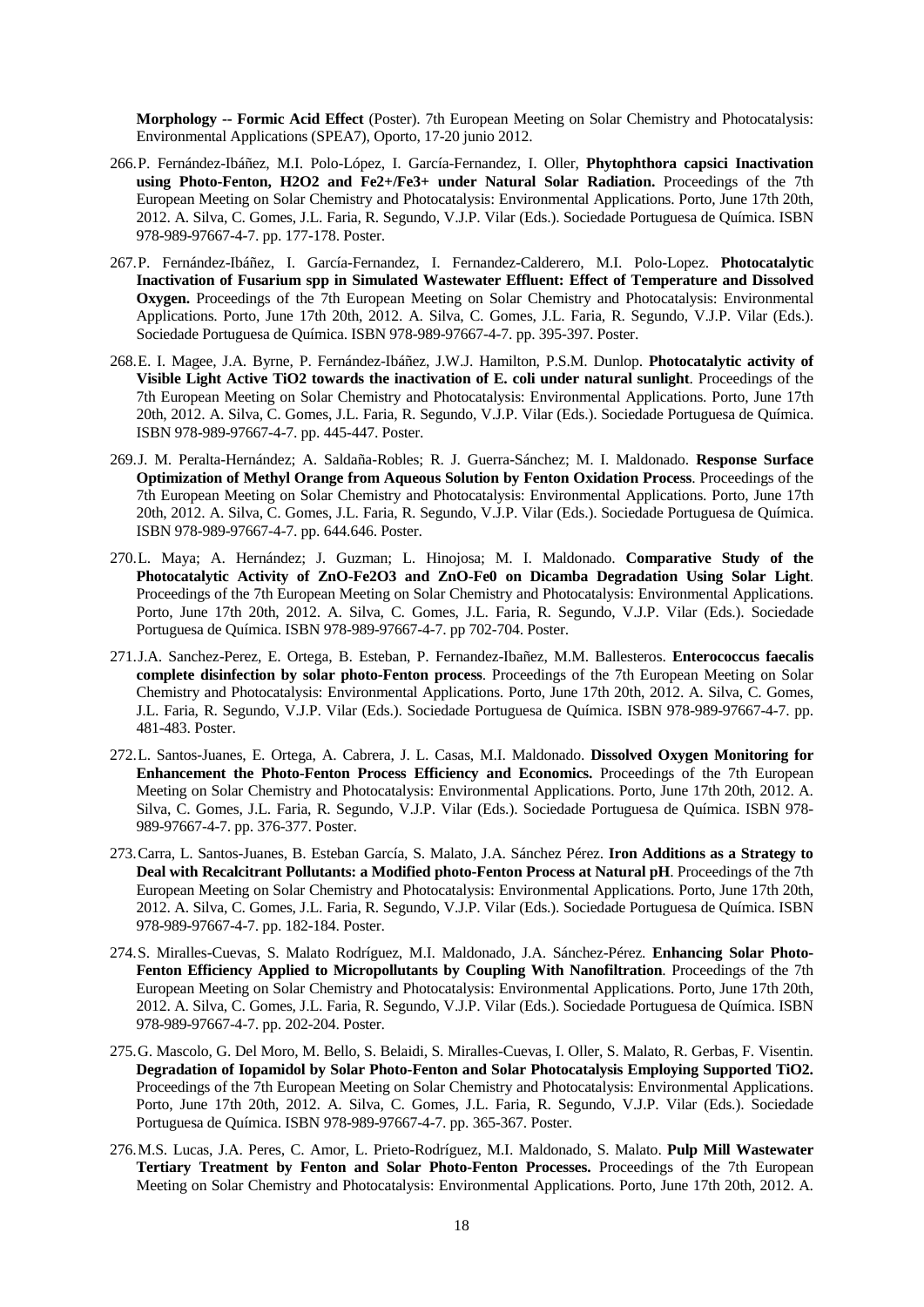**Morphology -- Formic Acid Effect** (Poster). 7th European Meeting on Solar Chemistry and Photocatalysis: Environmental Applications (SPEA7), Oporto, 17-20 junio 2012.

- 266.P. Fernández-Ibáñez, M.I. Polo-López, I. García-Fernandez, I. Oller, **Phytophthora capsici Inactivation using Photo-Fenton, H2O2 and Fe2+/Fe3+ under Natural Solar Radiation.** Proceedings of the 7th European Meeting on Solar Chemistry and Photocatalysis: Environmental Applications. Porto, June 17th 20th, 2012. A. Silva, C. Gomes, J.L. Faria, R. Segundo, V.J.P. Vilar (Eds.). Sociedade Portuguesa de Química. ISBN 978-989-97667-4-7. pp. 177-178. Poster.
- 267.P. Fernández-Ibáñez, I. García-Fernandez, I. Fernandez-Calderero, M.I. Polo-Lopez. **Photocatalytic Inactivation of Fusarium spp in Simulated Wastewater Effluent: Effect of Temperature and Dissolved Oxygen.** Proceedings of the 7th European Meeting on Solar Chemistry and Photocatalysis: Environmental Applications. Porto, June 17th 20th, 2012. A. Silva, C. Gomes, J.L. Faria, R. Segundo, V.J.P. Vilar (Eds.). Sociedade Portuguesa de Química. ISBN 978-989-97667-4-7. pp. 395-397. Poster.
- 268.E. I. Magee, J.A. Byrne, P. Fernández-Ibáñez, J.W.J. Hamilton, P.S.M. Dunlop. **Photocatalytic activity of Visible Light Active TiO2 towards the inactivation of E. coli under natural sunlight**. Proceedings of the 7th European Meeting on Solar Chemistry and Photocatalysis: Environmental Applications. Porto, June 17th 20th, 2012. A. Silva, C. Gomes, J.L. Faria, R. Segundo, V.J.P. Vilar (Eds.). Sociedade Portuguesa de Química. ISBN 978-989-97667-4-7. pp. 445-447. Poster.
- 269.J. M. Peralta-Hernández; A. Saldaña-Robles; R. J. Guerra-Sánchez; M. I. Maldonado. **Response Surface Optimization of Methyl Orange from Aqueous Solution by Fenton Oxidation Process**. Proceedings of the 7th European Meeting on Solar Chemistry and Photocatalysis: Environmental Applications. Porto, June 17th 20th, 2012. A. Silva, C. Gomes, J.L. Faria, R. Segundo, V.J.P. Vilar (Eds.). Sociedade Portuguesa de Química. ISBN 978-989-97667-4-7. pp. 644.646. Poster.
- 270.L. Maya; A. Hernández; J. Guzman; L. Hinojosa; M. I. Maldonado. **Comparative Study of the Photocatalytic Activity of ZnO-Fe2O3 and ZnO-Fe0 on Dicamba Degradation Using Solar Light**. Proceedings of the 7th European Meeting on Solar Chemistry and Photocatalysis: Environmental Applications. Porto, June 17th 20th, 2012. A. Silva, C. Gomes, J.L. Faria, R. Segundo, V.J.P. Vilar (Eds.). Sociedade Portuguesa de Química. ISBN 978-989-97667-4-7. pp 702-704. Poster.
- 271.J.A. Sanchez-Perez, E. Ortega, B. Esteban, P. Fernandez-Ibañez, M.M. Ballesteros. **Enterococcus faecalis complete disinfection by solar photo-Fenton process**. Proceedings of the 7th European Meeting on Solar Chemistry and Photocatalysis: Environmental Applications. Porto, June 17th 20th, 2012. A. Silva, C. Gomes, J.L. Faria, R. Segundo, V.J.P. Vilar (Eds.). Sociedade Portuguesa de Química. ISBN 978-989-97667-4-7. pp. 481-483. Poster.
- 272.L. Santos-Juanes, E. Ortega, A. Cabrera, J. L. Casas, M.I. Maldonado. **Dissolved Oxygen Monitoring for Enhancement the Photo-Fenton Process Efficiency and Economics.** Proceedings of the 7th European Meeting on Solar Chemistry and Photocatalysis: Environmental Applications. Porto, June 17th 20th, 2012. A. Silva, C. Gomes, J.L. Faria, R. Segundo, V.J.P. Vilar (Eds.). Sociedade Portuguesa de Química. ISBN 978- 989-97667-4-7. pp. 376-377. Poster.
- 273.Carra, L. Santos-Juanes, B. Esteban García, S. Malato, J.A. Sánchez Pérez. **Iron Additions as a Strategy to Deal with Recalcitrant Pollutants: a Modified photo-Fenton Process at Natural pH**. Proceedings of the 7th European Meeting on Solar Chemistry and Photocatalysis: Environmental Applications. Porto, June 17th 20th, 2012. A. Silva, C. Gomes, J.L. Faria, R. Segundo, V.J.P. Vilar (Eds.). Sociedade Portuguesa de Química. ISBN 978-989-97667-4-7. pp. 182-184. Poster.
- 274.S. Miralles-Cuevas, S. Malato Rodríguez, M.I. Maldonado, J.A. Sánchez-Pérez. **Enhancing Solar Photo-Fenton Efficiency Applied to Micropollutants by Coupling With Nanofiltration**. Proceedings of the 7th European Meeting on Solar Chemistry and Photocatalysis: Environmental Applications. Porto, June 17th 20th, 2012. A. Silva, C. Gomes, J.L. Faria, R. Segundo, V.J.P. Vilar (Eds.). Sociedade Portuguesa de Química. ISBN 978-989-97667-4-7. pp. 202-204. Poster.
- 275.G. Mascolo, G. Del Moro, M. Bello, S. Belaidi, S. Miralles-Cuevas, I. Oller, S. Malato, R. Gerbas, F. Visentin. **Degradation of Iopamidol by Solar Photo-Fenton and Solar Photocatalysis Employing Supported TiO2.**  Proceedings of the 7th European Meeting on Solar Chemistry and Photocatalysis: Environmental Applications. Porto, June 17th 20th, 2012. A. Silva, C. Gomes, J.L. Faria, R. Segundo, V.J.P. Vilar (Eds.). Sociedade Portuguesa de Química. ISBN 978-989-97667-4-7. pp. 365-367. Poster.
- 276.M.S. Lucas, J.A. Peres, C. Amor, L. Prieto-Rodríguez, M.I. Maldonado, S. Malato. **Pulp Mill Wastewater Tertiary Treatment by Fenton and Solar Photo-Fenton Processes.** Proceedings of the 7th European Meeting on Solar Chemistry and Photocatalysis: Environmental Applications. Porto, June 17th 20th, 2012. A.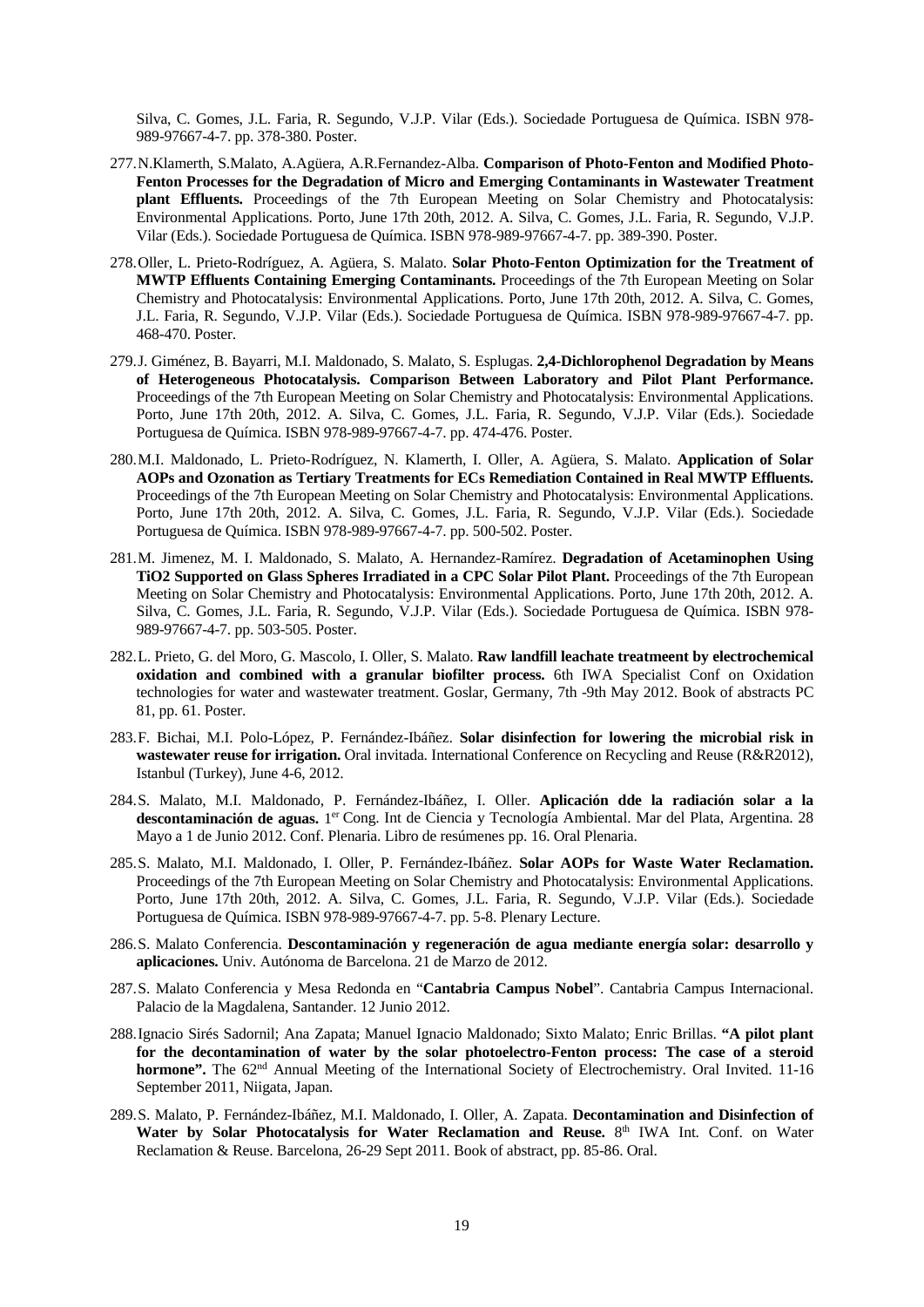Silva, C. Gomes, J.L. Faria, R. Segundo, V.J.P. Vilar (Eds.). Sociedade Portuguesa de Química. ISBN 978- 989-97667-4-7. pp. 378-380. Poster.

- 277.N.Klamerth, S.Malato, A.Agüera, A.R.Fernandez-Alba. **Comparison of Photo-Fenton and Modified Photo-Fenton Processes for the Degradation of Micro and Emerging Contaminants in Wastewater Treatment plant Effluents.** Proceedings of the 7th European Meeting on Solar Chemistry and Photocatalysis: Environmental Applications. Porto, June 17th 20th, 2012. A. Silva, C. Gomes, J.L. Faria, R. Segundo, V.J.P. Vilar (Eds.). Sociedade Portuguesa de Química. ISBN 978-989-97667-4-7. pp. 389-390. Poster.
- 278.Oller, L. Prieto-Rodríguez, A. Agüera, S. Malato. **Solar Photo-Fenton Optimization for the Treatment of MWTP Effluents Containing Emerging Contaminants.** Proceedings of the 7th European Meeting on Solar Chemistry and Photocatalysis: Environmental Applications. Porto, June 17th 20th, 2012. A. Silva, C. Gomes, J.L. Faria, R. Segundo, V.J.P. Vilar (Eds.). Sociedade Portuguesa de Química. ISBN 978-989-97667-4-7. pp. 468-470. Poster.
- 279.J. Giménez, B. Bayarri, M.I. Maldonado, S. Malato, S. Esplugas. **2,4-Dichlorophenol Degradation by Means of Heterogeneous Photocatalysis. Comparison Between Laboratory and Pilot Plant Performance.** Proceedings of the 7th European Meeting on Solar Chemistry and Photocatalysis: Environmental Applications. Porto, June 17th 20th, 2012. A. Silva, C. Gomes, J.L. Faria, R. Segundo, V.J.P. Vilar (Eds.). Sociedade Portuguesa de Química. ISBN 978-989-97667-4-7. pp. 474-476. Poster.
- 280.M.I. Maldonado, L. Prieto-Rodríguez, N. Klamerth, I. Oller, A. Agüera, S. Malato. **Application of Solar AOPs and Ozonation as Tertiary Treatments for ECs Remediation Contained in Real MWTP Effluents.** Proceedings of the 7th European Meeting on Solar Chemistry and Photocatalysis: Environmental Applications. Porto, June 17th 20th, 2012. A. Silva, C. Gomes, J.L. Faria, R. Segundo, V.J.P. Vilar (Eds.). Sociedade Portuguesa de Química. ISBN 978-989-97667-4-7. pp. 500-502. Poster.
- 281.M. Jimenez, M. I. Maldonado, S. Malato, A. Hernandez-Ramírez. **Degradation of Acetaminophen Using TiO2 Supported on Glass Spheres Irradiated in a CPC Solar Pilot Plant.** Proceedings of the 7th European Meeting on Solar Chemistry and Photocatalysis: Environmental Applications. Porto, June 17th 20th, 2012. A. Silva, C. Gomes, J.L. Faria, R. Segundo, V.J.P. Vilar (Eds.). Sociedade Portuguesa de Química. ISBN 978- 989-97667-4-7. pp. 503-505. Poster.
- 282.L. Prieto, G. del Moro, G. Mascolo, I. Oller, S. Malato. **Raw landfill leachate treatmeent by electrochemical oxidation and combined with a granular biofilter process.** 6th IWA Specialist Conf on Oxidation technologies for water and wastewater treatment. Goslar, Germany, 7th -9th May 2012. Book of abstracts PC 81, pp. 61. Poster.
- 283.F. Bichai, M.I. Polo-López, P. Fernández-Ibáñez. **Solar disinfection for lowering the microbial risk in wastewater reuse for irrigation.** Oral invitada. International Conference on Recycling and Reuse (R&R2012), Istanbul (Turkey), June 4-6, 2012.
- 284.S. Malato, M.I. Maldonado, P. Fernández-Ibáñez, I. Oller. **Aplicación dde la radiación solar a la**  descontaminación de aguas. 1<sup>er</sup> Cong. Int de Ciencia y Tecnología Ambiental. Mar del Plata, Argentina. 28 Mayo a 1 de Junio 2012. Conf. Plenaria. Libro de resúmenes pp. 16. Oral Plenaria.
- 285.S. Malato, M.I. Maldonado, I. Oller, P. Fernández-Ibáñez. **Solar AOPs for Waste Water Reclamation.** Proceedings of the 7th European Meeting on Solar Chemistry and Photocatalysis: Environmental Applications. Porto, June 17th 20th, 2012. A. Silva, C. Gomes, J.L. Faria, R. Segundo, V.J.P. Vilar (Eds.). Sociedade Portuguesa de Química. ISBN 978-989-97667-4-7. pp. 5-8. Plenary Lecture.
- 286.S. Malato Conferencia. **Descontaminación y regeneración de agua mediante energía solar: desarrollo y aplicaciones.** Univ. Autónoma de Barcelona. 21 de Marzo de 2012.
- 287.S. Malato Conferencia y Mesa Redonda en "**Cantabria Campus Nobel**". Cantabria Campus Internacional. Palacio de la Magdalena, Santander. 12 Junio 2012.
- 288.Ignacio Sirés Sadornil; Ana Zapata; Manuel Ignacio Maldonado; Sixto Malato; Enric Brillas. **"A pilot plant for the decontamination of water by the solar photoelectro-Fenton process: The case of a steroid**  hormone". The 62<sup>nd</sup> Annual Meeting of the International Society of Electrochemistry. Oral Invited. 11-16 September 2011, Niigata, Japan.
- 289.S. Malato, P. Fernández-Ibáñez, M.I. Maldonado, I. Oller, A. Zapata. **Decontamination and Disinfection of**  Water by Solar Photocatalysis for Water Reclamation and Reuse. 8<sup>th</sup> IWA Int. Conf. on Water Reclamation & Reuse. Barcelona, 26-29 Sept 2011. Book of abstract, pp. 85-86. Oral.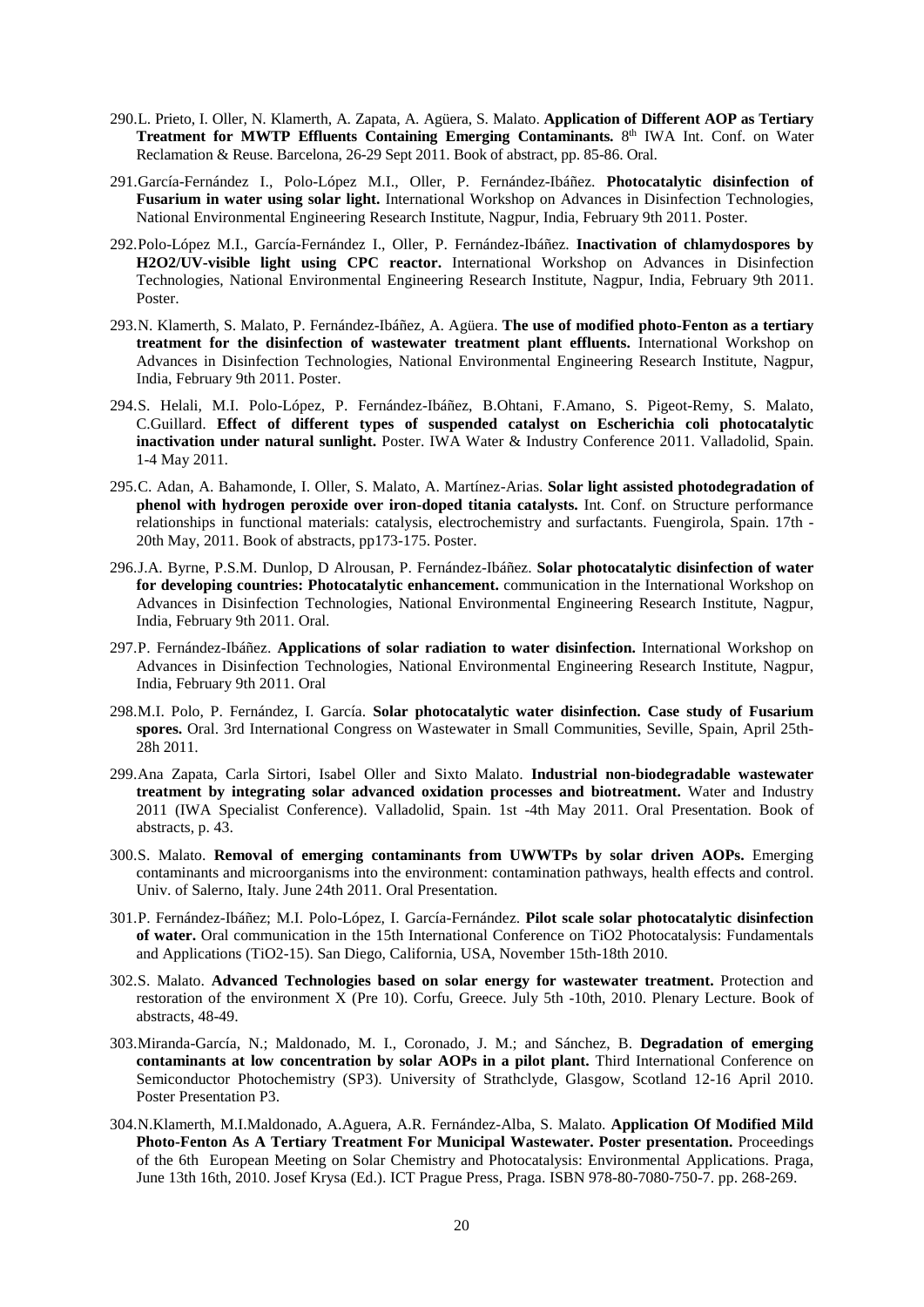- 290.L. Prieto, I. Oller, N. Klamerth, A. Zapata, A. Agüera, S. Malato. **Application of Different AOP as Tertiary Treatment for MWTP Effluents Containing Emerging Contaminants.** 8<sup>th</sup> IWA Int. Conf. on Water Reclamation & Reuse. Barcelona, 26-29 Sept 2011. Book of abstract, pp. 85-86. Oral.
- 291.García-Fernández I., Polo-López M.I., Oller, P. Fernández-Ibáñez. **Photocatalytic disinfection of Fusarium in water using solar light.** International Workshop on Advances in Disinfection Technologies, National Environmental Engineering Research Institute, Nagpur, India, February 9th 2011. Poster.
- 292.Polo-López M.I., García-Fernández I., Oller, P. Fernández-Ibáñez. **Inactivation of chlamydospores by H2O2/UV-visible light using CPC reactor.** International Workshop on Advances in Disinfection Technologies, National Environmental Engineering Research Institute, Nagpur, India, February 9th 2011. Poster.
- 293.N. Klamerth, S. Malato, P. Fernández-Ibáñez, A. Agüera. **The use of modified photo-Fenton as a tertiary treatment for the disinfection of wastewater treatment plant effluents.** International Workshop on Advances in Disinfection Technologies, National Environmental Engineering Research Institute, Nagpur, India, February 9th 2011. Poster.
- 294.S. Helali, M.I. Polo-López, P. Fernández-Ibáñez, B.Ohtani, F.Amano, S. Pigeot-Remy, S. Malato, C.Guillard. **Effect of different types of suspended catalyst on Escherichia coli photocatalytic inactivation under natural sunlight.** Poster. IWA Water & Industry Conference 2011. Valladolid, Spain. 1-4 May 2011.
- 295.C. Adan, A. Bahamonde, I. Oller, S. Malato, A. Martínez-Arias. **Solar light assisted photodegradation of phenol with hydrogen peroxide over iron-doped titania catalysts.** Int. Conf. on Structure performance relationships in functional materials: catalysis, electrochemistry and surfactants. Fuengirola, Spain. 17th - 20th May, 2011. Book of abstracts, pp173-175. Poster.
- 296.J.A. Byrne, P.S.M. Dunlop, D Alrousan, P. Fernández-Ibáñez. **Solar photocatalytic disinfection of water for developing countries: Photocatalytic enhancement.** communication in the International Workshop on Advances in Disinfection Technologies, National Environmental Engineering Research Institute, Nagpur, India, February 9th 2011. Oral.
- 297.P. Fernández-Ibáñez. **Applications of solar radiation to water disinfection.** International Workshop on Advances in Disinfection Technologies, National Environmental Engineering Research Institute, Nagpur, India, February 9th 2011. Oral
- 298.M.I. Polo, P. Fernández, I. García. **Solar photocatalytic water disinfection. Case study of Fusarium spores.** Oral. 3rd International Congress on Wastewater in Small Communities, Seville, Spain, April 25th-28h 2011.
- 299.Ana Zapata, Carla Sirtori, Isabel Oller and Sixto Malato. **Industrial non-biodegradable wastewater treatment by integrating solar advanced oxidation processes and biotreatment.** Water and Industry 2011 (IWA Specialist Conference). Valladolid, Spain. 1st -4th May 2011. Oral Presentation. Book of abstracts, p. 43.
- 300.S. Malato. **Removal of emerging contaminants from UWWTPs by solar driven AOPs.** Emerging contaminants and microorganisms into the environment: contamination pathways, health effects and control. Univ. of Salerno, Italy. June 24th 2011. Oral Presentation.
- 301.P. Fernández-Ibáñez; M.I. Polo-López, I. García-Fernández. **Pilot scale solar photocatalytic disinfection of water.** Oral communication in the 15th International Conference on TiO2 Photocatalysis: Fundamentals and Applications (TiO2-15). San Diego, California, USA, November 15th-18th 2010.
- 302.S. Malato. **Advanced Technologies based on solar energy for wastewater treatment.** Protection and restoration of the environment X (Pre 10). Corfu, Greece. July 5th -10th, 2010. Plenary Lecture. Book of abstracts, 48-49.
- 303.Miranda-García, N.; Maldonado, M. I., Coronado, J. M.; and Sánchez, B. **Degradation of emerging contaminants at low concentration by solar AOPs in a pilot plant.** Third International Conference on Semiconductor Photochemistry (SP3). University of Strathclyde, Glasgow, Scotland 12-16 April 2010. Poster Presentation P3.
- 304.N.Klamerth, M.I.Maldonado, A.Aguera, A.R. Fernández-Alba, S. Malato. **Application Of Modified Mild Photo-Fenton As A Tertiary Treatment For Municipal Wastewater. Poster presentation.** Proceedings of the 6th European Meeting on Solar Chemistry and Photocatalysis: Environmental Applications. Praga, June 13th 16th, 2010. Josef Krysa (Ed.). ICT Prague Press, Praga. ISBN 978-80-7080-750-7. pp. 268-269.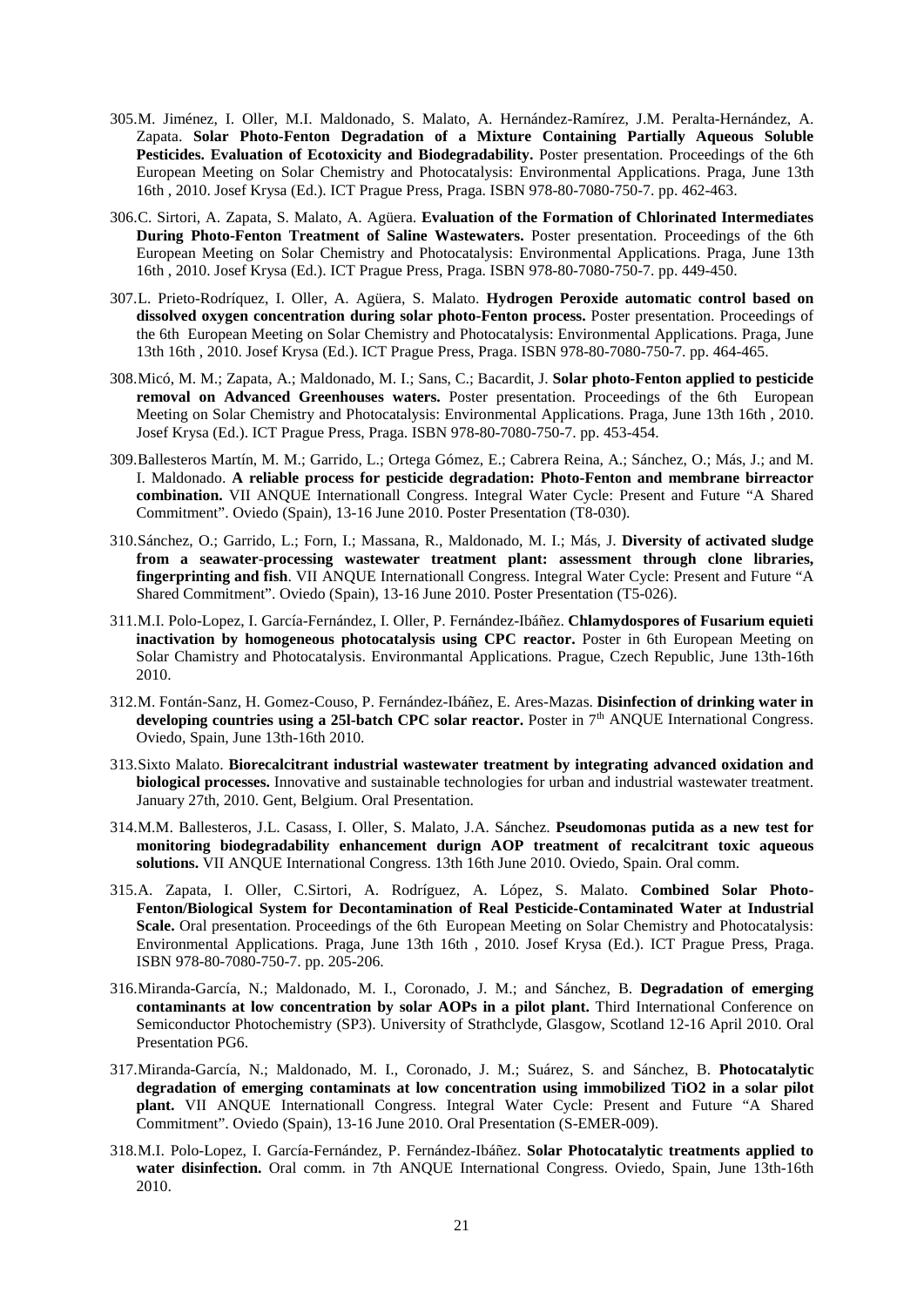- 305.M. Jiménez, I. Oller, M.I. Maldonado, S. Malato, A. Hernández-Ramírez, J.M. Peralta-Hernández, A. Zapata. **Solar Photo-Fenton Degradation of a Mixture Containing Partially Aqueous Soluble**  Pesticides. Evaluation of Ecotoxicity and Biodegradability. Poster presentation. Proceedings of the 6th European Meeting on Solar Chemistry and Photocatalysis: Environmental Applications. Praga, June 13th 16th , 2010. Josef Krysa (Ed.). ICT Prague Press, Praga. ISBN 978-80-7080-750-7. pp. 462-463.
- 306.C. Sirtori, A. Zapata, S. Malato, A. Agüera. **Evaluation of the Formation of Chlorinated Intermediates During Photo-Fenton Treatment of Saline Wastewaters.** Poster presentation. Proceedings of the 6th European Meeting on Solar Chemistry and Photocatalysis: Environmental Applications. Praga, June 13th 16th , 2010. Josef Krysa (Ed.). ICT Prague Press, Praga. ISBN 978-80-7080-750-7. pp. 449-450.
- 307.L. Prieto-Rodríquez, I. Oller, A. Agüera, S. Malato. **Hydrogen Peroxide automatic control based on dissolved oxygen concentration during solar photo-Fenton process.** Poster presentation. Proceedings of the 6th European Meeting on Solar Chemistry and Photocatalysis: Environmental Applications. Praga, June 13th 16th , 2010. Josef Krysa (Ed.). ICT Prague Press, Praga. ISBN 978-80-7080-750-7. pp. 464-465.
- 308.Micó, M. M.; Zapata, A.; Maldonado, M. I.; Sans, C.; Bacardit, J. **Solar photo-Fenton applied to pesticide removal on Advanced Greenhouses waters.** Poster presentation. Proceedings of the 6th European Meeting on Solar Chemistry and Photocatalysis: Environmental Applications. Praga, June 13th 16th , 2010. Josef Krysa (Ed.). ICT Prague Press, Praga. ISBN 978-80-7080-750-7. pp. 453-454.
- 309.Ballesteros Martín, M. M.; Garrido, L.; Ortega Gómez, E.; Cabrera Reina, A.; Sánchez, O.; Más, J.; and M. I. Maldonado. **A reliable process for pesticide degradation: Photo-Fenton and membrane birreactor combination.** VII ANQUE Internationall Congress. Integral Water Cycle: Present and Future "A Shared Commitment". Oviedo (Spain), 13-16 June 2010. Poster Presentation (T8-030).
- 310.Sánchez, O.; Garrido, L.; Forn, I.; Massana, R., Maldonado, M. I.; Más, J. **Diversity of activated sludge from a seawater-processing wastewater treatment plant: assessment through clone libraries, fingerprinting and fish**. VII ANQUE Internationall Congress. Integral Water Cycle: Present and Future "A Shared Commitment". Oviedo (Spain), 13-16 June 2010. Poster Presentation (T5-026).
- 311.M.I. Polo-Lopez, I. García-Fernández, I. Oller, P. Fernández-Ibáñez. **Chlamydospores of Fusarium equieti inactivation by homogeneous photocatalysis using CPC reactor.** Poster in 6th European Meeting on Solar Chamistry and Photocatalysis. Environmantal Applications. Prague, Czech Republic, June 13th-16th 2010.
- 312.M. Fontán-Sanz, H. Gomez-Couso, P. Fernández-Ibáñez, E. Ares-Mazas. **Disinfection of drinking water in**  developing countries using a 251-batch CPC solar reactor. Poster in 7<sup>th</sup> ANQUE International Congress. Oviedo, Spain, June 13th-16th 2010.
- 313.Sixto Malato. **Biorecalcitrant industrial wastewater treatment by integrating advanced oxidation and biological processes.** Innovative and sustainable technologies for urban and industrial wastewater treatment. January 27th, 2010. Gent, Belgium. Oral Presentation.
- 314.M.M. Ballesteros, J.L. Casass, I. Oller, S. Malato, J.A. Sánchez. **Pseudomonas putida as a new test for monitoring biodegradability enhancement durign AOP treatment of recalcitrant toxic aqueous solutions.** VII ANQUE International Congress. 13th 16th June 2010. Oviedo, Spain. Oral comm.
- 315.A. Zapata, I. Oller, C.Sirtori, A. Rodríguez, A. López, S. Malato. **Combined Solar Photo-Fenton/Biological System for Decontamination of Real Pesticide-Contaminated Water at Industrial**  Scale. Oral presentation. Proceedings of the 6th European Meeting on Solar Chemistry and Photocatalysis: Environmental Applications. Praga, June 13th 16th , 2010. Josef Krysa (Ed.). ICT Prague Press, Praga. ISBN 978-80-7080-750-7. pp. 205-206.
- 316.Miranda-García, N.; Maldonado, M. I., Coronado, J. M.; and Sánchez, B. **Degradation of emerging contaminants at low concentration by solar AOPs in a pilot plant.** Third International Conference on Semiconductor Photochemistry (SP3). University of Strathclyde, Glasgow, Scotland 12-16 April 2010. Oral Presentation PG6.
- 317.Miranda-García, N.; Maldonado, M. I., Coronado, J. M.; Suárez, S. and Sánchez, B. **Photocatalytic degradation of emerging contaminats at low concentration using immobilized TiO2 in a solar pilot plant.** VII ANQUE Internationall Congress. Integral Water Cycle: Present and Future "A Shared Commitment". Oviedo (Spain), 13-16 June 2010. Oral Presentation (S-EMER-009).
- 318.M.I. Polo-Lopez, I. García-Fernández, P. Fernández-Ibáñez. **Solar Photocatalytic treatments applied to water disinfection.** Oral comm. in 7th ANQUE International Congress. Oviedo, Spain, June 13th-16th 2010.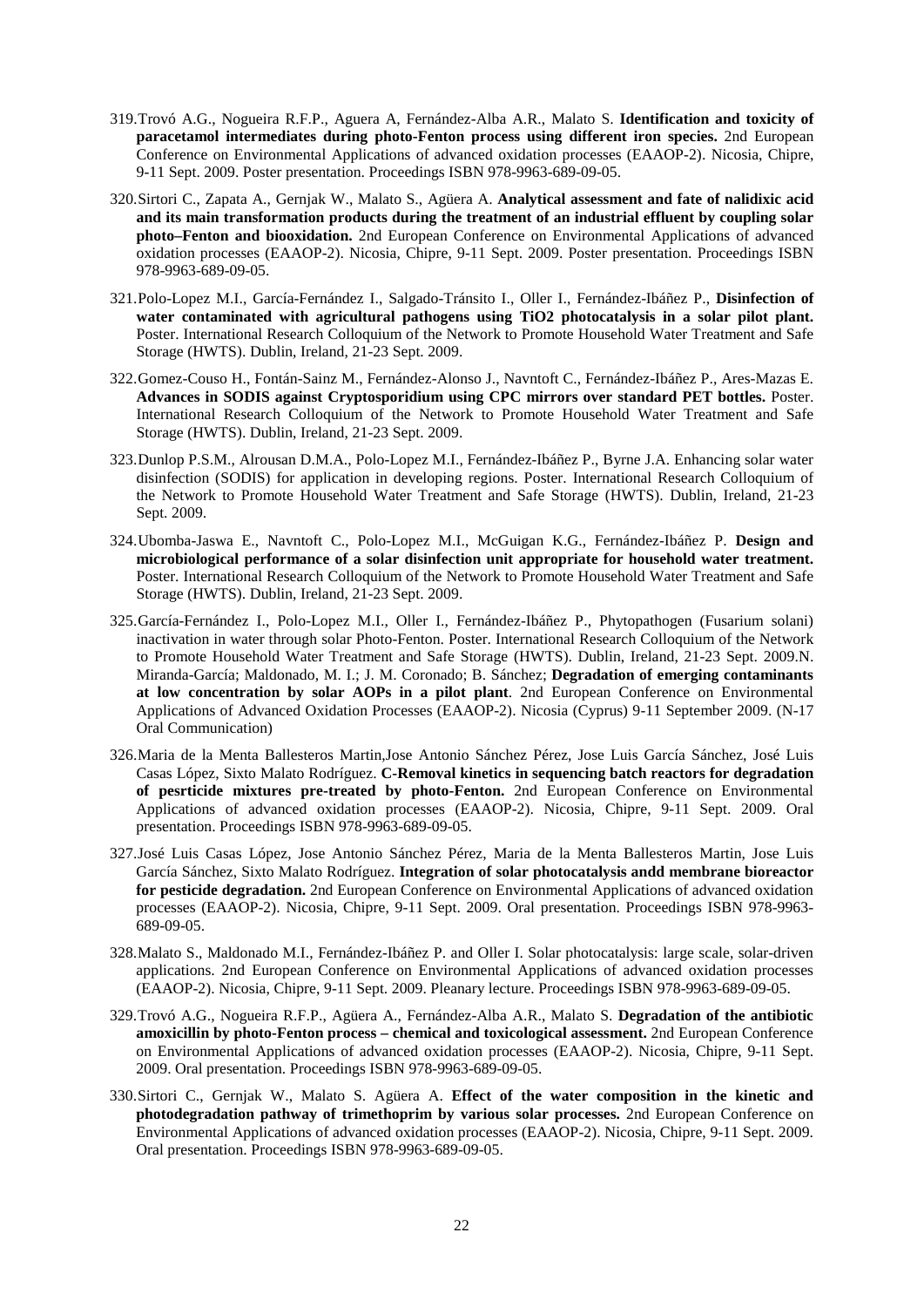- 319.Trovó A.G., Nogueira R.F.P., Aguera A, Fernández-Alba A.R., Malato S. **Identification and toxicity of paracetamol intermediates during photo-Fenton process using different iron species.** 2nd European Conference on Environmental Applications of advanced oxidation processes (EAAOP-2). Nicosia, Chipre, 9-11 Sept. 2009. Poster presentation. Proceedings ISBN 978-9963-689-09-05.
- 320.Sirtori C., Zapata A., Gernjak W., Malato S., Agüera A. **Analytical assessment and fate of nalidixic acid and its main transformation products during the treatment of an industrial effluent by coupling solar photo–Fenton and biooxidation.** 2nd European Conference on Environmental Applications of advanced oxidation processes (EAAOP-2). Nicosia, Chipre, 9-11 Sept. 2009. Poster presentation. Proceedings ISBN 978-9963-689-09-05.
- 321.Polo-Lopez M.I., García-Fernández I., Salgado-Tránsito I., Oller I., Fernández-Ibáñez P., **Disinfection of water contaminated with agricultural pathogens using TiO2 photocatalysis in a solar pilot plant.** Poster. International Research Colloquium of the Network to Promote Household Water Treatment and Safe Storage (HWTS). Dublin, Ireland, 21-23 Sept. 2009.
- 322.Gomez-Couso H., Fontán-Sainz M., Fernández-Alonso J., Navntoft C., Fernández-Ibáñez P., Ares-Mazas E. **Advances in SODIS against Cryptosporidium using CPC mirrors over standard PET bottles.** Poster. International Research Colloquium of the Network to Promote Household Water Treatment and Safe Storage (HWTS). Dublin, Ireland, 21-23 Sept. 2009.
- 323.Dunlop P.S.M., Alrousan D.M.A., Polo-Lopez M.I., Fernández-Ibáñez P., Byrne J.A. Enhancing solar water disinfection (SODIS) for application in developing regions. Poster. International Research Colloquium of the Network to Promote Household Water Treatment and Safe Storage (HWTS). Dublin, Ireland, 21-23 Sept. 2009.
- 324.Ubomba-Jaswa E., Navntoft C., Polo-Lopez M.I., McGuigan K.G., Fernández-Ibáñez P. **Design and microbiological performance of a solar disinfection unit appropriate for household water treatment.**  Poster. International Research Colloquium of the Network to Promote Household Water Treatment and Safe Storage (HWTS). Dublin, Ireland, 21-23 Sept. 2009.
- 325.García-Fernández I., Polo-Lopez M.I., Oller I., Fernández-Ibáñez P., Phytopathogen (Fusarium solani) inactivation in water through solar Photo-Fenton. Poster. International Research Colloquium of the Network to Promote Household Water Treatment and Safe Storage (HWTS). Dublin, Ireland, 21-23 Sept. 2009.N. Miranda-García; Maldonado, M. I.; J. M. Coronado; B. Sánchez; **Degradation of emerging contaminants at low concentration by solar AOPs in a pilot plant**. 2nd European Conference on Environmental Applications of Advanced Oxidation Processes (EAAOP-2). Nicosia (Cyprus) 9-11 September 2009. (N-17 Oral Communication)
- 326.Maria de la Menta Ballesteros Martin,Jose Antonio Sánchez Pérez, Jose Luis García Sánchez, José Luis Casas López, Sixto Malato Rodríguez. **C-Removal kinetics in sequencing batch reactors for degradation of pesrticide mixtures pre-treated by photo-Fenton.** 2nd European Conference on Environmental Applications of advanced oxidation processes (EAAOP-2). Nicosia, Chipre, 9-11 Sept. 2009. Oral presentation. Proceedings ISBN 978-9963-689-09-05.
- 327.José Luis Casas López, Jose Antonio Sánchez Pérez, Maria de la Menta Ballesteros Martin, Jose Luis García Sánchez, Sixto Malato Rodríguez. **Integration of solar photocatalysis andd membrane bioreactor for pesticide degradation.** 2nd European Conference on Environmental Applications of advanced oxidation processes (EAAOP-2). Nicosia, Chipre, 9-11 Sept. 2009. Oral presentation. Proceedings ISBN 978-9963- 689-09-05.
- 328.Malato S., Maldonado M.I., Fernández-Ibáñez P. and Oller I. Solar photocatalysis: large scale, solar-driven applications. 2nd European Conference on Environmental Applications of advanced oxidation processes (EAAOP-2). Nicosia, Chipre, 9-11 Sept. 2009. Pleanary lecture. Proceedings ISBN 978-9963-689-09-05.
- 329.Trovó A.G., Nogueira R.F.P., Agüera A., Fernández-Alba A.R., Malato S. **Degradation of the antibiotic amoxicillin by photo-Fenton process – chemical and toxicological assessment.** 2nd European Conference on Environmental Applications of advanced oxidation processes (EAAOP-2). Nicosia, Chipre, 9-11 Sept. 2009. Oral presentation. Proceedings ISBN 978-9963-689-09-05.
- 330.Sirtori C., Gernjak W., Malato S. Agüera A. **Effect of the water composition in the kinetic and photodegradation pathway of trimethoprim by various solar processes.** 2nd European Conference on Environmental Applications of advanced oxidation processes (EAAOP-2). Nicosia, Chipre, 9-11 Sept. 2009. Oral presentation. Proceedings ISBN 978-9963-689-09-05.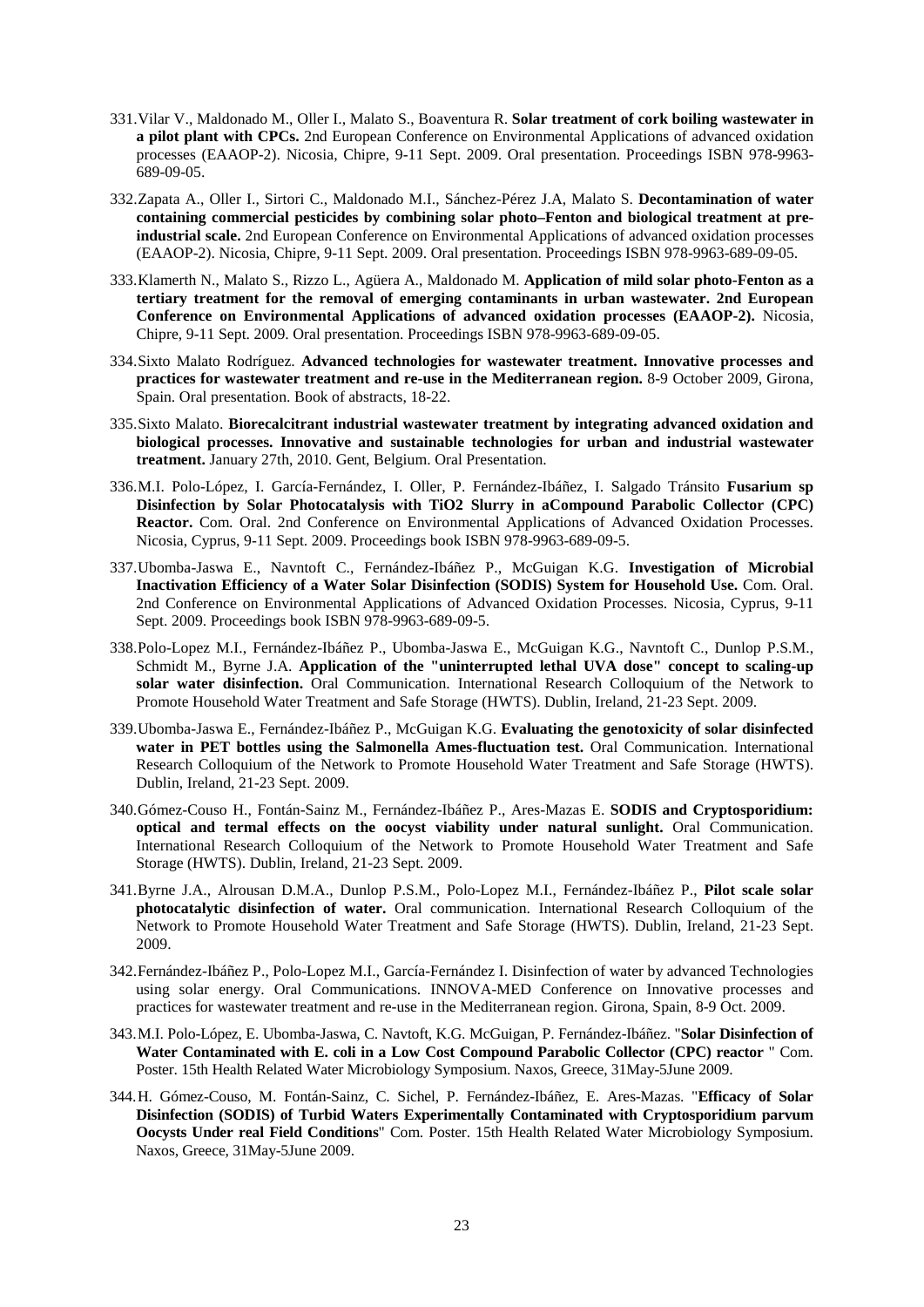- 331.Vilar V., Maldonado M., Oller I., Malato S., Boaventura R. **Solar treatment of cork boiling wastewater in a pilot plant with CPCs.** 2nd European Conference on Environmental Applications of advanced oxidation processes (EAAOP-2). Nicosia, Chipre, 9-11 Sept. 2009. Oral presentation. Proceedings ISBN 978-9963- 689-09-05.
- 332.Zapata A., Oller I., Sirtori C., Maldonado M.I., Sánchez-Pérez J.A, Malato S. **Decontamination of water containing commercial pesticides by combining solar photo–Fenton and biological treatment at preindustrial scale.** 2nd European Conference on Environmental Applications of advanced oxidation processes (EAAOP-2). Nicosia, Chipre, 9-11 Sept. 2009. Oral presentation. Proceedings ISBN 978-9963-689-09-05.
- 333.Klamerth N., Malato S., Rizzo L., Agüera A., Maldonado M. **Application of mild solar photo-Fenton as a tertiary treatment for the removal of emerging contaminants in urban wastewater. 2nd European Conference on Environmental Applications of advanced oxidation processes (EAAOP-2).** Nicosia, Chipre, 9-11 Sept. 2009. Oral presentation. Proceedings ISBN 978-9963-689-09-05.
- 334.Sixto Malato Rodríguez. **Advanced technologies for wastewater treatment. Innovative processes and practices for wastewater treatment and re-use in the Mediterranean region.** 8-9 October 2009, Girona, Spain. Oral presentation. Book of abstracts, 18-22.
- 335.Sixto Malato. **Biorecalcitrant industrial wastewater treatment by integrating advanced oxidation and biological processes. Innovative and sustainable technologies for urban and industrial wastewater treatment.** January 27th, 2010. Gent, Belgium. Oral Presentation.
- 336.M.I. Polo-López, I. García-Fernández, I. Oller, P. Fernández-Ibáñez, I. Salgado Tránsito **Fusarium sp Disinfection by Solar Photocatalysis with TiO2 Slurry in aCompound Parabolic Collector (CPC) Reactor.** Com. Oral. 2nd Conference on Environmental Applications of Advanced Oxidation Processes. Nicosia, Cyprus, 9-11 Sept. 2009. Proceedings book ISBN 978-9963-689-09-5.
- 337.Ubomba-Jaswa E., Navntoft C., Fernández-Ibáñez P., McGuigan K.G. **Investigation of Microbial Inactivation Efficiency of a Water Solar Disinfection (SODIS) System for Household Use.** Com. Oral. 2nd Conference on Environmental Applications of Advanced Oxidation Processes. Nicosia, Cyprus, 9-11 Sept. 2009. Proceedings book ISBN 978-9963-689-09-5.
- 338.Polo-Lopez M.I., Fernández-Ibáñez P., Ubomba-Jaswa E., McGuigan K.G., Navntoft C., Dunlop P.S.M., Schmidt M., Byrne J.A. **Application of the "uninterrupted lethal UVA dose" concept to scaling-up solar water disinfection.** Oral Communication. International Research Colloquium of the Network to Promote Household Water Treatment and Safe Storage (HWTS). Dublin, Ireland, 21-23 Sept. 2009.
- 339.Ubomba-Jaswa E., Fernández-Ibáñez P., McGuigan K.G. **Evaluating the genotoxicity of solar disinfected water in PET bottles using the Salmonella Ames-fluctuation test.** Oral Communication. International Research Colloquium of the Network to Promote Household Water Treatment and Safe Storage (HWTS). Dublin, Ireland, 21-23 Sept. 2009.
- 340.Gómez-Couso H., Fontán-Sainz M., Fernández-Ibáñez P., Ares-Mazas E. **SODIS and Cryptosporidium: optical and termal effects on the oocyst viability under natural sunlight.** Oral Communication. International Research Colloquium of the Network to Promote Household Water Treatment and Safe Storage (HWTS). Dublin, Ireland, 21-23 Sept. 2009.
- 341.Byrne J.A., Alrousan D.M.A., Dunlop P.S.M., Polo-Lopez M.I., Fernández-Ibáñez P., **Pilot scale solar photocatalytic disinfection of water.** Oral communication. International Research Colloquium of the Network to Promote Household Water Treatment and Safe Storage (HWTS). Dublin, Ireland, 21-23 Sept. 2009.
- 342.Fernández-Ibáñez P., Polo-Lopez M.I., García-Fernández I. Disinfection of water by advanced Technologies using solar energy. Oral Communications. INNOVA-MED Conference on Innovative processes and practices for wastewater treatment and re-use in the Mediterranean region. Girona, Spain, 8-9 Oct. 2009.
- 343.M.I. Polo-López, E. Ubomba-Jaswa, C. Navtoft, K.G. McGuigan, P. Fernández-Ibáñez. "**Solar Disinfection of Water Contaminated with E. coli in a Low Cost Compound Parabolic Collector (CPC) reactor** " Com. Poster. 15th Health Related Water Microbiology Symposium. Naxos, Greece, 31May-5June 2009.
- 344.H. Gómez-Couso, M. Fontán-Sainz, C. Sichel, P. Fernández-Ibáñez, E. Ares-Mazas. "**Efficacy of Solar Disinfection (SODIS) of Turbid Waters Experimentally Contaminated with Cryptosporidium parvum Oocysts Under real Field Conditions**" Com. Poster. 15th Health Related Water Microbiology Symposium. Naxos, Greece, 31May-5June 2009.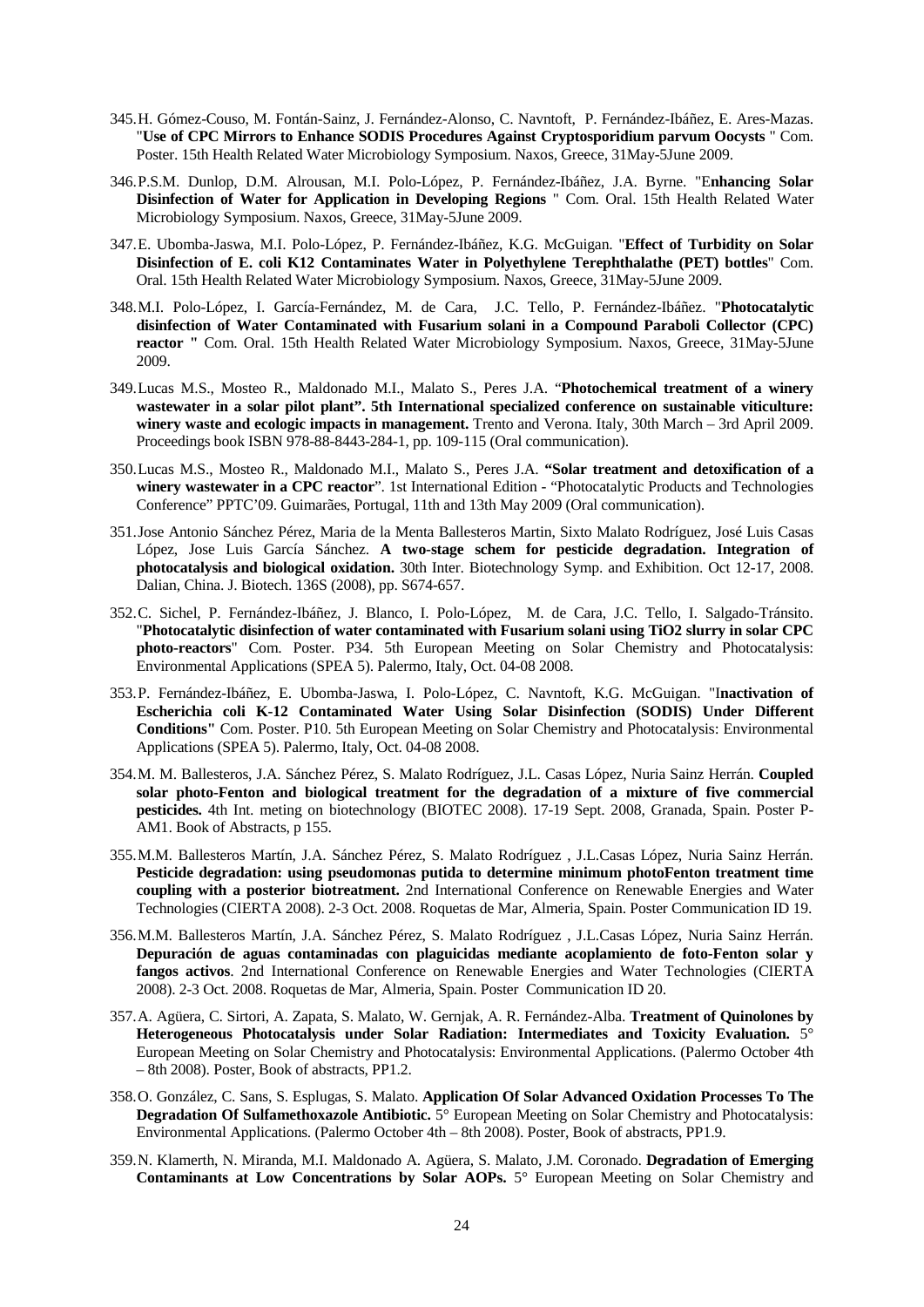- 345.H. Gómez-Couso, M. Fontán-Sainz, J. Fernández-Alonso, C. Navntoft, P. Fernández-Ibáñez, E. Ares-Mazas. "**Use of CPC Mirrors to Enhance SODIS Procedures Against Cryptosporidium parvum Oocysts** " Com. Poster. 15th Health Related Water Microbiology Symposium. Naxos, Greece, 31May-5June 2009.
- 346.P.S.M. Dunlop, D.M. Alrousan, M.I. Polo-López, P. Fernández-Ibáñez, J.A. Byrne. "E**nhancing Solar Disinfection of Water for Application in Developing Regions** " Com. Oral. 15th Health Related Water Microbiology Symposium. Naxos, Greece, 31May-5June 2009.
- 347.E. Ubomba-Jaswa, M.I. Polo-López, P. Fernández-Ibáñez, K.G. McGuigan. "**Effect of Turbidity on Solar Disinfection of E. coli K12 Contaminates Water in Polyethylene Terephthalathe (PET) bottles**" Com. Oral. 15th Health Related Water Microbiology Symposium. Naxos, Greece, 31May-5June 2009.
- 348.M.I. Polo-López, I. García-Fernández, M. de Cara, J.C. Tello, P. Fernández-Ibáñez. "**Photocatalytic disinfection of Water Contaminated with Fusarium solani in a Compound Paraboli Collector (CPC) reactor "** Com. Oral. 15th Health Related Water Microbiology Symposium. Naxos, Greece, 31May-5June 2009.
- 349.Lucas M.S., Mosteo R., Maldonado M.I., Malato S., Peres J.A. "**Photochemical treatment of a winery wastewater in a solar pilot plant". 5th International specialized conference on sustainable viticulture: winery waste and ecologic impacts in management.** Trento and Verona. Italy, 30th March – 3rd April 2009. Proceedings book ISBN 978-88-8443-284-1, pp. 109-115 (Oral communication).
- 350.Lucas M.S., Mosteo R., Maldonado M.I., Malato S., Peres J.A. **"Solar treatment and detoxification of a**  winery wastewater in a CPC reactor". 1st International Edition - "Photocatalytic Products and Technologies Conference" PPTC'09. Guimarães, Portugal, 11th and 13th May 2009 (Oral communication).
- 351.Jose Antonio Sánchez Pérez, Maria de la Menta Ballesteros Martin, Sixto Malato Rodríguez, José Luis Casas López, Jose Luis García Sánchez. **A two-stage schem for pesticide degradation. Integration of photocatalysis and biological oxidation.** 30th Inter. Biotechnology Symp. and Exhibition. Oct 12-17, 2008. Dalian, China. J. Biotech. 136S (2008), pp. S674-657.
- 352.C. Sichel, P. Fernández-Ibáñez, J. Blanco, I. Polo-López, M. de Cara, J.C. Tello, I. Salgado-Tránsito. "**Photocatalytic disinfection of water contaminated with Fusarium solani using TiO2 slurry in solar CPC photo-reactors**" Com. Poster. P34. 5th European Meeting on Solar Chemistry and Photocatalysis: Environmental Applications (SPEA 5). Palermo, Italy, Oct. 04-08 2008.
- 353.P. Fernández-Ibáñez, E. Ubomba-Jaswa, I. Polo-López, C. Navntoft, K.G. McGuigan. "I**nactivation of Escherichia coli K-12 Contaminated Water Using Solar Disinfection (SODIS) Under Different Conditions"** Com. Poster. P10. 5th European Meeting on Solar Chemistry and Photocatalysis: Environmental Applications (SPEA 5). Palermo, Italy, Oct. 04-08 2008.
- 354.M. M. Ballesteros, J.A. Sánchez Pérez, S. Malato Rodríguez, J.L. Casas López, Nuria Sainz Herrán. **Coupled solar photo-Fenton and biological treatment for the degradation of a mixture of five commercial pesticides.** 4th Int. meting on biotechnology (BIOTEC 2008). 17-19 Sept. 2008, Granada, Spain. Poster P-AM1. Book of Abstracts, p 155.
- 355.M.M. Ballesteros Martín, J.A. Sánchez Pérez, S. Malato Rodríguez , J.L.Casas López, Nuria Sainz Herrán. **Pesticide degradation: using pseudomonas putida to determine minimum photoFenton treatment time coupling with a posterior biotreatment.** 2nd International Conference on Renewable Energies and Water Technologies (CIERTA 2008). 2-3 Oct. 2008. Roquetas de Mar, Almeria, Spain. Poster Communication ID 19.
- 356.M.M. Ballesteros Martín, J.A. Sánchez Pérez, S. Malato Rodríguez , J.L.Casas López, Nuria Sainz Herrán. **Depuración de aguas contaminadas con plaguicidas mediante acoplamiento de foto-Fenton solar y fangos activos**. 2nd International Conference on Renewable Energies and Water Technologies (CIERTA 2008). 2-3 Oct. 2008. Roquetas de Mar, Almeria, Spain. Poster Communication ID 20.
- 357.A. Agüera, C. Sirtori, A. Zapata, S. Malato, W. Gernjak, A. R. Fernández-Alba. **Treatment of Quinolones by Heterogeneous Photocatalysis under Solar Radiation: Intermediates and Toxicity Evaluation.** 5° European Meeting on Solar Chemistry and Photocatalysis: Environmental Applications. (Palermo October 4th – 8th 2008). Poster, Book of abstracts, PP1.2.
- 358.O. González, C. Sans, S. Esplugas, S. Malato. **Application Of Solar Advanced Oxidation Processes To The Degradation Of Sulfamethoxazole Antibiotic.**  $5^{\circ}$  European Meeting on Solar Chemistry and Photocatalysis: Environmental Applications. (Palermo October 4th – 8th 2008). Poster, Book of abstracts, PP1.9.
- 359.N. Klamerth, N. Miranda, M.I. Maldonado A. Agüera, S. Malato, J.M. Coronado. **Degradation of Emerging Contaminants at Low Concentrations by Solar AOPs.** 5° European Meeting on Solar Chemistry and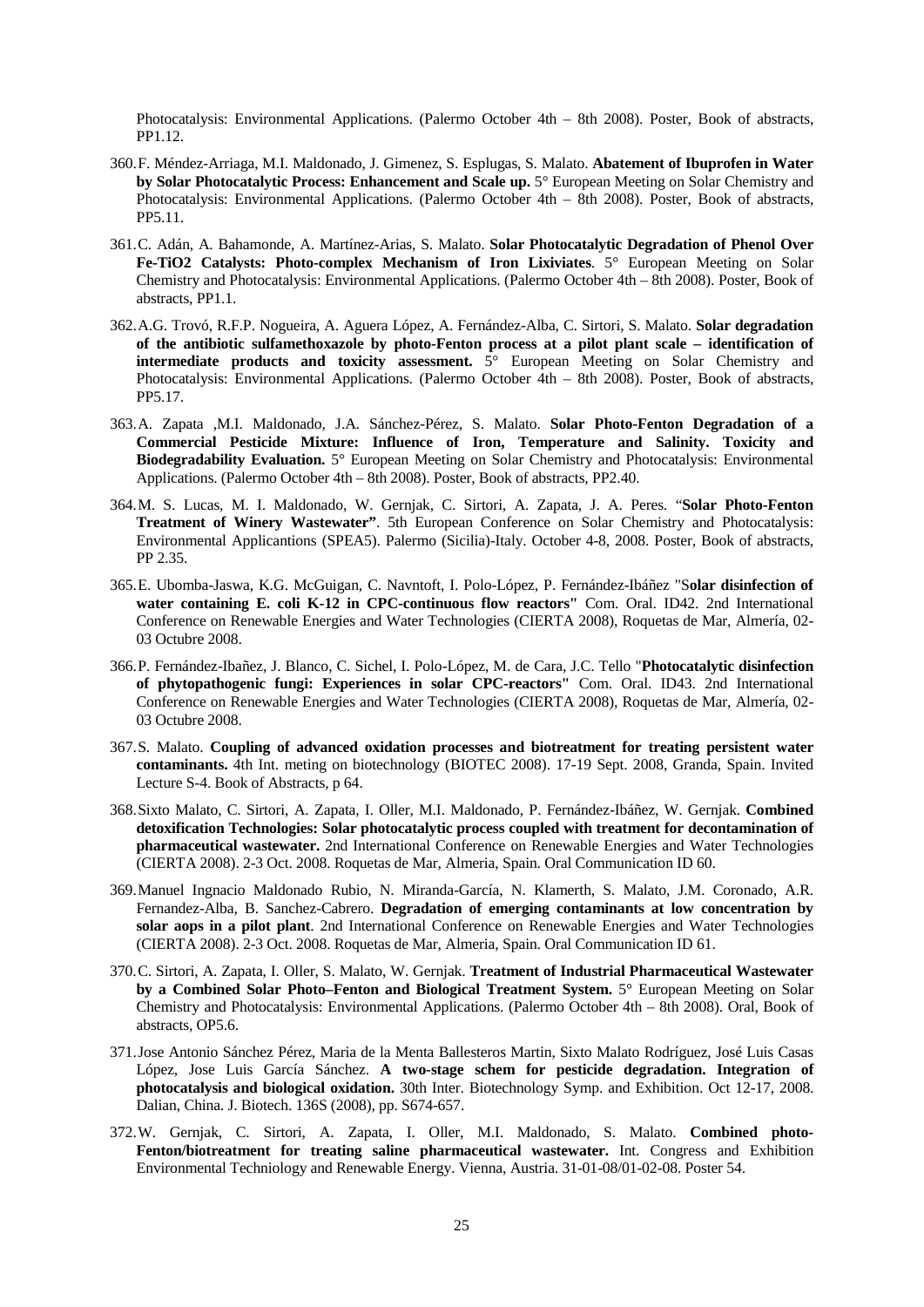Photocatalysis: Environmental Applications. (Palermo October 4th – 8th 2008). Poster, Book of abstracts, PP1.12.

- 360.F. Méndez-Arriaga, M.I. Maldonado, J. Gimenez, S. Esplugas, S. Malato. **Abatement of Ibuprofen in Water by Solar Photocatalytic Process: Enhancement and Scale up.** 5° European Meeting on Solar Chemistry and Photocatalysis: Environmental Applications. (Palermo October 4th – 8th 2008). Poster, Book of abstracts, PP5.11.
- 361.C. Adán, A. Bahamonde, A. Martínez-Arias, S. Malato. **Solar Photocatalytic Degradation of Phenol Over Fe-TiO2 Catalysts: Photo-complex Mechanism of Iron Lixiviates**. 5° European Meeting on Solar Chemistry and Photocatalysis: Environmental Applications. (Palermo October 4th – 8th 2008). Poster, Book of abstracts, PP1.1.
- 362.A.G. Trovó, R.F.P. Nogueira, A. Aguera López, A. Fernández-Alba, C. Sirtori, S. Malato. **Solar degradation of the antibiotic sulfamethoxazole by photo-Fenton process at a pilot plant scale – identification of intermediate products and toxicity assessment.** 5° European Meeting on Solar Chemistry and Photocatalysis: Environmental Applications. (Palermo October 4th – 8th 2008). Poster, Book of abstracts, PP5.17.
- 363.A. Zapata ,M.I. Maldonado, J.A. Sánchez-Pérez, S. Malato. **Solar Photo-Fenton Degradation of a Commercial Pesticide Mixture: Influence of Iron, Temperature and Salinity. Toxicity and Biodegradability Evaluation.** 5° European Meeting on Solar Chemistry and Photocatalysis: Environmental Applications. (Palermo October 4th – 8th 2008). Poster, Book of abstracts, PP2.40.
- 364.M. S. Lucas, M. I. Maldonado, W. Gernjak, C. Sirtori, A. Zapata, J. A. Peres. "**Solar Photo-Fenton Treatment of Winery Wastewater".** 5th European Conference on Solar Chemistry and Photocatalysis: Environmental Applicantions (SPEA5). Palermo (Sicilia)-Italy. October 4-8, 2008. Poster, Book of abstracts, PP 2.35.
- 365.E. Ubomba-Jaswa, K.G. McGuigan, C. Navntoft, I. Polo-López, P. Fernández-Ibáñez "S**olar disinfection of water containing E. coli K-12 in CPC-continuous flow reactors"** Com. Oral. ID42. 2nd International Conference on Renewable Energies and Water Technologies (CIERTA 2008), Roquetas de Mar, Almería, 02- 03 Octubre 2008.
- 366.P. Fernández-Ibañez, J. Blanco, C. Sichel, I. Polo-López, M. de Cara, J.C. Tello "**Photocatalytic disinfection of phytopathogenic fungi: Experiences in solar CPC-reactors"** Com. Oral. ID43. 2nd International Conference on Renewable Energies and Water Technologies (CIERTA 2008), Roquetas de Mar, Almería, 02- 03 Octubre 2008.
- 367.S. Malato. **Coupling of advanced oxidation processes and biotreatment for treating persistent water contaminants.** 4th Int. meting on biotechnology (BIOTEC 2008). 17-19 Sept. 2008, Granda, Spain. Invited Lecture S-4. Book of Abstracts, p 64.
- 368.Sixto Malato, C. Sirtori, A. Zapata, I. Oller, M.I. Maldonado, P. Fernández-Ibáñez, W. Gernjak. **Combined detoxification Technologies: Solar photocatalytic process coupled with treatment for decontamination of pharmaceutical wastewater.** 2nd International Conference on Renewable Energies and Water Technologies (CIERTA 2008). 2-3 Oct. 2008. Roquetas de Mar, Almeria, Spain. Oral Communication ID 60.
- 369.Manuel Ingnacio Maldonado Rubio, N. Miranda-García, N. Klamerth, S. Malato, J.M. Coronado, A.R. Fernandez-Alba, B. Sanchez-Cabrero. **Degradation of emerging contaminants at low concentration by solar aops in a pilot plant**. 2nd International Conference on Renewable Energies and Water Technologies (CIERTA 2008). 2-3 Oct. 2008. Roquetas de Mar, Almeria, Spain. Oral Communication ID 61.
- 370.C. Sirtori, A. Zapata, I. Oller, S. Malato, W. Gernjak. **Treatment of Industrial Pharmaceutical Wastewater by a Combined Solar Photo–Fenton and Biological Treatment System.** 5° European Meeting on Solar Chemistry and Photocatalysis: Environmental Applications. (Palermo October 4th – 8th 2008). Oral, Book of abstracts, OP5.6.
- 371.Jose Antonio Sánchez Pérez, Maria de la Menta Ballesteros Martin, Sixto Malato Rodríguez, José Luis Casas López, Jose Luis García Sánchez. **A two-stage schem for pesticide degradation. Integration of photocatalysis and biological oxidation.** 30th Inter. Biotechnology Symp. and Exhibition. Oct 12-17, 2008. Dalian, China. J. Biotech. 136S (2008), pp. S674-657.
- 372.W. Gernjak, C. Sirtori, A. Zapata, I. Oller, M.I. Maldonado, S. Malato. **Combined photo-Fenton/biotreatment for treating saline pharmaceutical wastewater.** Int. Congress and Exhibition Environmental Techniology and Renewable Energy. Vienna, Austria. 31-01-08/01-02-08. Poster 54.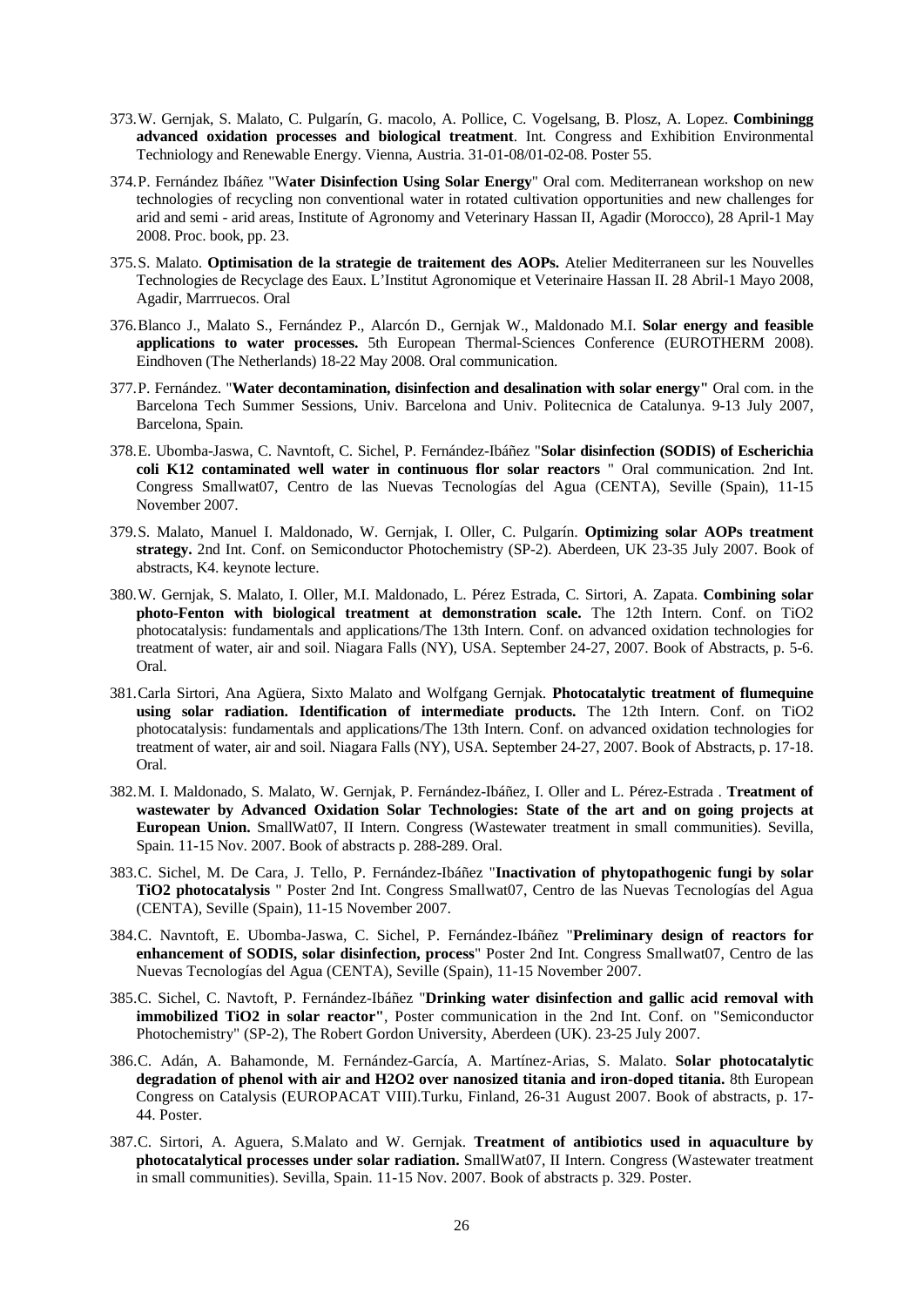- 373.W. Gernjak, S. Malato, C. Pulgarín, G. macolo, A. Pollice, C. Vogelsang, B. Plosz, A. Lopez. **Combiningg advanced oxidation processes and biological treatment**. Int. Congress and Exhibition Environmental Techniology and Renewable Energy. Vienna, Austria. 31-01-08/01-02-08. Poster 55.
- 374.P. Fernández Ibáñez "W**ater Disinfection Using Solar Energy**" Oral com. Mediterranean workshop on new technologies of recycling non conventional water in rotated cultivation opportunities and new challenges for arid and semi - arid areas, Institute of Agronomy and Veterinary Hassan II, Agadir (Morocco), 28 April-1 May 2008. Proc. book, pp. 23.
- 375.S. Malato. **Optimisation de la strategie de traitement des AOPs.** Atelier Mediterraneen sur les Nouvelles Technologies de Recyclage des Eaux. L'Institut Agronomique et Veterinaire Hassan II. 28 Abril-1 Mayo 2008, Agadir, Marrruecos. Oral
- 376.Blanco J., Malato S., Fernández P., Alarcón D., Gernjak W., Maldonado M.I. **Solar energy and feasible applications to water processes.** 5th European Thermal-Sciences Conference (EUROTHERM 2008). Eindhoven (The Netherlands) 18-22 May 2008. Oral communication.
- 377.P. Fernández. "**Water decontamination, disinfection and desalination with solar energy"** Oral com. in the Barcelona Tech Summer Sessions, Univ. Barcelona and Univ. Politecnica de Catalunya. 9-13 July 2007, Barcelona, Spain.
- 378.E. Ubomba-Jaswa, C. Navntoft, C. Sichel, P. Fernández-Ibáñez "**Solar disinfection (SODIS) of Escherichia coli K12 contaminated well water in continuous flor solar reactors** " Oral communication. 2nd Int. Congress Smallwat07, Centro de las Nuevas Tecnologías del Agua (CENTA), Seville (Spain), 11-15 November 2007.
- 379.S. Malato, Manuel I. Maldonado, W. Gernjak, I. Oller, C. Pulgarín. **Optimizing solar AOPs treatment strategy.** 2nd Int. Conf. on Semiconductor Photochemistry (SP-2). Aberdeen, UK 23-35 July 2007. Book of abstracts, K4. keynote lecture.
- 380.W. Gernjak, S. Malato, I. Oller, M.I. Maldonado, L. Pérez Estrada, C. Sirtori, A. Zapata. **Combining solar photo-Fenton with biological treatment at demonstration scale.** The 12th Intern. Conf. on TiO2 photocatalysis: fundamentals and applications/The 13th Intern. Conf. on advanced oxidation technologies for treatment of water, air and soil. Niagara Falls (NY), USA. September 24-27, 2007. Book of Abstracts, p. 5-6. Oral.
- 381.Carla Sirtori, Ana Agüera, Sixto Malato and Wolfgang Gernjak. **Photocatalytic treatment of flumequine using solar radiation. Identification of intermediate products.** The 12th Intern. Conf. on TiO2 photocatalysis: fundamentals and applications/The 13th Intern. Conf. on advanced oxidation technologies for treatment of water, air and soil. Niagara Falls (NY), USA. September 24-27, 2007. Book of Abstracts, p. 17-18. Oral.
- 382.M. I. Maldonado, S. Malato, W. Gernjak, P. Fernández-Ibáñez, I. Oller and L. Pérez-Estrada . **Treatment of wastewater by Advanced Oxidation Solar Technologies: State of the art and on going projects at European Union.** SmallWat07, II Intern. Congress (Wastewater treatment in small communities). Sevilla, Spain. 11-15 Nov. 2007. Book of abstracts p. 288-289. Oral.
- 383.C. Sichel, M. De Cara, J. Tello, P. Fernández-Ibáñez "**Inactivation of phytopathogenic fungi by solar TiO2 photocatalysis** " Poster 2nd Int. Congress Smallwat07, Centro de las Nuevas Tecnologías del Agua (CENTA), Seville (Spain), 11-15 November 2007.
- 384.C. Navntoft, E. Ubomba-Jaswa, C. Sichel, P. Fernández-Ibáñez "**Preliminary design of reactors for enhancement of SODIS, solar disinfection, process**" Poster 2nd Int. Congress Smallwat07, Centro de las Nuevas Tecnologías del Agua (CENTA), Seville (Spain), 11-15 November 2007.
- 385.C. Sichel, C. Navtoft, P. Fernández-Ibáñez "**Drinking water disinfection and gallic acid removal with immobilized TiO2 in solar reactor"**, Poster communication in the 2nd Int. Conf. on "Semiconductor Photochemistry" (SP-2), The Robert Gordon University, Aberdeen (UK). 23-25 July 2007.
- 386.C. Adán, A. Bahamonde, M. Fernández-García, A. Martínez-Arias, S. Malato. **Solar photocatalytic degradation of phenol with air and H2O2 over nanosized titania and iron-doped titania.** 8th European Congress on Catalysis (EUROPACAT VIII).Turku, Finland, 26-31 August 2007. Book of abstracts, p. 17- 44. Poster.
- 387.C. Sirtori, A. Aguera, S.Malato and W. Gernjak. **Treatment of antibiotics used in aquaculture by photocatalytical processes under solar radiation.** SmallWat07, II Intern. Congress (Wastewater treatment in small communities). Sevilla, Spain. 11-15 Nov. 2007. Book of abstracts p. 329. Poster.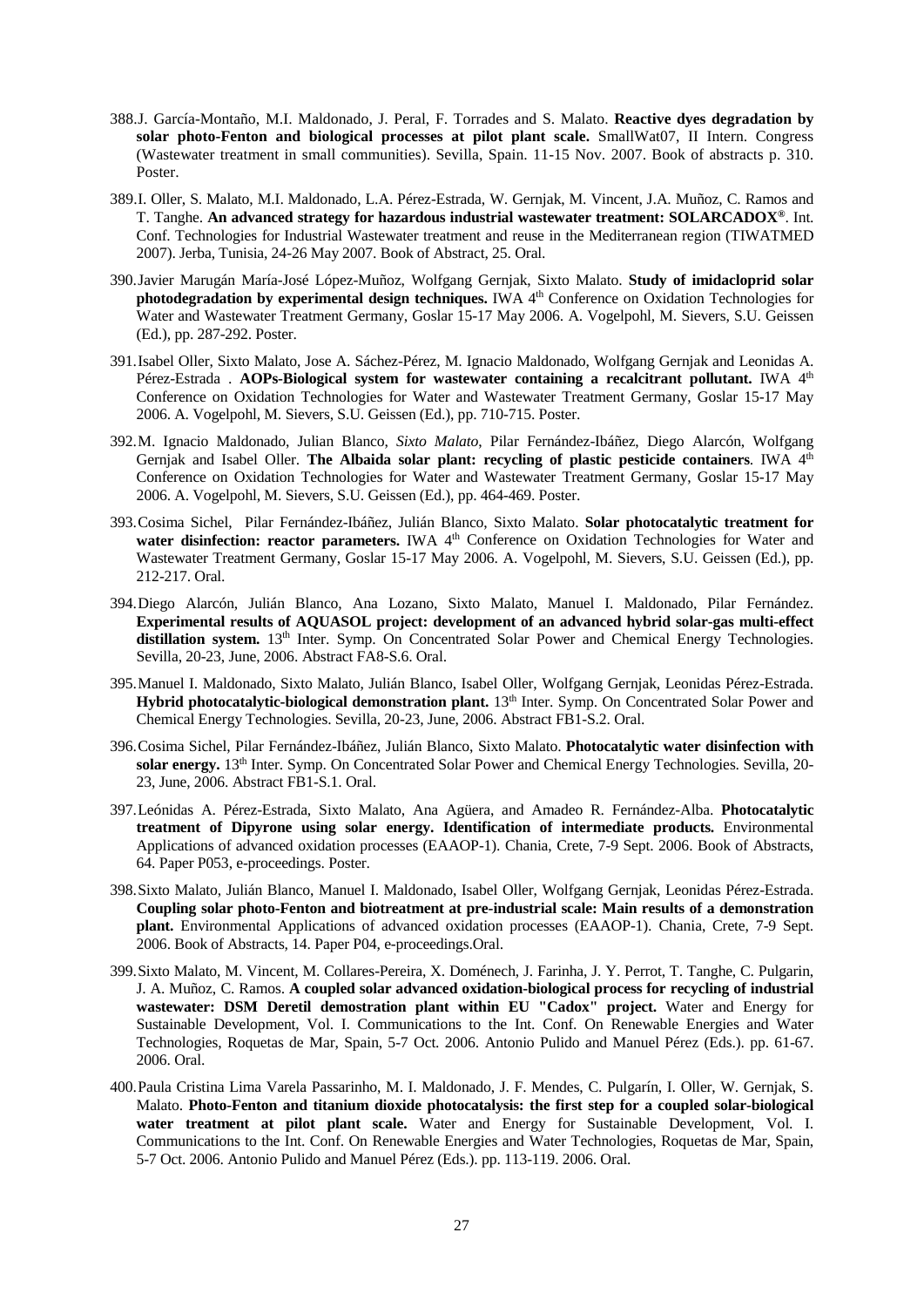- 388.J. García-Montaño, M.I. Maldonado, J. Peral, F. Torrades and S. Malato. **Reactive dyes degradation by solar photo-Fenton and biological processes at pilot plant scale.** SmallWat07, II Intern. Congress (Wastewater treatment in small communities). Sevilla, Spain. 11-15 Nov. 2007. Book of abstracts p. 310. Poster.
- 389.I. Oller, S. Malato, M.I. Maldonado, L.A. Pérez-Estrada, W. Gernjak, M. Vincent, J.A. Muñoz, C. Ramos and T. Tanghe. **An advanced strategy for hazardous industrial wastewater treatment: SOLARCADOX®**. Int. Conf. Technologies for Industrial Wastewater treatment and reuse in the Mediterranean region (TIWATMED 2007). Jerba, Tunisia, 24-26 May 2007. Book of Abstract, 25. Oral.
- 390.Javier Marugán María-José López-Muñoz, Wolfgang Gernjak, Sixto Malato. **Study of imidacloprid solar photodegradation by experimental design techniques.** IWA 4<sup>th</sup> Conference on Oxidation Technologies for Water and Wastewater Treatment Germany, Goslar 15-17 May 2006. A. Vogelpohl, M. Sievers, S.U. Geissen (Ed.), pp. 287-292. Poster.
- 391.Isabel Oller, Sixto Malato, Jose A. Sáchez-Pérez, M. Ignacio Maldonado, Wolfgang Gernjak and Leonidas A. Pérez-Estrada . **AOPs-Biological system for wastewater containing a recalcitrant pollutant.** IWA 4<sup>th</sup> Conference on Oxidation Technologies for Water and Wastewater Treatment Germany, Goslar 15-17 May 2006. A. Vogelpohl, M. Sievers, S.U. Geissen (Ed.), pp. 710-715. Poster.
- 392.M. Ignacio Maldonado, Julian Blanco, *Sixto Malato*, Pilar Fernández-Ibáñez, Diego Alarcón, Wolfgang Gernjak and Isabel Oller. **The Albaida solar plant: recycling of plastic pesticide containers**. IWA 4<sup>th</sup> Conference on Oxidation Technologies for Water and Wastewater Treatment Germany, Goslar 15-17 May 2006. A. Vogelpohl, M. Sievers, S.U. Geissen (Ed.), pp. 464-469. Poster.
- 393.Cosima Sichel, Pilar Fernández-Ibáñez, Julián Blanco, Sixto Malato. **Solar photocatalytic treatment for**  water disinfection: reactor parameters. IWA 4<sup>th</sup> Conference on Oxidation Technologies for Water and Wastewater Treatment Germany, Goslar 15-17 May 2006. A. Vogelpohl, M. Sievers, S.U. Geissen (Ed.), pp. 212-217. Oral.
- 394.Diego Alarcón, Julián Blanco, Ana Lozano, Sixto Malato, Manuel I. Maldonado, Pilar Fernández. **Experimental results of AQUASOL project: development of an advanced hybrid solar-gas multi-effect**  distillation system. 13<sup>th</sup> Inter. Symp. On Concentrated Solar Power and Chemical Energy Technologies. Sevilla, 20-23, June, 2006. Abstract FA8-S.6. Oral.
- 395.Manuel I. Maldonado, Sixto Malato, Julián Blanco, Isabel Oller, Wolfgang Gernjak, Leonidas Pérez-Estrada. Hybrid photocatalytic-biological demonstration plant. 13<sup>th</sup> Inter. Symp. On Concentrated Solar Power and Chemical Energy Technologies. Sevilla, 20-23, June, 2006. Abstract FB1-S.2. Oral.
- 396.Cosima Sichel, Pilar Fernández-Ibáñez, Julián Blanco, Sixto Malato. **Photocatalytic water disinfection with solar energy.** 13th Inter. Symp. On Concentrated Solar Power and Chemical Energy Technologies. Sevilla, 20- 23, June, 2006. Abstract FB1-S.1. Oral.
- 397.Leónidas A. Pérez-Estrada, Sixto Malato, Ana Agüera, and Amadeo R. Fernández-Alba. **Photocatalytic treatment of Dipyrone using solar energy. Identification of intermediate products.** Environmental Applications of advanced oxidation processes (EAAOP-1). Chania, Crete, 7-9 Sept. 2006. Book of Abstracts, 64. Paper P053, e-proceedings. Poster.
- 398.Sixto Malato, Julián Blanco, Manuel I. Maldonado, Isabel Oller, Wolfgang Gernjak, Leonidas Pérez-Estrada. **Coupling solar photo-Fenton and biotreatment at pre-industrial scale: Main results of a demonstration plant.** Environmental Applications of advanced oxidation processes (EAAOP-1). Chania, Crete, 7-9 Sept. 2006. Book of Abstracts, 14. Paper P04, e-proceedings.Oral.
- 399.Sixto Malato, M. Vincent, M. Collares-Pereira, X. Doménech, J. Farinha, J. Y. Perrot, T. Tanghe, C. Pulgarin, J. A. Muñoz, C. Ramos. **A coupled solar advanced oxidation-biological process for recycling of industrial wastewater: DSM Deretil demostration plant within EU "Cadox" project.** Water and Energy for Sustainable Development, Vol. I. Communications to the Int. Conf. On Renewable Energies and Water Technologies, Roquetas de Mar, Spain, 5-7 Oct. 2006. Antonio Pulido and Manuel Pérez (Eds.). pp. 61-67. 2006. Oral.
- 400.Paula Cristina Lima Varela Passarinho, M. I. Maldonado, J. F. Mendes, C. Pulgarín, I. Oller, W. Gernjak, S. Malato. **Photo-Fenton and titanium dioxide photocatalysis: the first step for a coupled solar-biological water treatment at pilot plant scale.** Water and Energy for Sustainable Development, Vol. I. Communications to the Int. Conf. On Renewable Energies and Water Technologies, Roquetas de Mar, Spain, 5-7 Oct. 2006. Antonio Pulido and Manuel Pérez (Eds.). pp. 113-119. 2006. Oral.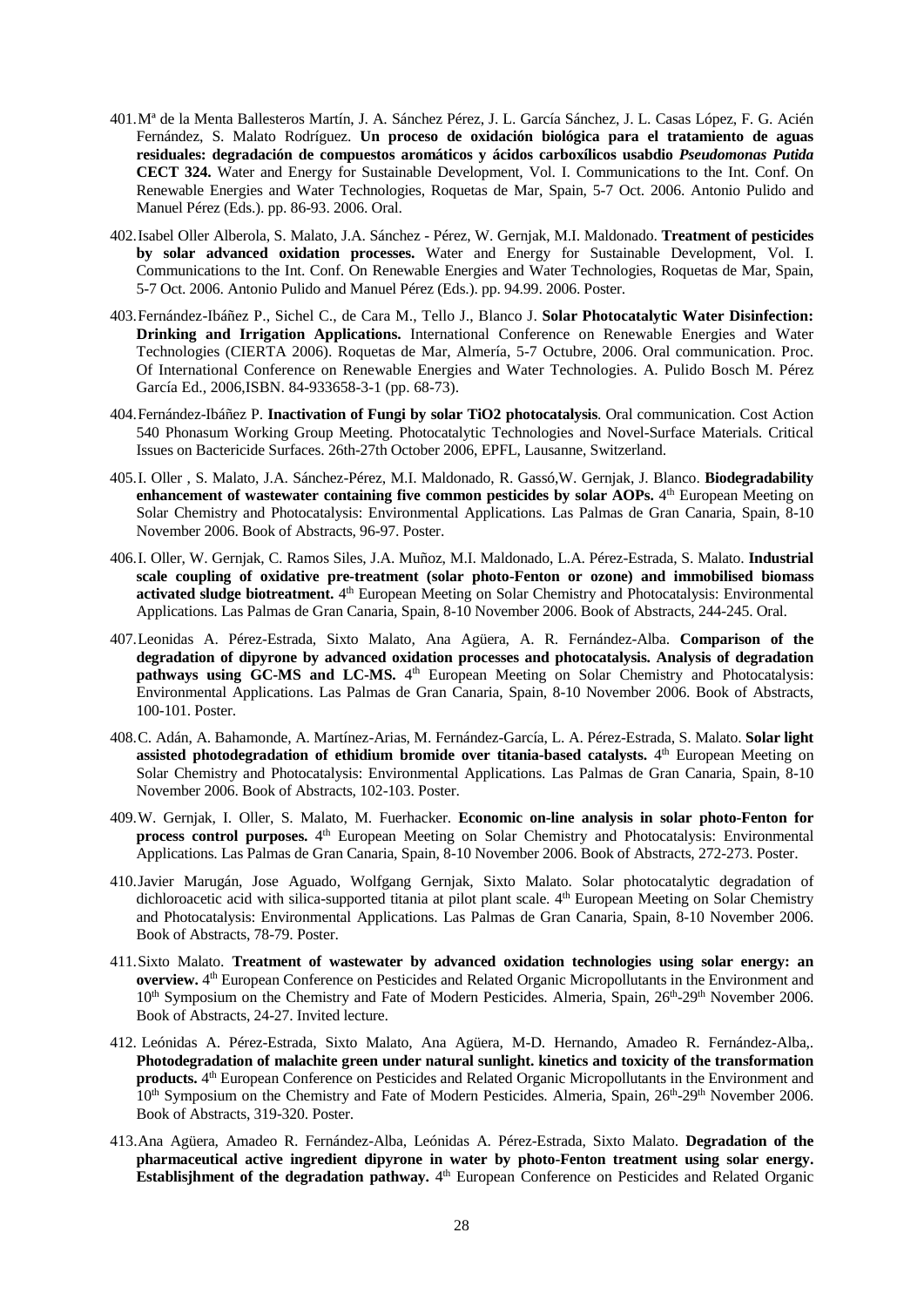- 401.Mª de la Menta Ballesteros Martín, J. A. Sánchez Pérez, J. L. García Sánchez, J. L. Casas López, F. G. Acién Fernández, S. Malato Rodríguez. **Un proceso de oxidación biológica para el tratamiento de aguas residuales: degradación de compuestos aromáticos y ácidos carboxílicos usabdio** *Pseudomonas Putida* **CECT 324.** Water and Energy for Sustainable Development, Vol. I. Communications to the Int. Conf. On Renewable Energies and Water Technologies, Roquetas de Mar, Spain, 5-7 Oct. 2006. Antonio Pulido and Manuel Pérez (Eds.). pp. 86-93. 2006. Oral.
- 402.Isabel Oller Alberola, S. Malato, J.A. Sánchez Pérez, W. Gernjak, M.I. Maldonado. **Treatment of pesticides by solar advanced oxidation processes.** Water and Energy for Sustainable Development, Vol. I. Communications to the Int. Conf. On Renewable Energies and Water Technologies, Roquetas de Mar, Spain, 5-7 Oct. 2006. Antonio Pulido and Manuel Pérez (Eds.). pp. 94.99. 2006. Poster.
- 403.Fernández-Ibáñez P., Sichel C., de Cara M., Tello J., Blanco J. **Solar Photocatalytic Water Disinfection: Drinking and Irrigation Applications.** International Conference on Renewable Energies and Water Technologies (CIERTA 2006). Roquetas de Mar, Almería, 5-7 Octubre, 2006. Oral communication. Proc. Of International Conference on Renewable Energies and Water Technologies. A. Pulido Bosch M. Pérez García Ed., 2006,ISBN. 84-933658-3-1 (pp. 68-73).
- 404.Fernández-Ibáñez P. **Inactivation of Fungi by solar TiO2 photocatalysis**. Oral communication. Cost Action 540 Phonasum Working Group Meeting. Photocatalytic Technologies and Novel-Surface Materials. Critical Issues on Bactericide Surfaces. 26th-27th October 2006, EPFL, Lausanne, Switzerland.
- 405.I. Oller , S. Malato, J.A. Sánchez-Pérez, M.I. Maldonado, R. Gassó,W. Gernjak, J. Blanco. **Biodegradability**  enhancement of wastewater containing five common pesticides by solar AOPs. <sup>4th</sup> European Meeting on Solar Chemistry and Photocatalysis: Environmental Applications. Las Palmas de Gran Canaria, Spain, 8-10 November 2006. Book of Abstracts, 96-97. Poster.
- 406.I. Oller, W. Gernjak, C. Ramos Siles, J.A. Muñoz, M.I. Maldonado, L.A. Pérez-Estrada, S. Malato. **Industrial scale coupling of oxidative pre-treatment (solar photo-Fenton or ozone) and immobilised biomass**  activated sludge biotreatment. 4<sup>th</sup> European Meeting on Solar Chemistry and Photocatalysis: Environmental Applications. Las Palmas de Gran Canaria, Spain, 8-10 November 2006. Book of Abstracts, 244-245. Oral.
- 407.Leonidas A. Pérez-Estrada, Sixto Malato, Ana Agüera, A. R. Fernández-Alba. **Comparison of the degradation of dipyrone by advanced oxidation processes and photocatalysis. Analysis of degradation pathways using GC-MS and LC-MS.** 4<sup>th</sup> European Meeting on Solar Chemistry and Photocatalysis: Environmental Applications. Las Palmas de Gran Canaria, Spain, 8-10 November 2006. Book of Abstracts, 100-101. Poster.
- 408.C. Adán, A. Bahamonde, A. Martínez-Arias, M. Fernández-García, L. A. Pérez-Estrada, S. Malato. **Solar light assisted photodegradation of ethidium bromide over titania-based catalysts.** 4<sup>th</sup> European Meeting on Solar Chemistry and Photocatalysis: Environmental Applications. Las Palmas de Gran Canaria, Spain, 8-10 November 2006. Book of Abstracts, 102-103. Poster.
- 409.W. Gernjak, I. Oller, S. Malato, M. Fuerhacker. **Economic on-line analysis in solar photo-Fenton for process control purposes.**  $4<sup>th</sup>$  European Meeting on Solar Chemistry and Photocatalysis: Environmental Applications. Las Palmas de Gran Canaria, Spain, 8-10 November 2006. Book of Abstracts, 272-273. Poster.
- 410.Javier Marugán, Jose Aguado, Wolfgang Gernjak, Sixto Malato. Solar photocatalytic degradation of dichloroacetic acid with silica-supported titania at pilot plant scale. 4<sup>th</sup> European Meeting on Solar Chemistry and Photocatalysis: Environmental Applications. Las Palmas de Gran Canaria, Spain, 8-10 November 2006. Book of Abstracts, 78-79. Poster.
- 411.Sixto Malato. **Treatment of wastewater by advanced oxidation technologies using solar energy: an overview.** 4th European Conference on Pesticides and Related Organic Micropollutants in the Environment and 10th Symposium on the Chemistry and Fate of Modern Pesticides. Almeria, Spain, 26th-29th November 2006. Book of Abstracts, 24-27. Invited lecture.
- 412. Leónidas A. Pérez-Estrada, Sixto Malato, Ana Agüera, M-D. Hernando, Amadeo R. Fernández-Alba,. **Photodegradation of malachite green under natural sunlight. kinetics and toxicity of the transformation products.** 4<sup>th</sup> European Conference on Pesticides and Related Organic Micropollutants in the Environment and 10<sup>th</sup> Symposium on the Chemistry and Fate of Modern Pesticides. Almeria, Spain, 26<sup>th</sup>-29<sup>th</sup> November 2006. Book of Abstracts, 319-320. Poster.
- 413.Ana Agüera, Amadeo R. Fernández-Alba, Leónidas A. Pérez-Estrada, Sixto Malato. **Degradation of the pharmaceutical active ingredient dipyrone in water by photo-Fenton treatment using solar energy. Establisjhment of the degradation pathway.** 4<sup>th</sup> European Conference on Pesticides and Related Organic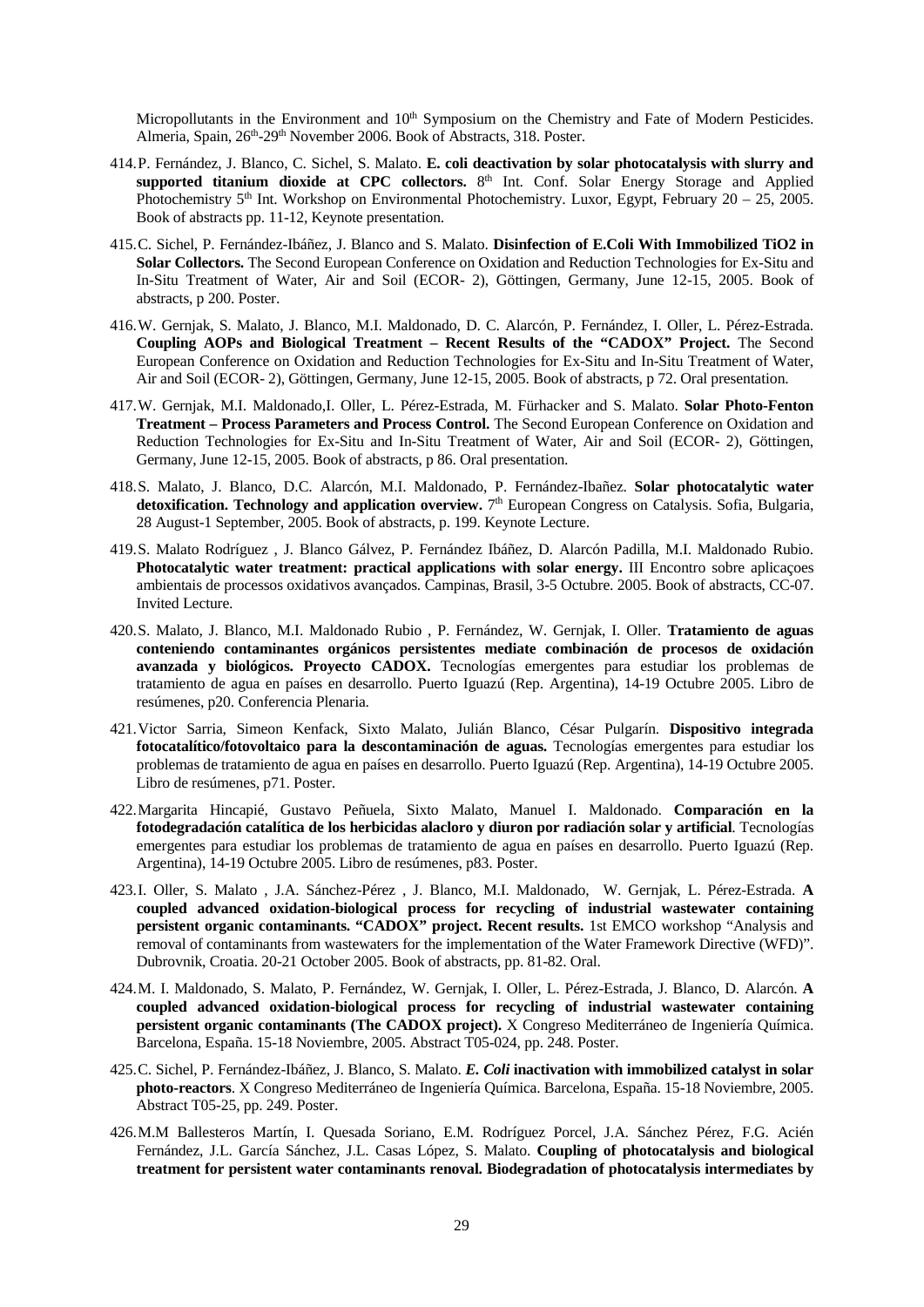Micropollutants in the Environment and 10<sup>th</sup> Symposium on the Chemistry and Fate of Modern Pesticides. Almeria, Spain, 26<sup>th</sup>-29<sup>th</sup> November 2006. Book of Abstracts, 318. Poster.

- 414.P. Fernández, J. Blanco, C. Sichel, S. Malato. **E. coli deactivation by solar photocatalysis with slurry and**  supported titanium dioxide at CPC collectors. 8<sup>th</sup> Int. Conf. Solar Energy Storage and Applied Photochemistry 5th Int. Workshop on Environmental Photochemistry. Luxor, Egypt, February 20 – 25, 2005. Book of abstracts pp. 11-12, Keynote presentation.
- 415.C. Sichel, P. Fernández-Ibáñez, J. Blanco and S. Malato. **Disinfection of E.Coli With Immobilized TiO2 in Solar Collectors.** The Second European Conference on Oxidation and Reduction Technologies for Ex-Situ and In-Situ Treatment of Water, Air and Soil (ECOR- 2), Göttingen, Germany, June 12-15, 2005. Book of abstracts, p 200. Poster.
- 416.W. Gernjak, S. Malato, J. Blanco, M.I. Maldonado, D. C. Alarcón, P. Fernández, I. Oller, L. Pérez-Estrada. **Coupling AOPs and Biological Treatment – Recent Results of the "CADOX" Project.** The Second European Conference on Oxidation and Reduction Technologies for Ex-Situ and In-Situ Treatment of Water, Air and Soil (ECOR- 2), Göttingen, Germany, June 12-15, 2005. Book of abstracts, p 72. Oral presentation.
- 417.W. Gernjak, M.I. Maldonado,I. Oller, L. Pérez-Estrada, M. Fürhacker and S. Malato. **Solar Photo-Fenton Treatment – Process Parameters and Process Control.** The Second European Conference on Oxidation and Reduction Technologies for Ex-Situ and In-Situ Treatment of Water, Air and Soil (ECOR- 2), Göttingen, Germany, June 12-15, 2005. Book of abstracts, p 86. Oral presentation.
- 418.S. Malato, J. Blanco, D.C. Alarcón, M.I. Maldonado, P. Fernández-Ibañez. **Solar photocatalytic water**  detoxification. Technology and application overview. 7<sup>th</sup> European Congress on Catalysis. Sofia, Bulgaria, 28 August-1 September, 2005. Book of abstracts, p. 199. Keynote Lecture.
- 419.S. Malato Rodríguez , J. Blanco Gálvez, P. Fernández Ibáñez, D. Alarcón Padilla, M.I. Maldonado Rubio. **Photocatalytic water treatment: practical applications with solar energy.** III Encontro sobre aplicaçoes ambientais de processos oxidativos avançados. Campinas, Brasil, 3-5 Octubre. 2005. Book of abstracts, CC-07. Invited Lecture.
- 420.S. Malato, J. Blanco, M.I. Maldonado Rubio , P. Fernández, W. Gernjak, I. Oller. **Tratamiento de aguas conteniendo contaminantes orgánicos persistentes mediate combinación de procesos de oxidación avanzada y biológicos. Proyecto CADOX.** Tecnologías emergentes para estudiar los problemas de tratamiento de agua en países en desarrollo. Puerto Iguazú (Rep. Argentina), 14-19 Octubre 2005. Libro de resúmenes, p20. Conferencia Plenaria.
- 421.Victor Sarria, Simeon Kenfack, Sixto Malato, Julián Blanco, César Pulgarín. **Dispositivo integrada fotocatalítico/fotovoltaico para la descontaminación de aguas.** Tecnologías emergentes para estudiar los problemas de tratamiento de agua en países en desarrollo. Puerto Iguazú (Rep. Argentina), 14-19 Octubre 2005. Libro de resúmenes, p71. Poster.
- 422.Margarita Hincapié, Gustavo Peñuela, Sixto Malato, Manuel I. Maldonado. **Comparación en la fotodegradación catalítica de los herbicidas alacloro y diuron por radiación solar y artificial**. Tecnologías emergentes para estudiar los problemas de tratamiento de agua en países en desarrollo. Puerto Iguazú (Rep. Argentina), 14-19 Octubre 2005. Libro de resúmenes, p83. Poster.
- 423.I. Oller, S. Malato , J.A. Sánchez-Pérez , J. Blanco, M.I. Maldonado, W. Gernjak, L. Pérez-Estrada. **A coupled advanced oxidation-biological process for recycling of industrial wastewater containing persistent organic contaminants. "CADOX" project. Recent results.** 1st EMCO workshop "Analysis and removal of contaminants from wastewaters for the implementation of the Water Framework Directive (WFD)". Dubrovnik, Croatia. 20-21 October 2005. Book of abstracts, pp. 81-82. Oral.
- 424.M. I. Maldonado, S. Malato, P. Fernández, W. Gernjak, I. Oller, L. Pérez-Estrada, J. Blanco, D. Alarcón. **A coupled advanced oxidation-biological process for recycling of industrial wastewater containing persistent organic contaminants (The CADOX project).** X Congreso Mediterráneo de Ingeniería Química. Barcelona, España. 15-18 Noviembre, 2005. Abstract T05-024, pp. 248. Poster.
- 425.C. Sichel, P. Fernández-Ibáñez, J. Blanco, S. Malato. *E. Coli* **inactivation with immobilized catalyst in solar photo-reactors**. X Congreso Mediterráneo de Ingeniería Química. Barcelona, España. 15-18 Noviembre, 2005. Abstract T05-25, pp. 249. Poster.
- 426.M.M Ballesteros Martín, I. Quesada Soriano, E.M. Rodríguez Porcel, J.A. Sánchez Pérez, F.G. Acién Fernández, J.L. García Sánchez, J.L. Casas López, S. Malato. **Coupling of photocatalysis and biological treatment for persistent water contaminants renoval. Biodegradation of photocatalysis intermediates by**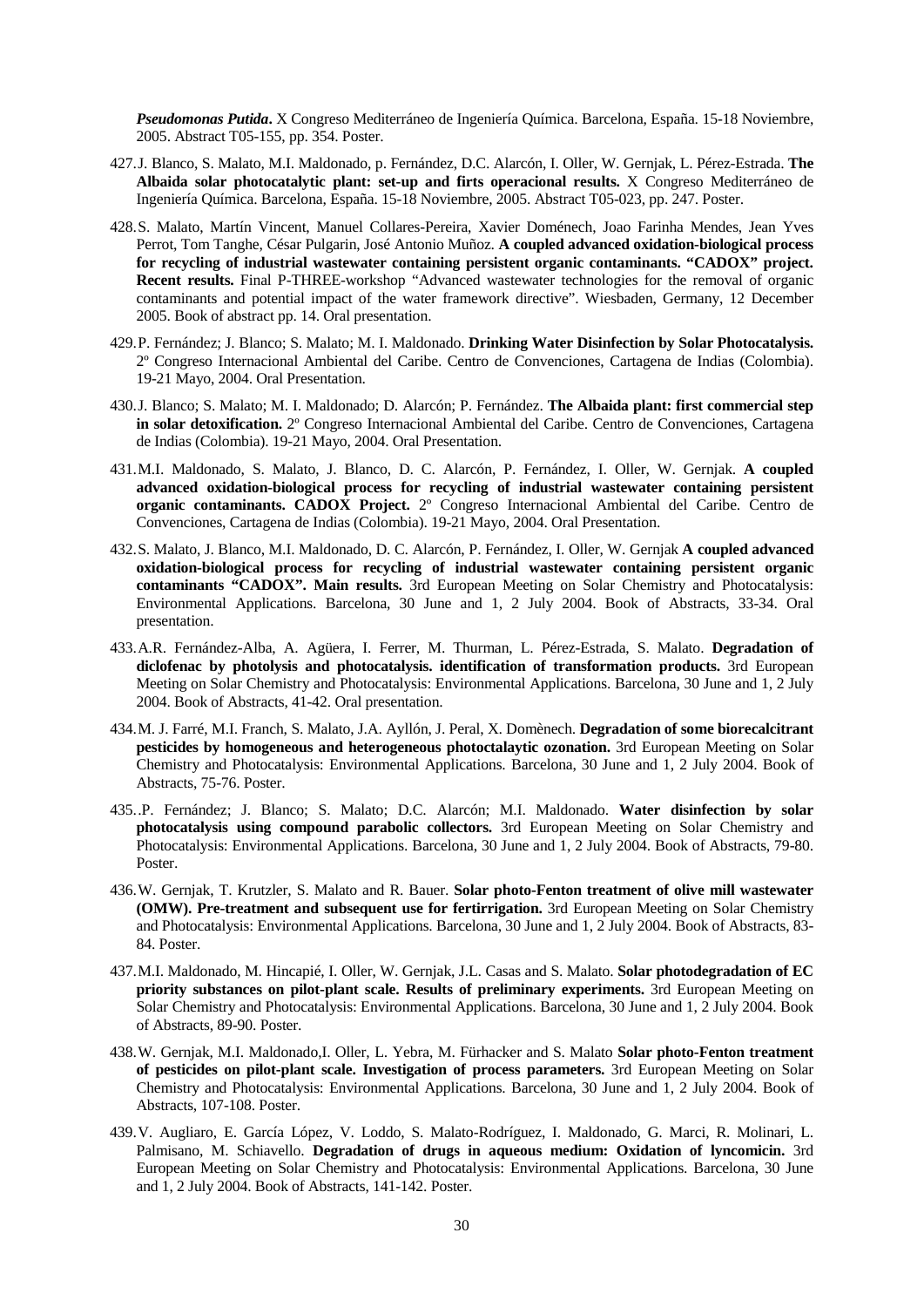*Pseudomonas Putida***.** X Congreso Mediterráneo de Ingeniería Química. Barcelona, España. 15-18 Noviembre, 2005. Abstract T05-155, pp. 354. Poster.

- 427.J. Blanco, S. Malato, M.I. Maldonado, p. Fernández, D.C. Alarcón, I. Oller, W. Gernjak, L. Pérez-Estrada. **The Albaida solar photocatalytic plant: set-up and firts operacional results.** X Congreso Mediterráneo de Ingeniería Química. Barcelona, España. 15-18 Noviembre, 2005. Abstract T05-023, pp. 247. Poster.
- 428.S. Malato, Martín Vincent, Manuel Collares-Pereira, Xavier Doménech, Joao Farinha Mendes, Jean Yves Perrot, Tom Tanghe, César Pulgarin, José Antonio Muñoz. **A coupled advanced oxidation-biological process for recycling of industrial wastewater containing persistent organic contaminants. "CADOX" project. Recent results.** Final P-THREE-workshop "Advanced wastewater technologies for the removal of organic contaminants and potential impact of the water framework directive". Wiesbaden, Germany, 12 December 2005. Book of abstract pp. 14. Oral presentation.
- 429.P. Fernández; J. Blanco; S. Malato; M. I. Maldonado. **Drinking Water Disinfection by Solar Photocatalysis.**  2º Congreso Internacional Ambiental del Caribe. Centro de Convenciones, Cartagena de Indias (Colombia). 19-21 Mayo, 2004. Oral Presentation.
- 430.J. Blanco; S. Malato; M. I. Maldonado; D. Alarcón; P. Fernández. **The Albaida plant: first commercial step in solar detoxification.** 2º Congreso Internacional Ambiental del Caribe. Centro de Convenciones, Cartagena de Indias (Colombia). 19-21 Mayo, 2004. Oral Presentation.
- 431.M.I. Maldonado, S. Malato, J. Blanco, D. C. Alarcón, P. Fernández, I. Oller, W. Gernjak. **A coupled advanced oxidation-biological process for recycling of industrial wastewater containing persistent organic contaminants. CADOX Project.** 2º Congreso Internacional Ambiental del Caribe. Centro de Convenciones, Cartagena de Indias (Colombia). 19-21 Mayo, 2004. Oral Presentation.
- 432.S. Malato, J. Blanco, M.I. Maldonado, D. C. Alarcón, P. Fernández, I. Oller, W. Gernjak **A coupled advanced oxidation-biological process for recycling of industrial wastewater containing persistent organic contaminants "CADOX". Main results.** 3rd European Meeting on Solar Chemistry and Photocatalysis: Environmental Applications. Barcelona, 30 June and 1, 2 July 2004. Book of Abstracts, 33-34. Oral presentation.
- 433.A.R. Fernández-Alba, A. Agüera, I. Ferrer, M. Thurman, L. Pérez-Estrada, S. Malato. **Degradation of diclofenac by photolysis and photocatalysis. identification of transformation products.** 3rd European Meeting on Solar Chemistry and Photocatalysis: Environmental Applications. Barcelona, 30 June and 1, 2 July 2004. Book of Abstracts, 41-42. Oral presentation.
- 434.M. J. Farré, M.I. Franch, S. Malato, J.A. Ayllón, J. Peral, X. Domènech. **Degradation of some biorecalcitrant pesticides by homogeneous and heterogeneous photoctalaytic ozonation.** 3rd European Meeting on Solar Chemistry and Photocatalysis: Environmental Applications. Barcelona, 30 June and 1, 2 July 2004. Book of Abstracts, 75-76. Poster.
- 435..P. Fernández; J. Blanco; S. Malato; D.C. Alarcón; M.I. Maldonado. **Water disinfection by solar photocatalysis using compound parabolic collectors.** 3rd European Meeting on Solar Chemistry and Photocatalysis: Environmental Applications. Barcelona, 30 June and 1, 2 July 2004. Book of Abstracts, 79-80. Poster.
- 436.W. Gernjak, T. Krutzler, S. Malato and R. Bauer. **Solar photo-Fenton treatment of olive mill wastewater (OMW). Pre-treatment and subsequent use for fertirrigation.** 3rd European Meeting on Solar Chemistry and Photocatalysis: Environmental Applications. Barcelona, 30 June and 1, 2 July 2004. Book of Abstracts, 83- 84. Poster.
- 437.M.I. Maldonado, M. Hincapié, I. Oller, W. Gernjak, J.L. Casas and S. Malato. **Solar photodegradation of EC priority substances on pilot-plant scale. Results of preliminary experiments.** 3rd European Meeting on Solar Chemistry and Photocatalysis: Environmental Applications. Barcelona, 30 June and 1, 2 July 2004. Book of Abstracts, 89-90. Poster.
- 438.W. Gernjak, M.I. Maldonado,I. Oller, L. Yebra, M. Fürhacker and S. Malato **Solar photo-Fenton treatment of pesticides on pilot-plant scale. Investigation of process parameters.** 3rd European Meeting on Solar Chemistry and Photocatalysis: Environmental Applications. Barcelona, 30 June and 1, 2 July 2004. Book of Abstracts, 107-108. Poster.
- 439.V. Augliaro, E. García López, V. Loddo, S. Malato-Rodríguez, I. Maldonado, G. Marci, R. Molinari, L. Palmisano, M. Schiavello. **Degradation of drugs in aqueous medium: Oxidation of lyncomicin.** 3rd European Meeting on Solar Chemistry and Photocatalysis: Environmental Applications. Barcelona, 30 June and 1, 2 July 2004. Book of Abstracts, 141-142. Poster.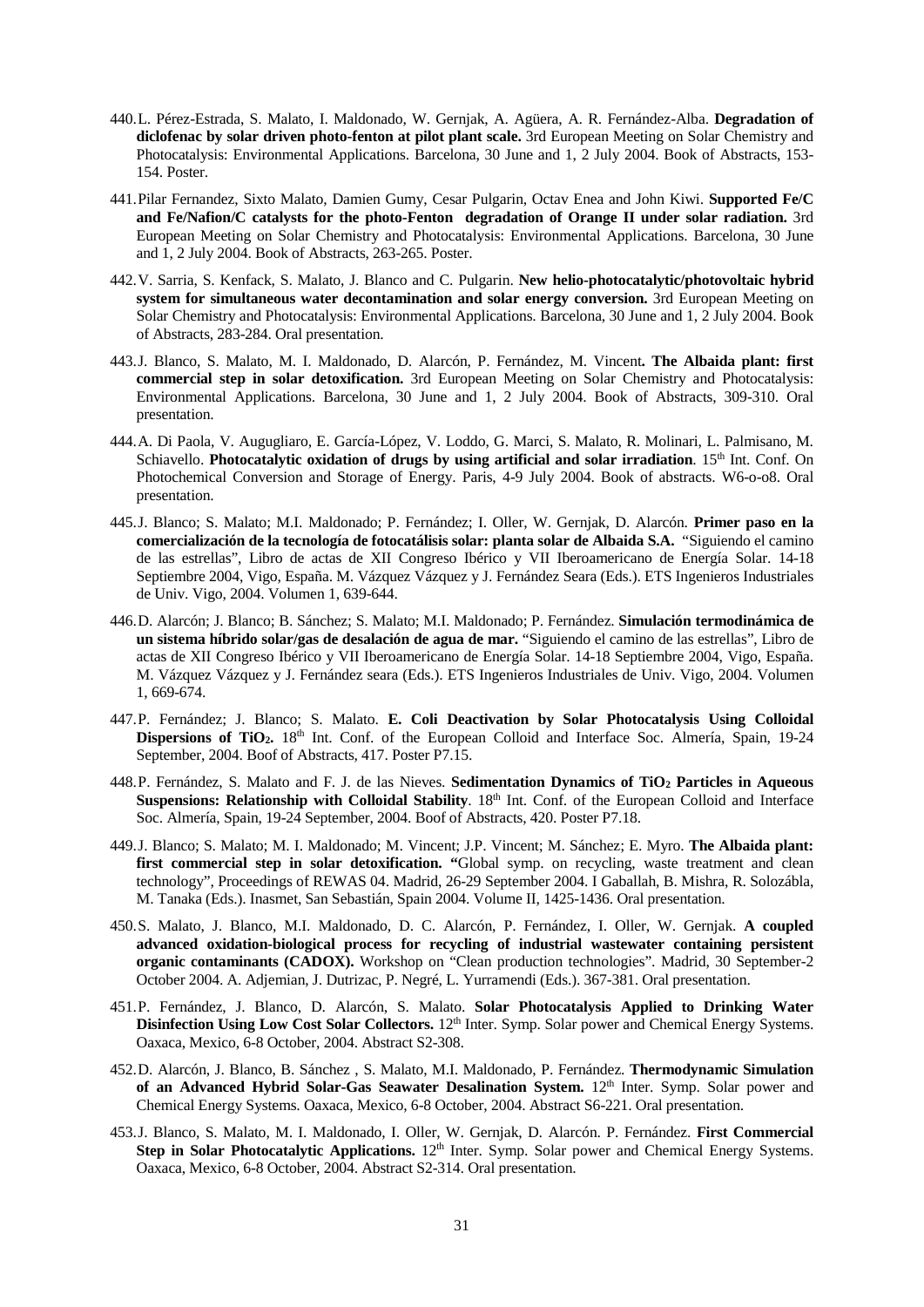- 440.L. Pérez-Estrada, S. Malato, I. Maldonado, W. Gernjak, A. Agüera, A. R. Fernández-Alba. **Degradation of diclofenac by solar driven photo-fenton at pilot plant scale.** 3rd European Meeting on Solar Chemistry and Photocatalysis: Environmental Applications. Barcelona, 30 June and 1, 2 July 2004. Book of Abstracts, 153- 154. Poster.
- 441.Pilar Fernandez, Sixto Malato, Damien Gumy, Cesar Pulgarin, Octav Enea and John Kiwi. **Supported Fe/C and Fe/Nafion/C catalysts for the photo-Fenton degradation of Orange II under solar radiation.** 3rd European Meeting on Solar Chemistry and Photocatalysis: Environmental Applications. Barcelona, 30 June and 1, 2 July 2004. Book of Abstracts, 263-265. Poster.
- 442.V. Sarria, S. Kenfack, S. Malato, J. Blanco and C. Pulgarin. **New helio-photocatalytic/photovoltaic hybrid system for simultaneous water decontamination and solar energy conversion.** 3rd European Meeting on Solar Chemistry and Photocatalysis: Environmental Applications. Barcelona, 30 June and 1, 2 July 2004. Book of Abstracts, 283-284. Oral presentation.
- 443.J. Blanco, S. Malato, M. I. Maldonado, D. Alarcón, P. Fernández, M. Vincent**. The Albaida plant: first commercial step in solar detoxification.** 3rd European Meeting on Solar Chemistry and Photocatalysis: Environmental Applications. Barcelona, 30 June and 1, 2 July 2004. Book of Abstracts, 309-310. Oral presentation.
- 444.A. Di Paola, V. Augugliaro, E. García-López, V. Loddo, G. Marci, S. Malato, R. Molinari, L. Palmisano, M. Schiavello. **Photocatalytic oxidation of drugs by using artificial and solar irradiation**. 15<sup>th</sup> Int. Conf. On Photochemical Conversion and Storage of Energy. Paris, 4-9 July 2004. Book of abstracts. W6-o-o8. Oral presentation.
- 445.J. Blanco; S. Malato; M.I. Maldonado; P. Fernández; I. Oller, W. Gernjak, D. Alarcón. **Primer paso en la comercialización de la tecnología de fotocatálisis solar: planta solar de Albaida S.A.** "Siguiendo el camino de las estrellas", Libro de actas de XII Congreso Ibérico y VII Iberoamericano de Energía Solar. 14-18 Septiembre 2004, Vigo, España. M. Vázquez Vázquez y J. Fernández Seara (Eds.). ETS Ingenieros Industriales de Univ. Vigo, 2004. Volumen 1, 639-644.
- 446.D. Alarcón; J. Blanco; B. Sánchez; S. Malato; M.I. Maldonado; P. Fernández. **Simulación termodinámica de un sistema híbrido solar/gas de desalación de agua de mar.** "Siguiendo el camino de las estrellas", Libro de actas de XII Congreso Ibérico y VII Iberoamericano de Energía Solar. 14-18 Septiembre 2004, Vigo, España. M. Vázquez Vázquez y J. Fernández seara (Eds.). ETS Ingenieros Industriales de Univ. Vigo, 2004. Volumen 1, 669-674.
- 447.P. Fernández; J. Blanco; S. Malato. **E. Coli Deactivation by Solar Photocatalysis Using Colloidal**  Dispersions of TiO<sub>2</sub>. 18<sup>th</sup> Int. Conf. of the European Colloid and Interface Soc. Almería, Spain, 19-24 September, 2004. Boof of Abstracts, 417. Poster P7.15.
- 448.P. Fernández, S. Malato and F. J. de las Nieves. **Sedimentation Dynamics of TiO2 Particles in Aqueous Suspensions: Relationship with Colloidal Stability**. 18<sup>th</sup> Int. Conf. of the European Colloid and Interface Soc. Almería, Spain, 19-24 September, 2004. Boof of Abstracts, 420. Poster P7.18.
- 449.J. Blanco; S. Malato; M. I. Maldonado; M. Vincent; J.P. Vincent; M. Sánchez; E. Myro. **The Albaida plant:**  first commercial step in solar detoxification. "Global symp. on recycling, waste treatment and clean technology", Proceedings of REWAS 04. Madrid, 26-29 September 2004. I Gaballah, B. Mishra, R. Solozábla, M. Tanaka (Eds.). Inasmet, San Sebastián, Spain 2004. Volume II, 1425-1436. Oral presentation.
- 450.S. Malato, J. Blanco, M.I. Maldonado, D. C. Alarcón, P. Fernández, I. Oller, W. Gernjak. **A coupled advanced oxidation-biological process for recycling of industrial wastewater containing persistent organic contaminants (CADOX).** Workshop on "Clean production technologies". Madrid, 30 September-2 October 2004. A. Adjemian, J. Dutrizac, P. Negré, L. Yurramendi (Eds.). 367-381. Oral presentation.
- 451.P. Fernández, J. Blanco, D. Alarcón, S. Malato. **Solar Photocatalysis Applied to Drinking Water Disinfection Using Low Cost Solar Collectors.** 12<sup>th</sup> Inter. Symp. Solar power and Chemical Energy Systems. Oaxaca, Mexico, 6-8 October, 2004. Abstract S2-308.
- 452.D. Alarcón, J. Blanco, B. Sánchez , S. Malato, M.I. Maldonado, P. Fernández. **Thermodynamic Simulation**  of an Advanced Hybrid Solar-Gas Seawater Desalination System. 12<sup>th</sup> Inter. Symp. Solar power and Chemical Energy Systems. Oaxaca, Mexico, 6-8 October, 2004. Abstract S6-221. Oral presentation.
- 453.J. Blanco, S. Malato, M. I. Maldonado, I. Oller, W. Gernjak, D. Alarcón. P. Fernández. **First Commercial**  Step in Solar Photocatalytic Applications. 12<sup>th</sup> Inter. Symp. Solar power and Chemical Energy Systems. Oaxaca, Mexico, 6-8 October, 2004. Abstract S2-314. Oral presentation.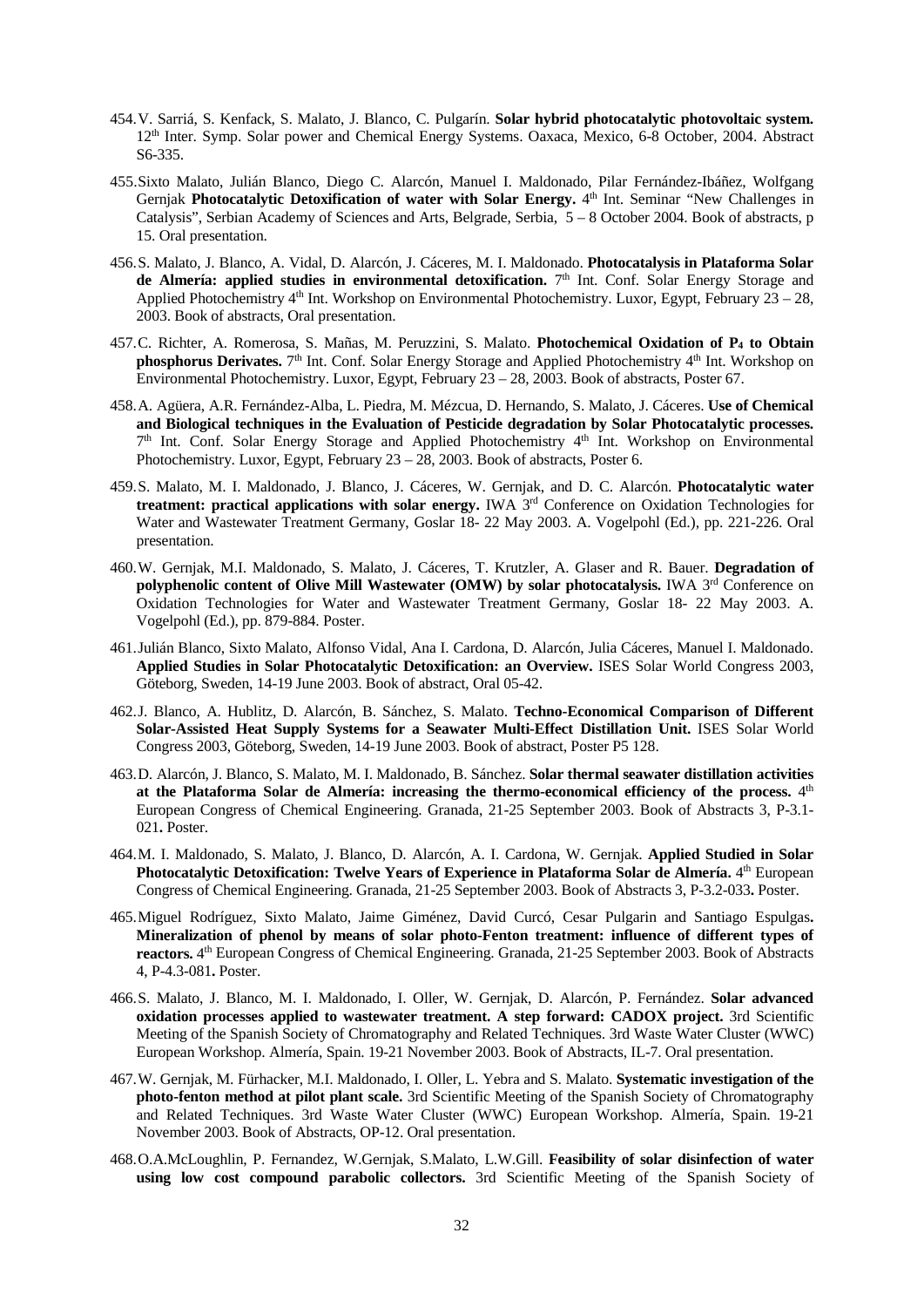- 454.V. Sarriá, S. Kenfack, S. Malato, J. Blanco, C. Pulgarín. **Solar hybrid photocatalytic photovoltaic system.** 12th Inter. Symp. Solar power and Chemical Energy Systems. Oaxaca, Mexico, 6-8 October, 2004. Abstract S6-335.
- 455.Sixto Malato, Julián Blanco, Diego C. Alarcón, Manuel I. Maldonado, Pilar Fernández-Ibáñez, Wolfgang Gernjak **Photocatalytic Detoxification of water with Solar Energy.** 4<sup>th</sup> Int. Seminar "New Challenges in Catalysis", Serbian Academy of Sciences and Arts, Belgrade, Serbia, 5 – 8 October 2004. Book of abstracts, p 15. Oral presentation.
- 456.S. Malato, J. Blanco, A. Vidal, D. Alarcón, J. Cáceres, M. I. Maldonado. **Photocatalysis in Plataforma Solar**  de Almería: applied studies in environmental detoxification. 7<sup>th</sup> Int. Conf. Solar Energy Storage and Applied Photochemistry 4<sup>th</sup> Int. Workshop on Environmental Photochemistry. Luxor, Egypt, February 23 – 28, 2003. Book of abstracts, Oral presentation.
- 457.C. Richter, A. Romerosa, S. Mañas, M. Peruzzini, S. Malato. **Photochemical Oxidation of P4 to Obtain phosphorus Derivates.** 7<sup>th</sup> Int. Conf. Solar Energy Storage and Applied Photochemistry 4<sup>th</sup> Int. Workshop on Environmental Photochemistry. Luxor, Egypt, February 23 – 28, 2003. Book of abstracts, Poster 67.
- 458.A. Agüera, A.R. Fernández-Alba, L. Piedra, M. Mézcua, D. Hernando, S. Malato, J. Cáceres. **Use of Chemical and Biological techniques in the Evaluation of Pesticide degradation by Solar Photocatalytic processes.** 7th Int. Conf. Solar Energy Storage and Applied Photochemistry 4th Int. Workshop on Environmental Photochemistry. Luxor, Egypt, February 23 – 28, 2003. Book of abstracts, Poster 6.
- 459.S. Malato, M. I. Maldonado, J. Blanco, J. Cáceres, W. Gernjak, and D. C. Alarcón. **Photocatalytic water treatment: practical applications with solar energy.** IWA 3rd Conference on Oxidation Technologies for Water and Wastewater Treatment Germany, Goslar 18- 22 May 2003. A. Vogelpohl (Ed.), pp. 221-226. Oral presentation.
- 460.W. Gernjak, M.I. Maldonado, S. Malato, J. Cáceres, T. Krutzler, A. Glaser and R. Bauer. **Degradation of polyphenolic content of Olive Mill Wastewater (OMW) by solar photocatalysis.** IWA 3rd Conference on Oxidation Technologies for Water and Wastewater Treatment Germany, Goslar 18- 22 May 2003. A. Vogelpohl (Ed.), pp. 879-884. Poster.
- 461.Julián Blanco, Sixto Malato, Alfonso Vidal, Ana I. Cardona, D. Alarcón, Julia Cáceres, Manuel I. Maldonado. **Applied Studies in Solar Photocatalytic Detoxification: an Overview.** ISES Solar World Congress 2003, Göteborg, Sweden, 14-19 June 2003. Book of abstract, Oral 05-42.
- 462.J. Blanco, A. Hublitz, D. Alarcón, B. Sánchez, S. Malato. **Techno-Economical Comparison of Different Solar-Assisted Heat Supply Systems for a Seawater Multi-Effect Distillation Unit.** ISES Solar World Congress 2003, Göteborg, Sweden, 14-19 June 2003. Book of abstract, Poster P5 128.
- 463.D. Alarcón, J. Blanco, S. Malato, M. I. Maldonado, B. Sánchez. **Solar thermal seawater distillation activities at the Plataforma Solar de Almería: increasing the thermo-economical efficiency of the process.** 4th European Congress of Chemical Engineering. Granada, 21-25 September 2003. Book of Abstracts 3, P-3.1- 021**.** Poster.
- 464.M. I. Maldonado, S. Malato, J. Blanco, D. Alarcón, A. I. Cardona, W. Gernjak. **Applied Studied in Solar Photocatalytic Detoxification: Twelve Years of Experience in Plataforma Solar de Almería.** <sup>4th</sup> European Congress of Chemical Engineering. Granada, 21-25 September 2003. Book of Abstracts 3, P-3.2-033**.** Poster.
- 465.Miguel Rodríguez, Sixto Malato, Jaime Giménez, David Curcó, Cesar Pulgarin and Santiago Espulgas**. Mineralization of phenol by means of solar photo-Fenton treatment: influence of different types of reactors.** 4th European Congress of Chemical Engineering. Granada, 21-25 September 2003. Book of Abstracts 4, P-4.3-081**.** Poster.
- 466.S. Malato, J. Blanco, M. I. Maldonado, I. Oller, W. Gernjak, D. Alarcón, P. Fernández. **Solar advanced oxidation processes applied to wastewater treatment. A step forward: CADOX project.** 3rd Scientific Meeting of the Spanish Society of Chromatography and Related Techniques. 3rd Waste Water Cluster (WWC) European Workshop. Almería, Spain. 19-21 November 2003. Book of Abstracts, IL-7. Oral presentation.
- 467.W. Gernjak, M. Fürhacker, M.I. Maldonado, I. Oller, L. Yebra and S. Malato. **Systematic investigation of the photo-fenton method at pilot plant scale.** 3rd Scientific Meeting of the Spanish Society of Chromatography and Related Techniques. 3rd Waste Water Cluster (WWC) European Workshop. Almería, Spain. 19-21 November 2003. Book of Abstracts, OP-12. Oral presentation.
- 468.O.A.McLoughlin, P. Fernandez, W.Gernjak, S.Malato, L.W.Gill. **Feasibility of solar disinfection of water using low cost compound parabolic collectors.** 3rd Scientific Meeting of the Spanish Society of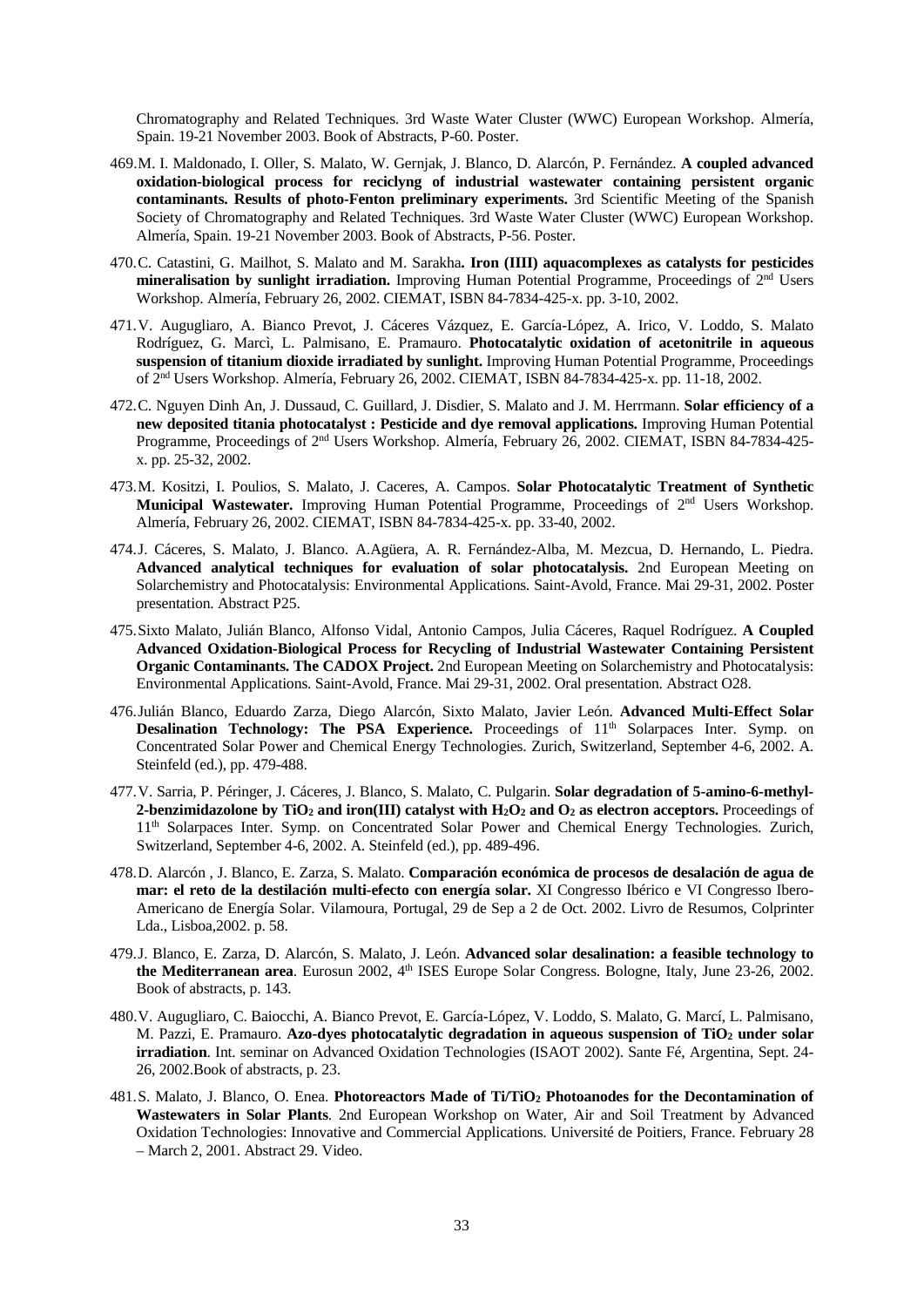Chromatography and Related Techniques. 3rd Waste Water Cluster (WWC) European Workshop. Almería, Spain. 19-21 November 2003. Book of Abstracts, P-60. Poster.

- 469.M. I. Maldonado, I. Oller, S. Malato, W. Gernjak, J. Blanco, D. Alarcón, P. Fernández. **A coupled advanced oxidation-biological process for reciclyng of industrial wastewater containing persistent organic contaminants. Results of photo-Fenton preliminary experiments.** 3rd Scientific Meeting of the Spanish Society of Chromatography and Related Techniques. 3rd Waste Water Cluster (WWC) European Workshop. Almería, Spain. 19-21 November 2003. Book of Abstracts, P-56. Poster.
- 470.C. Catastini, G. Mailhot, S. Malato and M. Sarakha**. Iron (IIII) aquacomplexes as catalysts for pesticides mineralisation by sunlight irradiation.** Improving Human Potential Programme, Proceedings of 2nd Users Workshop. Almería, February 26, 2002. CIEMAT, ISBN 84-7834-425-x. pp. 3-10, 2002.
- 471.V. Augugliaro, A. Bianco Prevot, J. Cáceres Vázquez, E. García-López, A. Irico, V. Loddo, S. Malato Rodríguez, G. Marcì, L. Palmisano, E. Pramauro. **Photocatalytic oxidation of acetonitrile in aqueous suspension of titanium dioxide irradiated by sunlight.** Improving Human Potential Programme, Proceedings of 2nd Users Workshop. Almería, February 26, 2002. CIEMAT, ISBN 84-7834-425-x. pp. 11-18, 2002.
- 472.C. Nguyen Dinh An, J. Dussaud, C. Guillard, J. Disdier, S. Malato and J. M. Herrmann. **Solar efficiency of a new deposited titania photocatalyst : Pesticide and dye removal applications.** Improving Human Potential Programme, Proceedings of 2nd Users Workshop. Almería, February 26, 2002. CIEMAT, ISBN 84-7834-425 x. pp. 25-32, 2002.
- 473.M. Kositzi, I. Poulios, S. Malato, J. Caceres, A. Campos. **Solar Photocatalytic Treatment of Synthetic Municipal Wastewater.** Improving Human Potential Programme, Proceedings of 2nd Users Workshop. Almería, February 26, 2002. CIEMAT, ISBN 84-7834-425-x. pp. 33-40, 2002.
- 474.J. Cáceres, S. Malato, J. Blanco. A.Agüera, A. R. Fernández-Alba, M. Mezcua, D. Hernando, L. Piedra. **Advanced analytical techniques for evaluation of solar photocatalysis.** 2nd European Meeting on Solarchemistry and Photocatalysis: Environmental Applications. Saint-Avold, France. Mai 29-31, 2002. Poster presentation. Abstract P25.
- 475.Sixto Malato, Julián Blanco, Alfonso Vidal, Antonio Campos, Julia Cáceres, Raquel Rodríguez. **A Coupled Advanced Oxidation-Biological Process for Recycling of Industrial Wastewater Containing Persistent Organic Contaminants. The CADOX Project.** 2nd European Meeting on Solarchemistry and Photocatalysis: Environmental Applications. Saint-Avold, France. Mai 29-31, 2002. Oral presentation. Abstract O28.
- 476.Julián Blanco, Eduardo Zarza, Diego Alarcón, Sixto Malato, Javier León. **Advanced Multi-Effect Solar Desalination Technology: The PSA Experience.** Proceedings of 11<sup>th</sup> Solarpaces Inter. Symp. on Concentrated Solar Power and Chemical Energy Technologies. Zurich, Switzerland, September 4-6, 2002. A. Steinfeld (ed.), pp. 479-488.
- 477.V. Sarria, P. Péringer, J. Cáceres, J. Blanco, S. Malato, C. Pulgarin. **Solar degradation of 5-amino-6-methyl-2-benzimidazolone by TiO2 and iron(III) catalyst with H2O2 and O2 as electron acceptors.** Proceedings of 11th Solarpaces Inter. Symp. on Concentrated Solar Power and Chemical Energy Technologies. Zurich, Switzerland, September 4-6, 2002. A. Steinfeld (ed.), pp. 489-496.
- 478.D. Alarcón , J. Blanco, E. Zarza, S. Malato. **Comparación económica de procesos de desalación de agua de mar: el reto de la destilación multi-efecto con energía solar.** XI Congresso Ibérico e VI Congresso Ibero-Americano de Energía Solar. Vilamoura, Portugal, 29 de Sep a 2 de Oct. 2002. Livro de Resumos, Colprinter Lda., Lisboa,2002. p. 58.
- 479.J. Blanco, E. Zarza, D. Alarcón, S. Malato, J. León. **Advanced solar desalination: a feasible technology to the Mediterranean area**. Eurosun 2002, 4th ISES Europe Solar Congress. Bologne, Italy, June 23-26, 2002. Book of abstracts, p. 143.
- 480.V. Augugliaro, C. Baiocchi, A. Bianco Prevot, E. García-López, V. Loddo, S. Malato, G. Marcí, L. Palmisano, M. Pazzi, E. Pramauro. **Azo-dyes photocatalytic degradation in aqueous suspension of TiO2 under solar irradiation**. Int. seminar on Advanced Oxidation Technologies (ISAOT 2002). Sante Fé, Argentina, Sept. 24- 26, 2002.Book of abstracts, p. 23.
- 481.S. Malato, J. Blanco, O. Enea. **Photoreactors Made of Ti/TiO2 Photoanodes for the Decontamination of Wastewaters in Solar Plants**. 2nd European Workshop on Water, Air and Soil Treatment by Advanced Oxidation Technologies: Innovative and Commercial Applications. Université de Poitiers, France. February 28 – March 2, 2001. Abstract 29. Video.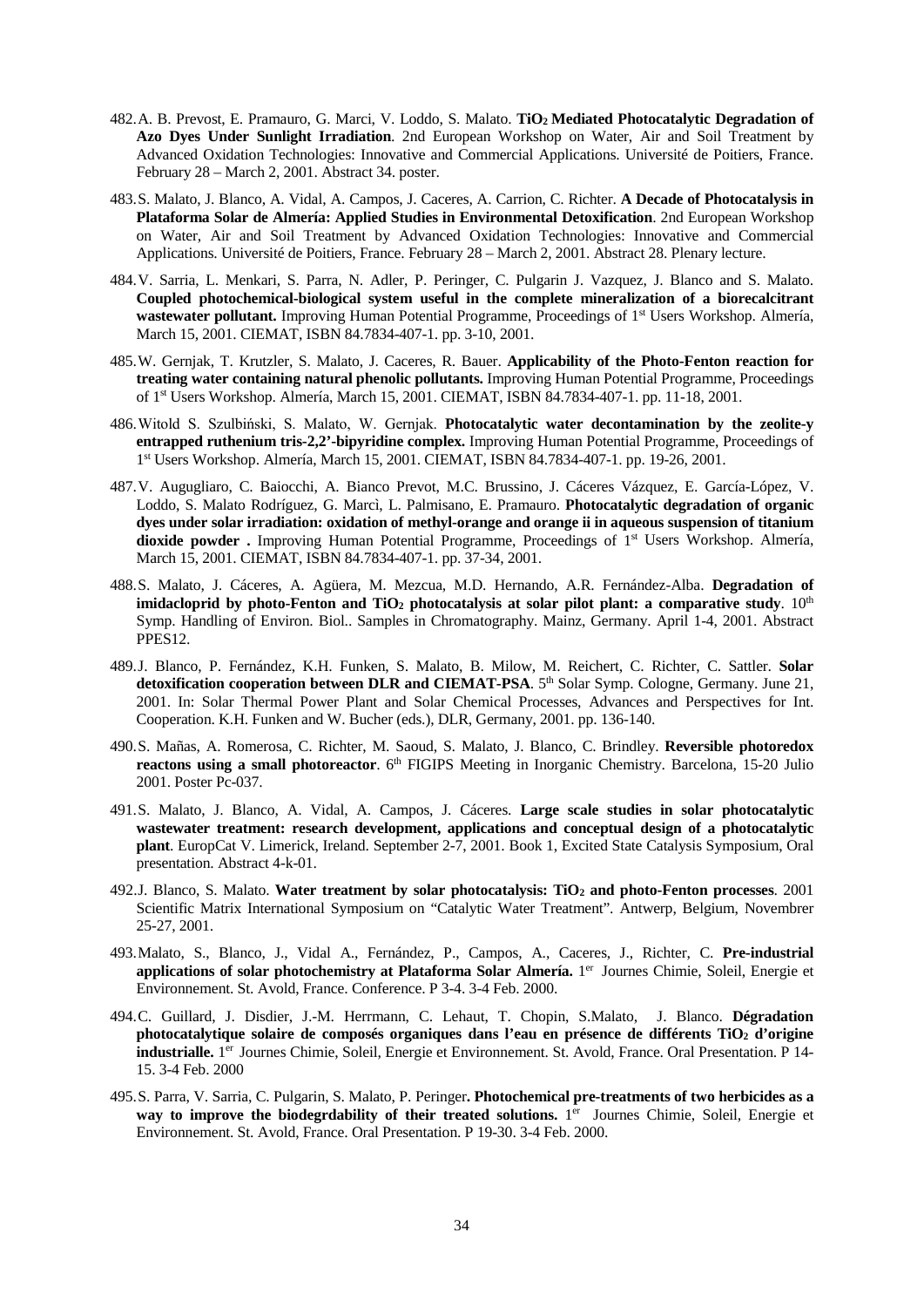- 482.A. B. Prevost, E. Pramauro, G. Marci, V. Loddo, S. Malato. **TiO2 Mediated Photocatalytic Degradation of Azo Dyes Under Sunlight Irradiation**. 2nd European Workshop on Water, Air and Soil Treatment by Advanced Oxidation Technologies: Innovative and Commercial Applications. Université de Poitiers, France. February 28 – March 2, 2001. Abstract 34. poster.
- 483.S. Malato, J. Blanco, A. Vidal, A. Campos, J. Caceres, A. Carrion, C. Richter. **A Decade of Photocatalysis in Plataforma Solar de Almería: Applied Studies in Environmental Detoxification**. 2nd European Workshop on Water, Air and Soil Treatment by Advanced Oxidation Technologies: Innovative and Commercial Applications. Université de Poitiers, France. February 28 – March 2, 2001. Abstract 28. Plenary lecture.
- 484.V. Sarria, L. Menkari, S. Parra, N. Adler, P. Peringer, C. Pulgarin J. Vazquez, J. Blanco and S. Malato. **Coupled photochemical-biological system useful in the complete mineralization of a biorecalcitrant wastewater pollutant.** Improving Human Potential Programme, Proceedings of 1st Users Workshop. Almería, March 15, 2001. CIEMAT, ISBN 84.7834-407-1. pp. 3-10, 2001.
- 485.W. Gernjak, T. Krutzler, S. Malato, J. Caceres, R. Bauer. **Applicability of the Photo-Fenton reaction for treating water containing natural phenolic pollutants.** Improving Human Potential Programme, Proceedings of 1st Users Workshop. Almería, March 15, 2001. CIEMAT, ISBN 84.7834-407-1. pp. 11-18, 2001.
- 486.Witold S. Szulbiński, S. Malato, W. Gernjak. **Photocatalytic water decontamination by the zeolite-y entrapped ruthenium tris-2,2'-bipyridine complex.** Improving Human Potential Programme, Proceedings of 1st Users Workshop. Almería, March 15, 2001. CIEMAT, ISBN 84.7834-407-1. pp. 19-26, 2001.
- 487.V. Augugliaro, C. Baiocchi, A. Bianco Prevot, M.C. Brussino, J. Cáceres Vázquez, E. García-López, V. Loddo, S. Malato Rodríguez, G. Marcì, L. Palmisano, E. Pramauro. **Photocatalytic degradation of organic dyes under solar irradiation: oxidation of methyl-orange and orange ii in aqueous suspension of titanium**  dioxide powder . Improving Human Potential Programme, Proceedings of 1<sup>st</sup> Users Workshop. Almería, March 15, 2001. CIEMAT, ISBN 84.7834-407-1. pp. 37-34, 2001.
- 488.S. Malato, J. Cáceres, A. Agüera, M. Mezcua, M.D. Hernando, A.R. Fernández-Alba. **Degradation of**  imidacloprid by photo-Fenton and TiO<sub>2</sub> photocatalysis at solar pilot plant: a comparative study. 10<sup>th</sup> Symp. Handling of Environ. Biol.. Samples in Chromatography. Mainz, Germany. April 1-4, 2001. Abstract PPES<sub>12</sub>.
- 489.J. Blanco, P. Fernández, K.H. Funken, S. Malato, B. Milow, M. Reichert, C. Richter, C. Sattler. **Solar**  detoxification cooperation between DLR and CIEMAT-PSA. 5<sup>th</sup> Solar Symp. Cologne, Germany. June 21, 2001. In: Solar Thermal Power Plant and Solar Chemical Processes, Advances and Perspectives for Int. Cooperation. K.H. Funken and W. Bucher (eds.), DLR, Germany, 2001. pp. 136-140.
- 490.S. Mañas, A. Romerosa, C. Richter, M. Saoud, S. Malato, J. Blanco, C. Brindley. **Reversible photoredox reactons using a small photoreactor**. 6<sup>th</sup> FIGIPS Meeting in Inorganic Chemistry. Barcelona, 15-20 Julio 2001. Poster Pc-037.
- 491.S. Malato, J. Blanco, A. Vidal, A. Campos, J. Cáceres. **Large scale studies in solar photocatalytic wastewater treatment: research development, applications and conceptual design of a photocatalytic plant**. EuropCat V. Limerick, Ireland. September 2-7, 2001. Book 1, Excited State Catalysis Symposium, Oral presentation. Abstract 4-k-01.
- 492.J. Blanco, S. Malato. **Water treatment by solar photocatalysis: TiO2 and photo-Fenton processes**. 2001 Scientific Matrix International Symposium on "Catalytic Water Treatment". Antwerp, Belgium, Novembrer 25-27, 2001.
- 493.Malato, S., Blanco, J., Vidal A., Fernández, P., Campos, A., Caceres, J., Richter, C. **Pre-industrial applications of solar photochemistry at Plataforma Solar Almería.** 1er Journes Chimie, Soleil, Energie et Environnement. St. Avold, France. Conference. P 3-4. 3-4 Feb. 2000.
- 494.C. Guillard, J. Disdier, J.-M. Herrmann, C. Lehaut, T. Chopin, S.Malato, J. Blanco. **Dégradation photocatalytique solaire de composés organiques dans l'eau en présence de différents TiO2 d'origine industrialle.** 1<sup>er</sup> Journes Chimie, Soleil, Energie et Environnement. St. Avold, France. Oral Presentation. P 14-15. 3-4 Feb. 2000
- 495.S. Parra, V. Sarria, C. Pulgarin, S. Malato, P. Peringer**. Photochemical pre-treatments of two herbicides as a**  way to improve the biodegrdability of their treated solutions. 1<sup>er</sup> Journes Chimie, Soleil, Energie et Environnement. St. Avold, France. Oral Presentation. P 19-30. 3-4 Feb. 2000.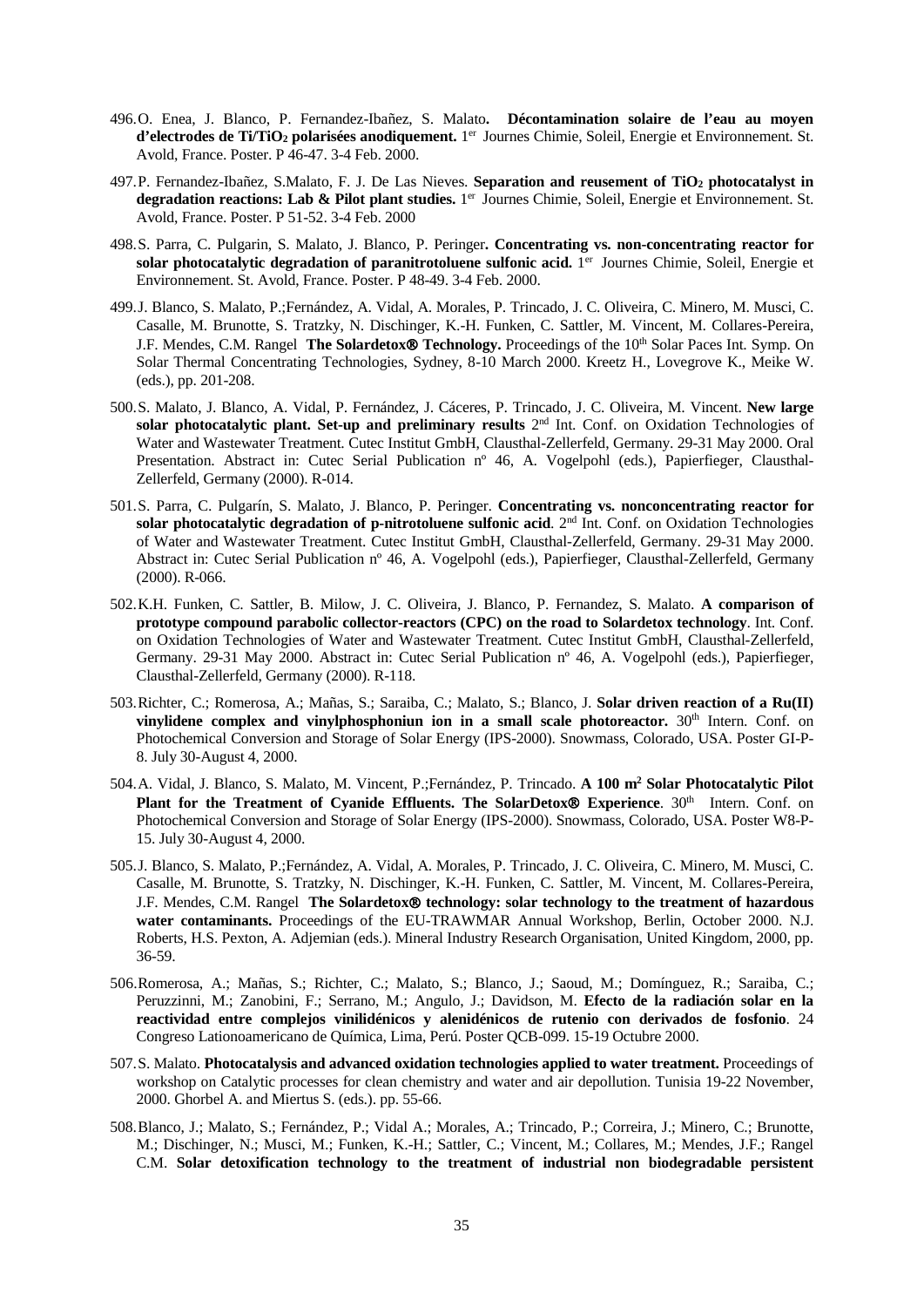- 496.O. Enea, J. Blanco, P. Fernandez-Ibañez, S. Malato**. Décontamination solaire de l'eau au moyen d'electrodes de Ti/TiO<sub>2</sub> polarisées anodiquement.** 1<sup>er</sup> Journes Chimie, Soleil, Energie et Environnement. St. Avold, France. Poster. P 46-47. 3-4 Feb. 2000.
- 497.P. Fernandez-Ibañez, S.Malato, F. J. De Las Nieves. **Separation and reusement of TiO2 photocatalyst in degradation reactions: Lab & Pilot plant studies.** 1er Journes Chimie, Soleil, Energie et Environnement. St. Avold, France. Poster. P 51-52. 3-4 Feb. 2000
- 498.S. Parra, C. Pulgarin, S. Malato, J. Blanco, P. Peringer**. Concentrating vs. non-concentrating reactor for**  solar photocatalytic degradation of paranitrotoluene sulfonic acid. 1<sup>er</sup> Journes Chimie, Soleil, Energie et Environnement. St. Avold, France. Poster. P 48-49. 3-4 Feb. 2000.
- 499.J. Blanco, S. Malato, P.;Fernández, A. Vidal, A. Morales, P. Trincado, J. C. Oliveira, C. Minero, M. Musci, C. Casalle, M. Brunotte, S. Tratzky, N. Dischinger, K.-H. Funken, C. Sattler, M. Vincent, M. Collares-Pereira, J.F. Mendes, C.M. Rangel **The Solardetox<sup>®</sup> Technology.** Proceedings of the 10<sup>th</sup> Solar Paces Int. Symp. On Solar Thermal Concentrating Technologies, Sydney, 8-10 March 2000. Kreetz H., Lovegrove K., Meike W. (eds.), pp. 201-208.
- 500.S. Malato, J. Blanco, A. Vidal, P. Fernández, J. Cáceres, P. Trincado, J. C. Oliveira, M. Vincent. **New large**  solar photocatalytic plant. Set-up and preliminary results 2<sup>nd</sup> Int. Conf. on Oxidation Technologies of Water and Wastewater Treatment. Cutec Institut GmbH, Clausthal-Zellerfeld, Germany. 29-31 May 2000. Oral Presentation. Abstract in: Cutec Serial Publication nº 46, A. Vogelpohl (eds.), Papierfieger, Clausthal-Zellerfeld, Germany (2000). R-014.
- 501.S. Parra, C. Pulgarín, S. Malato, J. Blanco, P. Peringer. **Concentrating vs. nonconcentrating reactor for solar photocatalytic degradation of p-nitrotoluene sulfonic acid.** 2<sup>nd</sup> Int. Conf. on Oxidation Technologies of Water and Wastewater Treatment. Cutec Institut GmbH, Clausthal-Zellerfeld, Germany. 29-31 May 2000. Abstract in: Cutec Serial Publication nº 46, A. Vogelpohl (eds.), Papierfieger, Clausthal-Zellerfeld, Germany (2000). R-066.
- 502.K.H. Funken, C. Sattler, B. Milow, J. C. Oliveira, J. Blanco, P. Fernandez, S. Malato. **A comparison of prototype compound parabolic collector-reactors (CPC) on the road to Solardetox technology**. Int. Conf. on Oxidation Technologies of Water and Wastewater Treatment. Cutec Institut GmbH, Clausthal-Zellerfeld, Germany. 29-31 May 2000. Abstract in: Cutec Serial Publication n° 46, A. Vogelpohl (eds.), Papierfieger, Clausthal-Zellerfeld, Germany (2000). R-118.
- 503.Richter, C.; Romerosa, A.; Mañas, S.; Saraiba, C.; Malato, S.; Blanco, J. **Solar driven reaction of a Ru(II)**  vinylidene complex and vinylphosphoniun ion in a small scale photoreactor. 30<sup>th</sup> Intern. Conf. on Photochemical Conversion and Storage of Solar Energy (IPS-2000). Snowmass, Colorado, USA. Poster GI-P-8. July 30-August 4, 2000.
- 504.A. Vidal, J. Blanco, S. Malato, M. Vincent, P.;Fernández, P. Trincado. **A 100 m2 Solar Photocatalytic Pilot Plant for the Treatment of Cyanide Effluents. The SolarDetox<sup>®</sup> Experience**. 30<sup>th</sup> Intern. Conf. on Photochemical Conversion and Storage of Solar Energy (IPS-2000). Snowmass, Colorado, USA. Poster W8-P-15. July 30-August 4, 2000.
- 505.J. Blanco, S. Malato, P.;Fernández, A. Vidal, A. Morales, P. Trincado, J. C. Oliveira, C. Minero, M. Musci, C. Casalle, M. Brunotte, S. Tratzky, N. Dischinger, K.-H. Funken, C. Sattler, M. Vincent, M. Collares-Pereira, J.F. Mendes, C.M. Rangel **The Solardetox technology: solar technology to the treatment of hazardous**  water contaminants. Proceedings of the EU-TRAWMAR Annual Workshop, Berlin, October 2000. N.J. Roberts, H.S. Pexton, A. Adjemian (eds.). Mineral Industry Research Organisation, United Kingdom, 2000, pp. 36-59.
- 506.Romerosa, A.; Mañas, S.; Richter, C.; Malato, S.; Blanco, J.; Saoud, M.; Domínguez, R.; Saraiba, C.; Peruzzinni, M.; Zanobini, F.; Serrano, M.; Angulo, J.; Davidson, M. **Efecto de la radiación solar en la reactividad entre complejos vinilidénicos y alenidénicos de rutenio con derivados de fosfonio**. 24 Congreso Lationoamericano de Química, Lima, Perú. Poster QCB-099. 15-19 Octubre 2000.
- 507.S. Malato. **Photocatalysis and advanced oxidation technologies applied to water treatment.** Proceedings of workshop on Catalytic processes for clean chemistry and water and air depollution. Tunisia 19-22 November, 2000. Ghorbel A. and Miertus S. (eds.). pp. 55-66.
- 508.Blanco, J.; Malato, S.; Fernández, P.; Vidal A.; Morales, A.; Trincado, P.; Correira, J.; Minero, C.; Brunotte, M.; Dischinger, N.; Musci, M.; Funken, K.-H.; Sattler, C.; Vincent, M.; Collares, M.; Mendes, J.F.; Rangel C.M. **Solar detoxification technology to the treatment of industrial non biodegradable persistent**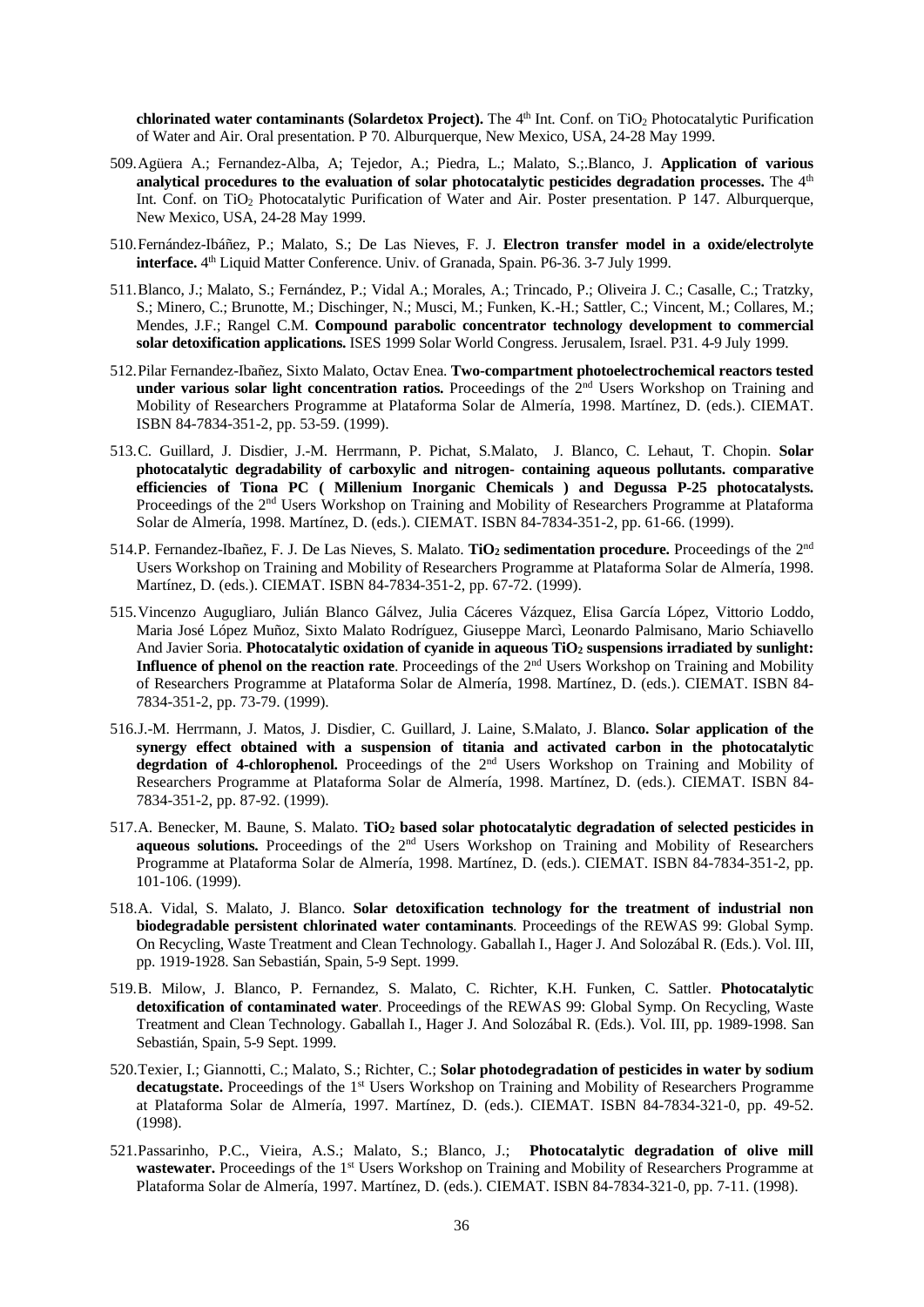**chlorinated water contaminants (Solardetox Project).** The 4<sup>th</sup> Int. Conf. on TiO<sub>2</sub> Photocatalytic Purification of Water and Air. Oral presentation. P 70. Alburquerque, New Mexico, USA, 24-28 May 1999.

- 509.Agüera A.; Fernandez-Alba, A; Tejedor, A.; Piedra, L.; Malato, S.;.Blanco, J. **Application of various**  analytical procedures to the evaluation of solar photocatalytic pesticides degradation processes. The 4<sup>th</sup> Int. Conf. on TiO2 Photocatalytic Purification of Water and Air. Poster presentation. P 147. Alburquerque, New Mexico, USA, 24-28 May 1999.
- 510.Fernández-Ibáñez, P.; Malato, S.; De Las Nieves, F. J. **Electron transfer model in a oxide/electrolyte interface.** 4th Liquid Matter Conference. Univ. of Granada, Spain. P6-36. 3-7 July 1999.
- 511.Blanco, J.; Malato, S.; Fernández, P.; Vidal A.; Morales, A.; Trincado, P.; Oliveira J. C.; Casalle, C.; Tratzky, S.; Minero, C.; Brunotte, M.; Dischinger, N.; Musci, M.; Funken, K.-H.; Sattler, C.; Vincent, M.; Collares, M.; Mendes, J.F.; Rangel C.M. **Compound parabolic concentrator technology development to commercial solar detoxification applications.** ISES 1999 Solar World Congress. Jerusalem, Israel. P31. 4-9 July 1999.
- 512.Pilar Fernandez-Ibañez, Sixto Malato, Octav Enea. **Two-compartment photoelectrochemical reactors tested under various solar light concentration ratios.** Proceedings of the 2nd Users Workshop on Training and Mobility of Researchers Programme at Plataforma Solar de Almería, 1998. Martínez, D. (eds.). CIEMAT. ISBN 84-7834-351-2, pp. 53-59. (1999).
- 513.C. Guillard, J. Disdier, J.-M. Herrmann, P. Pichat, S.Malato, J. Blanco, C. Lehaut, T. Chopin. **Solar photocatalytic degradability of carboxylic and nitrogen- containing aqueous pollutants. comparative efficiencies of Tiona PC ( Millenium Inorganic Chemicals ) and Degussa P-25 photocatalysts.** Proceedings of the 2<sup>nd</sup> Users Workshop on Training and Mobility of Researchers Programme at Plataforma Solar de Almería, 1998. Martínez, D. (eds.). CIEMAT. ISBN 84-7834-351-2, pp. 61-66. (1999).
- 514.P. Fernandez-Ibañez, F. J. De Las Nieves, S. Malato. **TiO2 sedimentation procedure.** Proceedings of the 2nd Users Workshop on Training and Mobility of Researchers Programme at Plataforma Solar de Almería, 1998. Martínez, D. (eds.). CIEMAT. ISBN 84-7834-351-2, pp. 67-72. (1999).
- 515.Vincenzo Augugliaro, Julián Blanco Gálvez, Julia Cáceres Vázquez, Elisa García López, Vittorio Loddo, Maria José López Muñoz, Sixto Malato Rodríguez, Giuseppe Marcì, Leonardo Palmisano, Mario Schiavello And Javier Soria. **Photocatalytic oxidation of cyanide in aqueous TiO2 suspensions irradiated by sunlight: Influence of phenol on the reaction rate**. Proceedings of the 2<sup>nd</sup> Users Workshop on Training and Mobility of Researchers Programme at Plataforma Solar de Almería, 1998. Martínez, D. (eds.). CIEMAT. ISBN 84- 7834-351-2, pp. 73-79. (1999).
- 516.J.-M. Herrmann, J. Matos, J. Disdier, C. Guillard, J. Laine, S.Malato, J. Blan**co. Solar application of the synergy effect obtained with a suspension of titania and activated carbon in the photocatalytic**  degrdation of 4-chlorophenol. Proceedings of the 2<sup>nd</sup> Users Workshop on Training and Mobility of Researchers Programme at Plataforma Solar de Almería, 1998. Martínez, D. (eds.). CIEMAT. ISBN 84- 7834-351-2, pp. 87-92. (1999).
- 517.A. Benecker, M. Baune, S. Malato. **TiO2 based solar photocatalytic degradation of selected pesticides in**  aqueous solutions. Proceedings of the 2<sup>nd</sup> Users Workshop on Training and Mobility of Researchers Programme at Plataforma Solar de Almería, 1998. Martínez, D. (eds.). CIEMAT. ISBN 84-7834-351-2, pp. 101-106. (1999).
- 518.A. Vidal, S. Malato, J. Blanco. **Solar detoxification technology for the treatment of industrial non biodegradable persistent chlorinated water contaminants**. Proceedings of the REWAS 99: Global Symp. On Recycling, Waste Treatment and Clean Technology. Gaballah I., Hager J. And Solozábal R. (Eds.). Vol. III, pp. 1919-1928. San Sebastián, Spain, 5-9 Sept. 1999.
- 519.B. Milow, J. Blanco, P. Fernandez, S. Malato, C. Richter, K.H. Funken, C. Sattler. **Photocatalytic detoxification of contaminated water**. Proceedings of the REWAS 99: Global Symp. On Recycling, Waste Treatment and Clean Technology. Gaballah I., Hager J. And Solozábal R. (Eds.). Vol. III, pp. 1989-1998. San Sebastián, Spain, 5-9 Sept. 1999.
- 520.Texier, I.; Giannotti, C.; Malato, S.; Richter, C.; **Solar photodegradation of pesticides in water by sodium decatugstate.** Proceedings of the 1st Users Workshop on Training and Mobility of Researchers Programme at Plataforma Solar de Almería, 1997. Martínez, D. (eds.). CIEMAT. ISBN 84-7834-321-0, pp. 49-52. (1998).
- 521.Passarinho, P.C., Vieira, A.S.; Malato, S.; Blanco, J.; **Photocatalytic degradation of olive mill wastewater.** Proceedings of the 1st Users Workshop on Training and Mobility of Researchers Programme at Plataforma Solar de Almería, 1997. Martínez, D. (eds.). CIEMAT. ISBN 84-7834-321-0, pp. 7-11. (1998).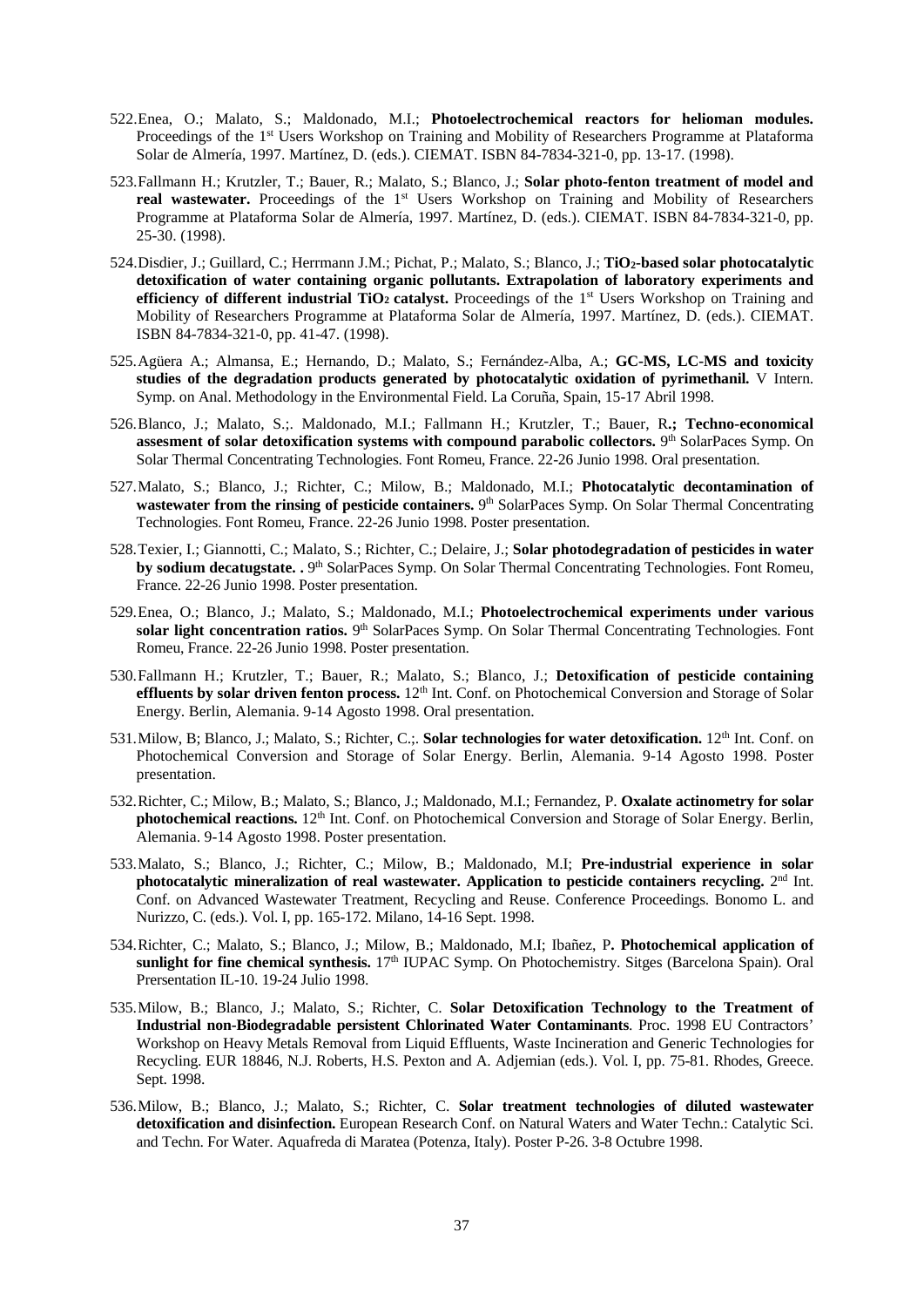- 522.Enea, O.; Malato, S.; Maldonado, M.I.; **Photoelectrochemical reactors for helioman modules.**  Proceedings of the 1<sup>st</sup> Users Workshop on Training and Mobility of Researchers Programme at Plataforma Solar de Almería, 1997. Martínez, D. (eds.). CIEMAT. ISBN 84-7834-321-0, pp. 13-17. (1998).
- 523.Fallmann H.; Krutzler, T.; Bauer, R.; Malato, S.; Blanco, J.; **Solar photo-fenton treatment of model and real wastewater.** Proceedings of the 1<sup>st</sup> Users Workshop on Training and Mobility of Researchers Programme at Plataforma Solar de Almería, 1997. Martínez, D. (eds.). CIEMAT. ISBN 84-7834-321-0, pp. 25-30. (1998).
- 524.Disdier, J.; Guillard, C.; Herrmann J.M.; Pichat, P.; Malato, S.; Blanco, J.; **TiO2-based solar photocatalytic detoxification of water containing organic pollutants. Extrapolation of laboratory experiments and efficiency of different industrial TiO<sub>2</sub> catalyst.** Proceedings of the 1<sup>st</sup> Users Workshop on Training and Mobility of Researchers Programme at Plataforma Solar de Almería, 1997. Martínez, D. (eds.). CIEMAT. ISBN 84-7834-321-0, pp. 41-47. (1998).
- 525.Agüera A.; Almansa, E.; Hernando, D.; Malato, S.; Fernández-Alba, A.; **GC-MS, LC-MS and toxicity studies of the degradation products generated by photocatalytic oxidation of pyrimethanil.** V Intern. Symp. on Anal. Methodology in the Environmental Field. La Coruña, Spain, 15-17 Abril 1998.
- 526.Blanco, J.; Malato, S.;. Maldonado, M.I.; Fallmann H.; Krutzler, T.; Bauer, R**.; Techno-economical**  assesment of solar detoxification systems with compound parabolic collectors. <sup>9th</sup> SolarPaces Symp. On Solar Thermal Concentrating Technologies. Font Romeu, France. 22-26 Junio 1998. Oral presentation.
- 527.Malato, S.; Blanco, J.; Richter, C.; Milow, B.; Maldonado, M.I.; **Photocatalytic decontamination of wastewater from the rinsing of pesticide containers.** 9<sup>th</sup> SolarPaces Symp. On Solar Thermal Concentrating Technologies. Font Romeu, France. 22-26 Junio 1998. Poster presentation.
- 528.Texier, I.; Giannotti, C.; Malato, S.; Richter, C.; Delaire, J.; **Solar photodegradation of pesticides in water by sodium decatugstate. . <sup>9th</sup> SolarPaces Symp. On Solar Thermal Concentrating Technologies. Font Romeu,** France. 22-26 Junio 1998. Poster presentation.
- 529.Enea, O.; Blanco, J.; Malato, S.; Maldonado, M.I.; **Photoelectrochemical experiments under various**  solar light concentration ratios. <sup>9th</sup> SolarPaces Symp. On Solar Thermal Concentrating Technologies. Font Romeu, France. 22-26 Junio 1998. Poster presentation.
- 530.Fallmann H.; Krutzler, T.; Bauer, R.; Malato, S.; Blanco, J.; **Detoxification of pesticide containing effluents by solar driven fenton process.** 12<sup>th</sup> Int. Conf. on Photochemical Conversion and Storage of Solar Energy. Berlin, Alemania. 9-14 Agosto 1998. Oral presentation.
- 531. Milow, B; Blanco, J.; Malato, S.; Richter, C.;. Solar technologies for water detoxification. 12<sup>th</sup> Int. Conf. on Photochemical Conversion and Storage of Solar Energy. Berlin, Alemania. 9-14 Agosto 1998. Poster presentation.
- 532.Richter, C.; Milow, B.; Malato, S.; Blanco, J.; Maldonado, M.I.; Fernandez, P. **Oxalate actinometry for solar photochemical reactions.** 12<sup>th</sup> Int. Conf. on Photochemical Conversion and Storage of Solar Energy. Berlin, Alemania. 9-14 Agosto 1998. Poster presentation.
- 533.Malato, S.; Blanco, J.; Richter, C.; Milow, B.; Maldonado, M.I; **Pre-industrial experience in solar photocatalytic mineralization of real wastewater. Application to pesticide containers recycling.** 2nd Int. Conf. on Advanced Wastewater Treatment, Recycling and Reuse. Conference Proceedings. Bonomo L. and Nurizzo, C. (eds.). Vol. I, pp. 165-172. Milano, 14-16 Sept. 1998.
- 534.Richter, C.; Malato, S.; Blanco, J.; Milow, B.; Maldonado, M.I; Ibañez, P**. Photochemical application of sunlight for fine chemical synthesis.**  $17<sup>th</sup> IUPAC Symp.$  On Photochemistry. Sitges (Barcelona Spain). Oral Prersentation IL-10. 19-24 Julio 1998.
- 535.Milow, B.; Blanco, J.; Malato, S.; Richter, C. **Solar Detoxification Technology to the Treatment of Industrial non-Biodegradable persistent Chlorinated Water Contaminants**. Proc. 1998 EU Contractors' Workshop on Heavy Metals Removal from Liquid Effluents, Waste Incineration and Generic Technologies for Recycling. EUR 18846, N.J. Roberts, H.S. Pexton and A. Adjemian (eds.). Vol. I, pp. 75-81. Rhodes, Greece. Sept. 1998.
- 536.Milow, B.; Blanco, J.; Malato, S.; Richter, C. **Solar treatment technologies of diluted wastewater detoxification and disinfection.** European Research Conf. on Natural Waters and Water Techn.: Catalytic Sci. and Techn. For Water. Aquafreda di Maratea (Potenza, Italy). Poster P-26. 3-8 Octubre 1998.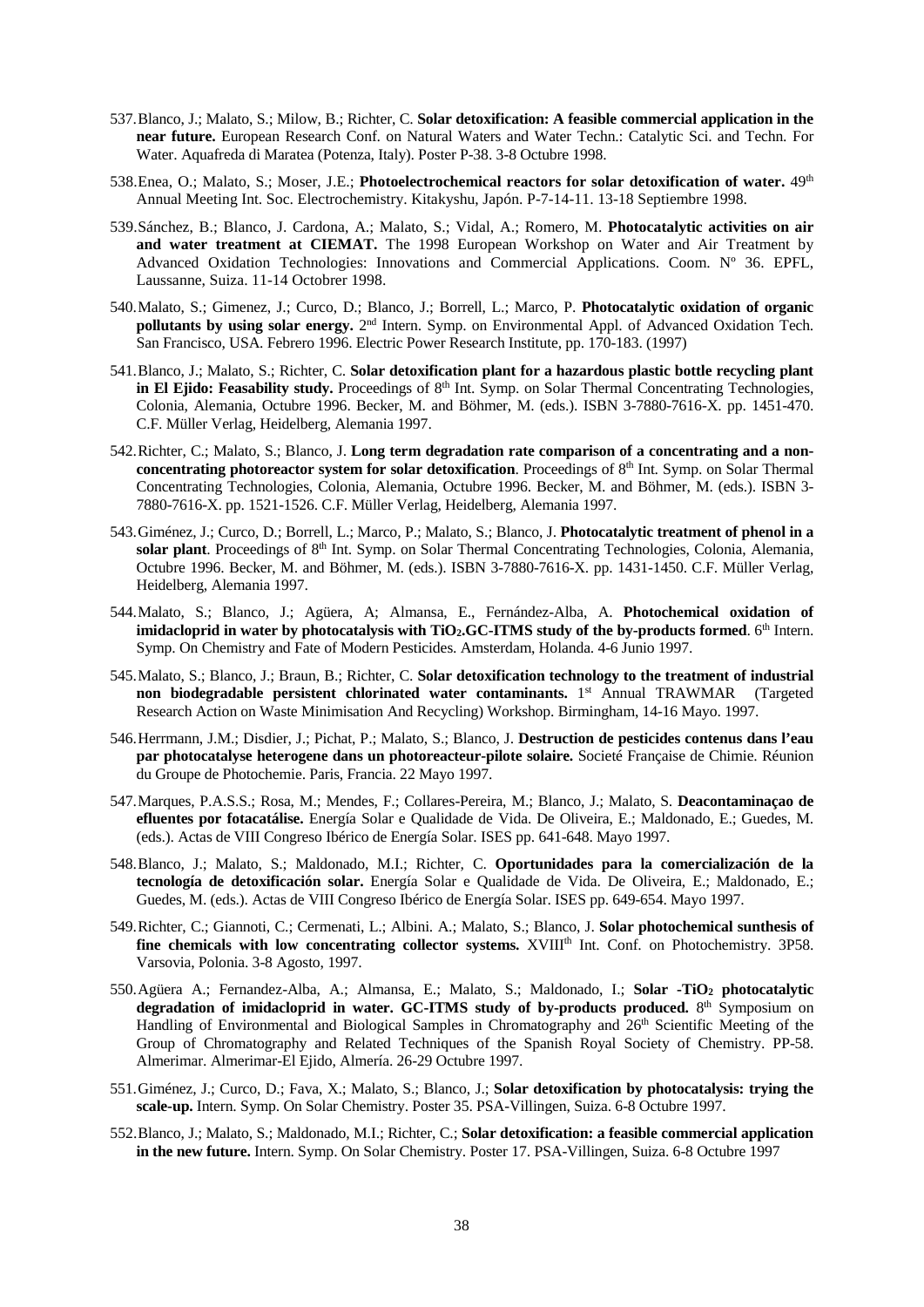- 537.Blanco, J.; Malato, S.; Milow, B.; Richter, C. **Solar detoxification: A feasible commercial application in the near future.** European Research Conf. on Natural Waters and Water Techn.: Catalytic Sci. and Techn. For Water. Aquafreda di Maratea (Potenza, Italy). Poster P-38. 3-8 Octubre 1998.
- 538.Enea, O.; Malato, S.; Moser, J.E.; **Photoelectrochemical reactors for solar detoxification of water.** 49th Annual Meeting Int. Soc. Electrochemistry. Kitakyshu, Japón. P-7-14-11. 13-18 Septiembre 1998.
- 539.Sánchez, B.; Blanco, J. Cardona, A.; Malato, S.; Vidal, A.; Romero, M. **Photocatalytic activities on air and water treatment at CIEMAT.** The 1998 European Workshop on Water and Air Treatment by Advanced Oxidation Technologies: Innovations and Commercial Applications. Coom. Nº 36. EPFL, Laussanne, Suiza. 11-14 Octobrer 1998.
- 540.Malato, S.; Gimenez, J.; Curco, D.; Blanco, J.; Borrell, L.; Marco, P. **Photocatalytic oxidation of organic pollutants by using solar energy.** 2nd Intern. Symp. on Environmental Appl. of Advanced Oxidation Tech. San Francisco, USA. Febrero 1996. Electric Power Research Institute, pp. 170-183. (1997)
- 541.Blanco, J.; Malato, S.; Richter, C. **Solar detoxification plant for a hazardous plastic bottle recycling plant in El Ejido: Feasability study.** Proceedings of 8<sup>th</sup> Int. Symp. on Solar Thermal Concentrating Technologies, Colonia, Alemania, Octubre 1996. Becker, M. and Böhmer, M. (eds.). ISBN 3-7880-7616-X. pp. 1451-470. C.F. Müller Verlag, Heidelberg, Alemania 1997.
- 542.Richter, C.; Malato, S.; Blanco, J. **Long term degradation rate comparison of a concentrating and a nonconcentrating photoreactor system for solar detoxification**. Proceedings of 8<sup>th</sup> Int. Symp. on Solar Thermal Concentrating Technologies, Colonia, Alemania, Octubre 1996. Becker, M. and Böhmer, M. (eds.). ISBN 3- 7880-7616-X. pp. 1521-1526. C.F. Müller Verlag, Heidelberg, Alemania 1997.
- 543.Giménez, J.; Curco, D.; Borrell, L.; Marco, P.; Malato, S.; Blanco, J. **Photocatalytic treatment of phenol in a**  solar plant. Proceedings of 8<sup>th</sup> Int. Symp. on Solar Thermal Concentrating Technologies, Colonia, Alemania, Octubre 1996. Becker, M. and Böhmer, M. (eds.). ISBN 3-7880-7616-X. pp. 1431-1450. C.F. Müller Verlag, Heidelberg, Alemania 1997.
- 544.Malato, S.; Blanco, J.; Agüera, A; Almansa, E., Fernández-Alba, A. **Photochemical oxidation of imidacloprid in water by photocatalysis with TiO2.GC-ITMS study of the by-products formed**. 6<sup>th</sup> Intern. Symp. On Chemistry and Fate of Modern Pesticides. Amsterdam, Holanda. 4-6 Junio 1997.
- 545.Malato, S.; Blanco, J.; Braun, B.; Richter, C. **Solar detoxification technology to the treatment of industrial non biodegradable persistent chlorinated water contaminants.** 1<sup>st</sup> Annual TRAWMAR (Targeted Research Action on Waste Minimisation And Recycling) Workshop. Birmingham, 14-16 Mayo. 1997.
- 546.Herrmann, J.M.; Disdier, J.; Pichat, P.; Malato, S.; Blanco, J. **Destruction de pesticides contenus dans l'eau par photocatalyse heterogene dans un photoreacteur-pilote solaire.** Societé Française de Chimie. Réunion du Groupe de Photochemie. Paris, Francia. 22 Mayo 1997.
- 547.Marques, P.A.S.S.; Rosa, M.; Mendes, F.; Collares-Pereira, M.; Blanco, J.; Malato, S. **Deacontaminaçao de efluentes por fotacatálise.** Energía Solar e Qualidade de Vida. De Oliveira, E.; Maldonado, E.; Guedes, M. (eds.). Actas de VIII Congreso Ibérico de Energía Solar. ISES pp. 641-648. Mayo 1997.
- 548.Blanco, J.; Malato, S.; Maldonado, M.I.; Richter, C. **Oportunidades para la comercialización de la tecnología de detoxificación solar.** Energía Solar e Qualidade de Vida. De Oliveira, E.; Maldonado, E.; Guedes, M. (eds.). Actas de VIII Congreso Ibérico de Energía Solar. ISES pp. 649-654. Mayo 1997.
- 549.Richter, C.; Giannoti, C.; Cermenati, L.; Albini. A.; Malato, S.; Blanco, J. **Solar photochemical sunthesis of fine chemicals with low concentrating collector systems.** XVIII<sup>th</sup> Int. Conf. on Photochemistry. 3P58. Varsovia, Polonia. 3-8 Agosto, 1997.
- 550.Agüera A.; Fernandez-Alba, A.; Almansa, E.; Malato, S.; Maldonado, I.; **Solar -TiO2 photocatalytic**  degradation of imidacloprid in water. GC-ITMS study of by-products produced. 8<sup>th</sup> Symposium on Handling of Environmental and Biological Samples in Chromatography and 26<sup>th</sup> Scientific Meeting of the Group of Chromatography and Related Techniques of the Spanish Royal Society of Chemistry. PP-58. Almerimar. Almerimar-El Ejido, Almería. 26-29 Octubre 1997.
- 551.Giménez, J.; Curco, D.; Fava, X.; Malato, S.; Blanco, J.; **Solar detoxification by photocatalysis: trying the scale-up.** Intern. Symp. On Solar Chemistry. Poster 35. PSA-Villingen, Suiza. 6-8 Octubre 1997.
- 552.Blanco, J.; Malato, S.; Maldonado, M.I.; Richter, C.; **Solar detoxification: a feasible commercial application in the new future.** Intern. Symp. On Solar Chemistry. Poster 17. PSA-Villingen, Suiza. 6-8 Octubre 1997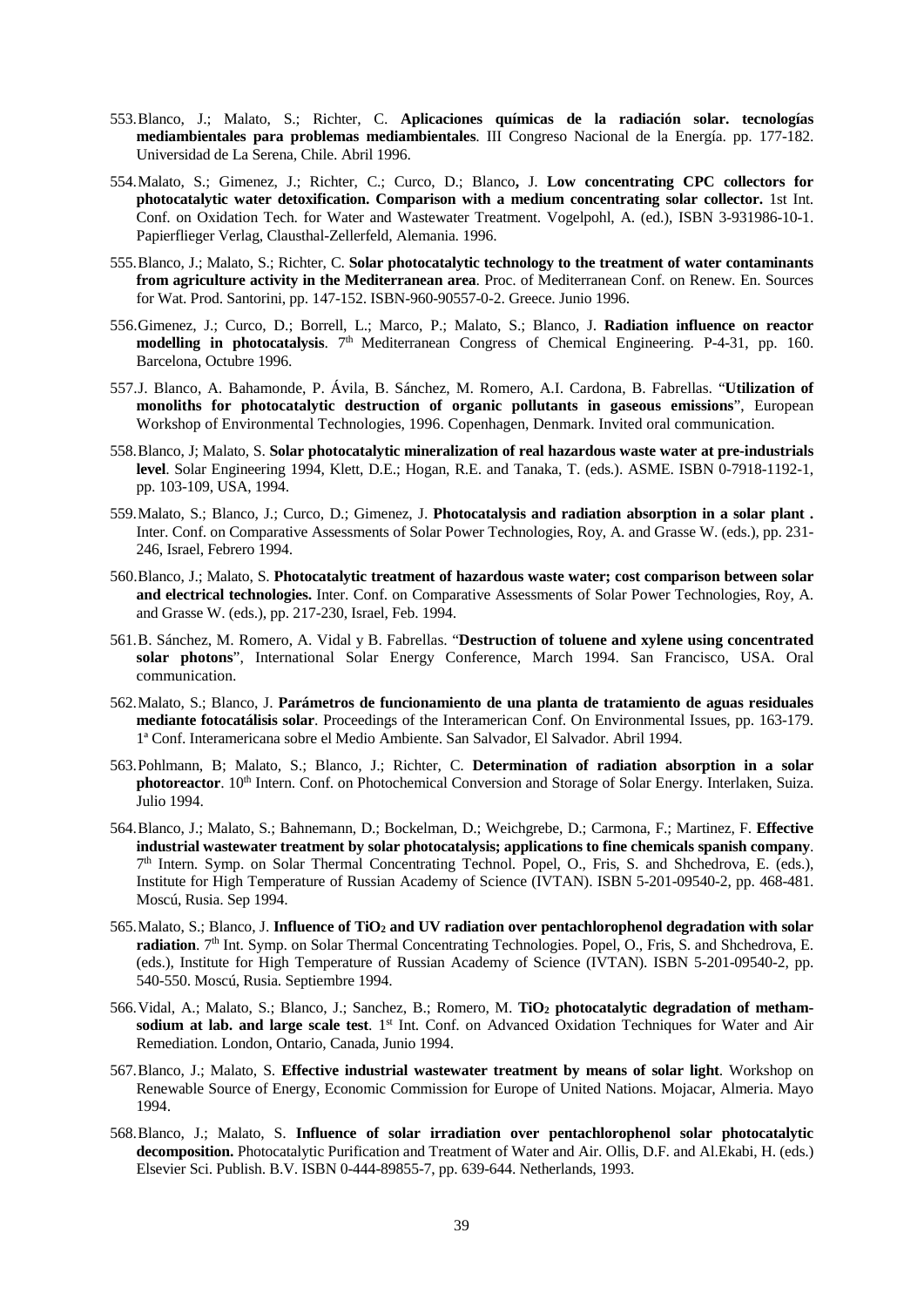- 553.Blanco, J.; Malato, S.; Richter, C. **Aplicaciones químicas de la radiación solar. tecnologías mediambientales para problemas mediambientales**. III Congreso Nacional de la Energía. pp. 177-182. Universidad de La Serena, Chile. Abril 1996.
- 554.Malato, S.; Gimenez, J.; Richter, C.; Curco, D.; Blanco**,** J. **Low concentrating CPC collectors for photocatalytic water detoxification. Comparison with a medium concentrating solar collector.** 1st Int. Conf. on Oxidation Tech. for Water and Wastewater Treatment. Vogelpohl, A. (ed.), ISBN 3-931986-10-1. Papierflieger Verlag, Clausthal-Zellerfeld, Alemania. 1996.
- 555.Blanco, J.; Malato, S.; Richter, C. **Solar photocatalytic technology to the treatment of water contaminants from agriculture activity in the Mediterranean area**. Proc. of Mediterranean Conf. on Renew. En. Sources for Wat. Prod. Santorini, pp. 147-152. ISBN-960-90557-0-2. Greece. Junio 1996.
- 556.Gimenez, J.; Curco, D.; Borrell, L.; Marco, P.; Malato, S.; Blanco, J. **Radiation influence on reactor modelling in photocatalysis**. 7<sup>th</sup> Mediterranean Congress of Chemical Engineering. P-4-31, pp. 160. Barcelona, Octubre 1996.
- 557.J. Blanco, A. Bahamonde, P. Ávila, B. Sánchez, M. Romero, A.I. Cardona, B. Fabrellas. "**Utilization of monoliths for photocatalytic destruction of organic pollutants in gaseous emissions**", European Workshop of Environmental Technologies, 1996. Copenhagen, Denmark. Invited oral communication.
- 558.Blanco, J; Malato, S. **Solar photocatalytic mineralization of real hazardous waste water at pre-industrials level**. Solar Engineering 1994, Klett, D.E.; Hogan, R.E. and Tanaka, T. (eds.). ASME. ISBN 0-7918-1192-1, pp. 103-109, USA, 1994.
- 559.Malato, S.; Blanco, J.; Curco, D.; Gimenez, J. **Photocatalysis and radiation absorption in a solar plant .** Inter. Conf. on Comparative Assessments of Solar Power Technologies, Roy, A. and Grasse W. (eds.), pp. 231- 246, Israel, Febrero 1994.
- 560.Blanco, J.; Malato, S. **Photocatalytic treatment of hazardous waste water; cost comparison between solar and electrical technologies.** Inter. Conf. on Comparative Assessments of Solar Power Technologies, Roy, A. and Grasse W. (eds.), pp. 217-230, Israel, Feb. 1994.
- 561.B. Sánchez, M. Romero, A. Vidal y B. Fabrellas. "**Destruction of toluene and xylene using concentrated solar photons**", International Solar Energy Conference, March 1994. San Francisco, USA. Oral communication.
- 562.Malato, S.; Blanco, J. **Parámetros de funcionamiento de una planta de tratamiento de aguas residuales mediante fotocatálisis solar**. Proceedings of the Interamerican Conf. On Environmental Issues, pp. 163-179. 1ª Conf. Interamericana sobre el Medio Ambiente. San Salvador, El Salvador. Abril 1994.
- 563.Pohlmann, B; Malato, S.; Blanco, J.; Richter, C. **Determination of radiation absorption in a solar photoreactor**. 10<sup>th</sup> Intern. Conf. on Photochemical Conversion and Storage of Solar Energy. Interlaken, Suiza. Julio 1994.
- 564.Blanco, J.; Malato, S.; Bahnemann, D.; Bockelman, D.; Weichgrebe, D.; Carmona, F.; Martinez, F. **Effective industrial wastewater treatment by solar photocatalysis; applications to fine chemicals spanish company**. 7th Intern. Symp. on Solar Thermal Concentrating Technol. Popel, O., Fris, S. and Shchedrova, E. (eds.), Institute for High Temperature of Russian Academy of Science (IVTAN). ISBN 5-201-09540-2, pp. 468-481. Moscú, Rusia. Sep 1994.
- 565.Malato, S.; Blanco, J. **Influence of TiO2 and UV radiation over pentachlorophenol degradation with solar radiation**. 7<sup>th</sup> Int. Symp. on Solar Thermal Concentrating Technologies. Popel, O., Fris, S. and Shchedrova, E. (eds.), Institute for High Temperature of Russian Academy of Science (IVTAN). ISBN 5-201-09540-2, pp. 540-550. Moscú, Rusia. Septiembre 1994.
- 566.Vidal, A.; Malato, S.; Blanco, J.; Sanchez, B.; Romero, M. **TiO2 photocatalytic degradation of metham**sodium at lab. and large scale test. 1<sup>st</sup> Int. Conf. on Advanced Oxidation Techniques for Water and Air Remediation. London, Ontario, Canada, Junio 1994.
- 567.Blanco, J.; Malato, S. **Effective industrial wastewater treatment by means of solar light**. Workshop on Renewable Source of Energy, Economic Commission for Europe of United Nations. Mojacar, Almeria. Mayo 1994.
- 568.Blanco, J.; Malato, S. **Influence of solar irradiation over pentachlorophenol solar photocatalytic decomposition.** Photocatalytic Purification and Treatment of Water and Air. Ollis, D.F. and Al.Ekabi, H. (eds.) Elsevier Sci. Publish. B.V. ISBN 0-444-89855-7, pp. 639-644. Netherlands, 1993.